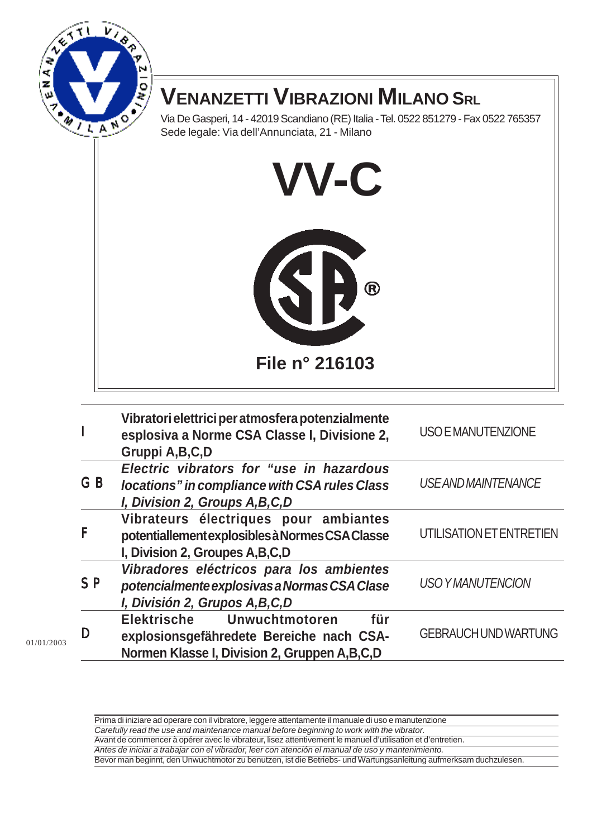

Via De Gasperi, 14 - 42019 Scandiano (RE) Italia - Tel. 0522 851279 - Fax 0522 765357 Sede legale: Via dell'Annunciata, 21 - Milano



| $\mathsf{I}$   | Vibratori elettrici per atmosfera potenzialmente<br>esplosiva a Norme CSA Classe I, Divisione 2,<br>Gruppi A, B, C, D               | <b>USO E MANUTENZIONE</b>   |
|----------------|-------------------------------------------------------------------------------------------------------------------------------------|-----------------------------|
| GB             | Electric vibrators for "use in hazardous<br>locations" in compliance with CSA rules Class<br>I, Division 2, Groups A, B, C, D       | <b>USE AND MAINTENANCE</b>  |
| F              | Vibrateurs électriques pour ambiantes<br>potentiallement explosibles à Normes CSA Classe<br>I, Division 2, Groupes A, B, C, D       | UTILISATION ET ENTRETIEN    |
| S <sub>P</sub> | Vibradores eléctricos para los ambientes<br>potencialmente explosivas a Normas CSA Clase<br>I, División 2, Grupos A,B,C,D           | <b>USO YMANUTENCION</b>     |
| D              | für<br>Unwuchtmotoren<br>Elektrische<br>explosionsgefähredete Bereiche nach CSA-<br>Normen Klasse I, Division 2, Gruppen A, B, C, D | <b>GEBRAUCH UND WARTUNG</b> |

Prima di iniziare ad operare con il vibratore, leggere attentamente il manuale di uso e manutenzione Carefully read the use and maintenance manual before beginning to work with the vibrator. Avant de commencer à opérer avec le vibrateur, lisez attentivement le manuel d'utilisation et d'entretien. Antes de iniciar a trabajar con el vibrador, leer con atención el manual de uso y mantenimiento.

Bevor man beginnt, den Unwuchtmotor zu benutzen, ist die Betriebs- und Wartungsanleitung aufmerksam duchzulesen.

01/01/2003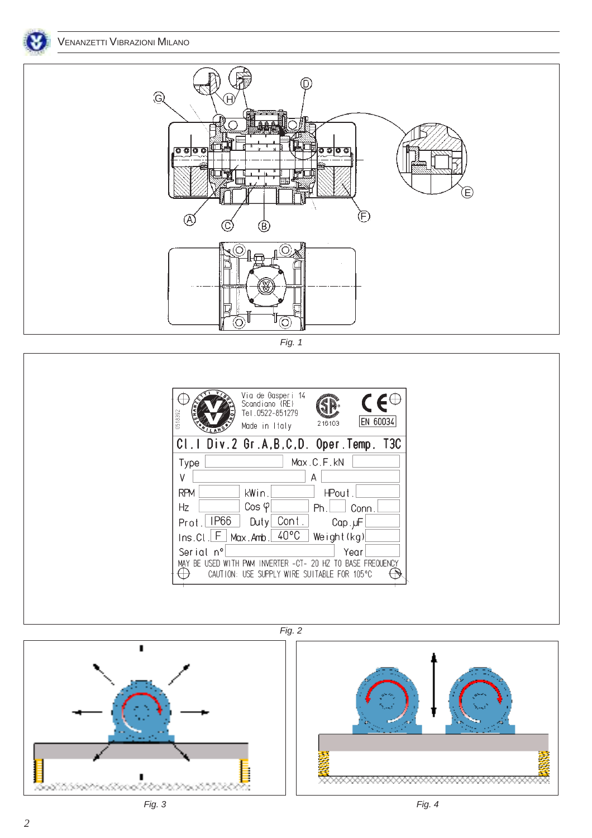



Fig. 1





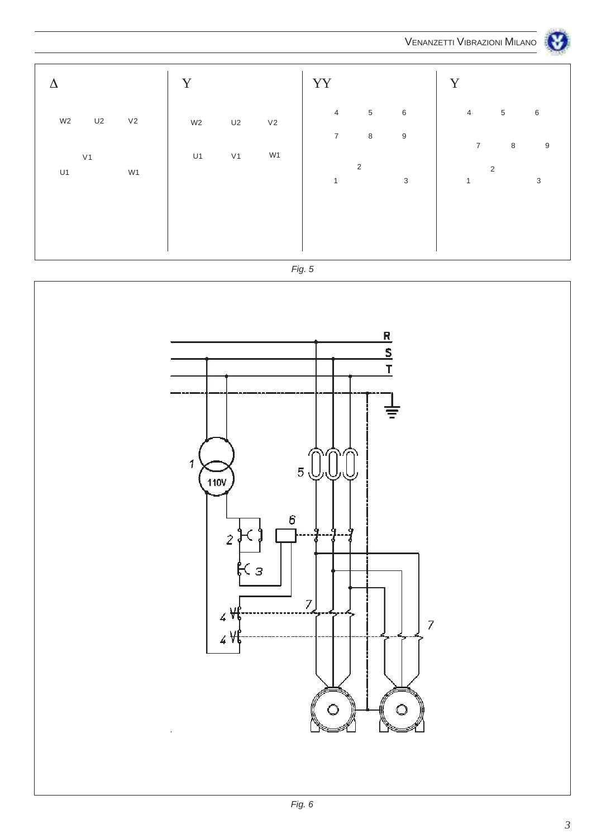

| Λ                                      | Y                    |          | YY                                             | Y                                       |
|----------------------------------------|----------------------|----------|------------------------------------------------|-----------------------------------------|
| U2<br>V <sub>2</sub><br>W <sub>2</sub> | W <sub>2</sub><br>U2 | $\vee$ 2 | $\overline{5}$<br>$\,6\,$<br>$\overline{4}$    | $\overline{4}$<br>$\sqrt{5}$<br>$\,6\,$ |
| V <sub>1</sub>                         | U1<br>V <sub>1</sub> | W1       | $\overline{7}$<br>$\bf 8$<br>$\boldsymbol{9}$  | $\overline{7}$<br>$\,8\,$<br>9          |
| W1<br>U1                               |                      |          | $\overline{2}$<br>$\mathbf{3}$<br>$\mathbf{1}$ | 2<br>3<br>$\mathbf{1}$                  |
|                                        |                      |          |                                                |                                         |
|                                        |                      |          |                                                |                                         |



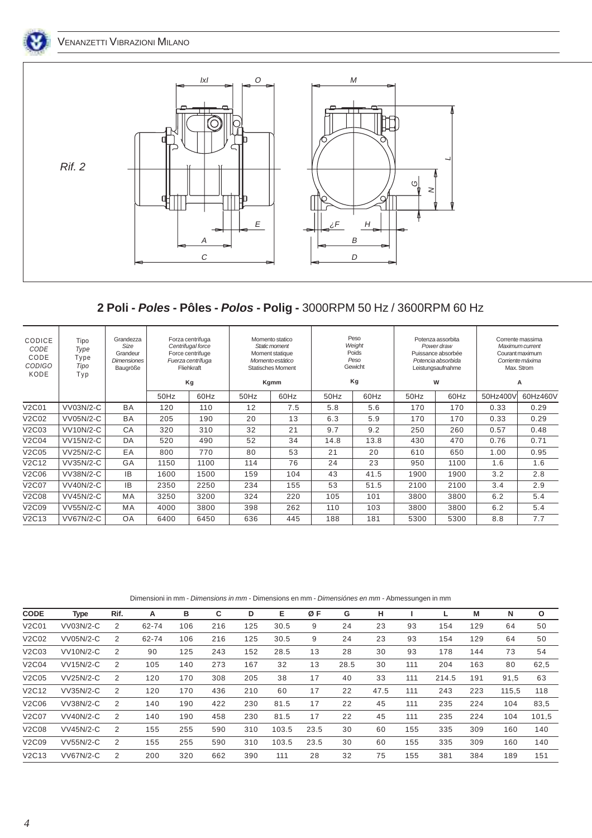



## **2 Poli - Poles - Pôles - Polos - Polig -** 3000RPM 50 Hz / 3600RPM 60 Hz

| CODICE<br>CODE<br>CODE<br><b>CODIGO</b><br>KODE | Tipo<br>Type<br>Type<br>Tipo<br>Typ | Grandezza<br>Size<br>Grandeur<br><b>Dimensiones</b><br>Baugröße |      | Forza centrifuga<br>Centrifugal force<br>Force centrifuge<br>Fuerza centrífuga<br>Fliehkraft<br>Kg |      | Momento statico<br>Static moment<br>Moment statique<br>Momento estático<br><b>Statisches Moment</b><br>Kgmm |      | Peso<br>Weight<br>Poids<br>Peso<br>Gewicht<br>Kg |      | Potenza assorbita<br>Power draw<br>Puissance absorbée<br>Potencia absorbida<br>Leistungsaufnahme<br>W |          | Corrente massima<br>Maximum current<br>Courant maximum<br>Corriente máxima<br>Max. Strom<br>А |
|-------------------------------------------------|-------------------------------------|-----------------------------------------------------------------|------|----------------------------------------------------------------------------------------------------|------|-------------------------------------------------------------------------------------------------------------|------|--------------------------------------------------|------|-------------------------------------------------------------------------------------------------------|----------|-----------------------------------------------------------------------------------------------|
|                                                 |                                     |                                                                 | 50Hz | 60Hz                                                                                               | 50Hz | 60Hz                                                                                                        | 50Hz | 60Hz                                             | 50Hz | 60Hz                                                                                                  | 50Hz400V | 60Hz460V                                                                                      |
| V <sub>2</sub> C <sub>01</sub>                  | VV03N/2-C                           | BA                                                              | 120  | 110                                                                                                | 12   | 7.5                                                                                                         | 5.8  | 5.6                                              | 170  | 170                                                                                                   | 0.33     | 0.29                                                                                          |
| V2C02                                           | <b>VV05N/2-C</b>                    | <b>BA</b>                                                       | 205  | 190                                                                                                | 20   | 13                                                                                                          | 6.3  | 5.9                                              | 170  | 170                                                                                                   | 0.33     | 0.29                                                                                          |
| V2C03                                           | <b>VV10N/2-C</b>                    | CA                                                              | 320  | 310                                                                                                | 32   | 21                                                                                                          | 9.7  | 9.2                                              | 250  | 260                                                                                                   | 0.57     | 0.48                                                                                          |
| V2C04                                           | VV15N/2-C                           | DA                                                              | 520  | 490                                                                                                | 52   | 34                                                                                                          | 14.8 | 13.8                                             | 430  | 470                                                                                                   | 0.76     | 0.71                                                                                          |
| V2C05                                           | <b>VV25N/2-C</b>                    | EA                                                              | 800  | 770                                                                                                | 80   | 53                                                                                                          | 21   | 20                                               | 610  | 650                                                                                                   | 1.00     | 0.95                                                                                          |
| V2C12                                           | VV35N/2-C                           | GA                                                              | 1150 | 1100                                                                                               | 114  | 76                                                                                                          | 24   | 23                                               | 950  | 1100                                                                                                  | 1.6      | 1.6                                                                                           |
| V2C06                                           | VV38N/2-C                           | <b>IB</b>                                                       | 1600 | 1500                                                                                               | 159  | 104                                                                                                         | 43   | 41.5                                             | 1900 | 1900                                                                                                  | 3.2      | 2.8                                                                                           |
| V2C07                                           | <b>VV40N/2-C</b>                    | <b>IB</b>                                                       | 2350 | 2250                                                                                               | 234  | 155                                                                                                         | 53   | 51.5                                             | 2100 | 2100                                                                                                  | 3.4      | 2.9                                                                                           |
| V2C08                                           | <b>VV45N/2-C</b>                    | MA                                                              | 3250 | 3200                                                                                               | 324  | 220                                                                                                         | 105  | 101                                              | 3800 | 3800                                                                                                  | 6.2      | 5.4                                                                                           |
| V2C09                                           | <b>VV55N/2-C</b>                    | MA                                                              | 4000 | 3800                                                                                               | 398  | 262                                                                                                         | 110  | 103                                              | 3800 | 3800                                                                                                  | 6.2      | 5.4                                                                                           |
| V2C13                                           | <b>VV67N/2-C</b>                    | OA                                                              | 6400 | 6450                                                                                               | 636  | 445                                                                                                         | 188  | 181                                              | 5300 | 5300                                                                                                  | 8.8      | 7.7                                                                                           |

Dimensioni in mm - Dimensions in mm - Dimensions en mm - Dimensiónes en mm - Abmessungen in mm

| <b>CODE</b>                    | <b>Type</b>      | Rif. | А     | в   | C   | D   | Е     | ØΕ   | G    | н    |     |       | M   | N     | $\circ$ |
|--------------------------------|------------------|------|-------|-----|-----|-----|-------|------|------|------|-----|-------|-----|-------|---------|
| V2C01                          | VV03N/2-C        | 2    | 62-74 | 106 | 216 | 125 | 30.5  | 9    | 24   | 23   | 93  | 154   | 129 | 64    | 50      |
| V2C02                          | VV05N/2-C        | 2    | 62-74 | 106 | 216 | 125 | 30.5  | 9    | 24   | 23   | 93  | 154   | 129 | 64    | 50      |
| V2C03                          | <b>VV10N/2-C</b> | 2    | 90    | 125 | 243 | 152 | 28.5  | 13   | 28   | 30   | 93  | 178   | 144 | 73    | 54      |
| V2C04                          | <b>VV15N/2-C</b> | 2    | 105   | 140 | 273 | 167 | 32    | 13   | 28.5 | 30   | 111 | 204   | 163 | 80    | 62,5    |
| V2C05                          | <b>VV25N/2-C</b> | 2    | 120   | 170 | 308 | 205 | 38    | 17   | 40   | 33   | 111 | 214.5 | 191 | 91,5  | 63      |
| V <sub>2</sub> C <sub>12</sub> | VV35N/2-C        | 2    | 120   | 170 | 436 | 210 | 60    | 17   | 22   | 47.5 | 111 | 243   | 223 | 115.5 | 118     |
| V2C06                          | VV38N/2-C        | 2    | 140   | 190 | 422 | 230 | 81.5  | 17   | 22   | 45   | 111 | 235   | 224 | 104   | 83,5    |
| V2C07                          | <b>VV40N/2-C</b> | 2    | 140   | 190 | 458 | 230 | 81.5  | 17   | 22   | 45   | 111 | 235   | 224 | 104   | 101,5   |
| V2C08                          | <b>VV45N/2-C</b> | 2    | 155   | 255 | 590 | 310 | 103.5 | 23.5 | 30   | 60   | 155 | 335   | 309 | 160   | 140     |
| V2C09                          | <b>VV55N/2-C</b> | 2    | 155   | 255 | 590 | 310 | 103.5 | 23.5 | 30   | 60   | 155 | 335   | 309 | 160   | 140     |
| V2C13                          | <b>VV67N/2-C</b> | 2    | 200   | 320 | 662 | 390 | 111   | 28   | 32   | 75   | 155 | 381   | 384 | 189   | 151     |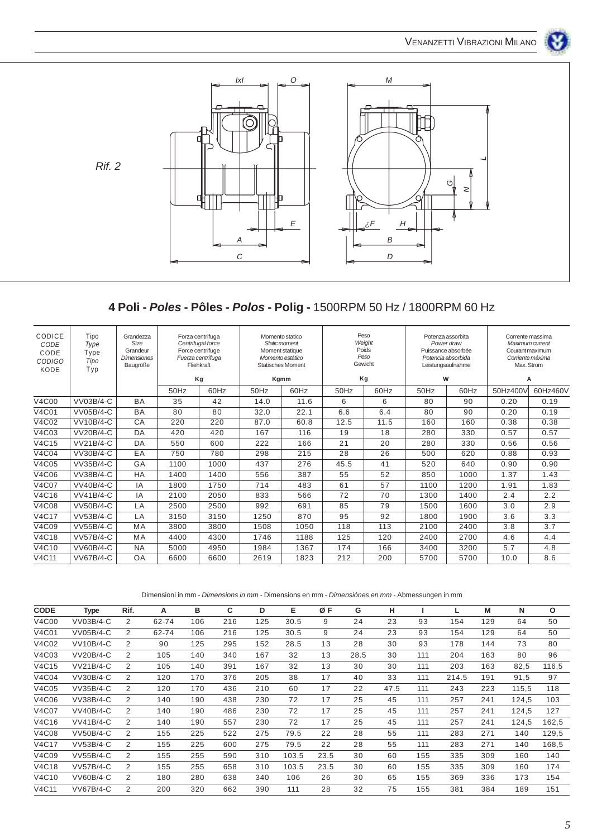

## **4 Poli - Poles - Pôles - Polos - Polig -** 1500RPM 50 Hz / 1800RPM 60 Hz

| Tipo<br>CODICE<br>Grandezza<br>Size<br>CODE<br>Type<br>Grandeur<br>CODE<br>Type<br><b>Dimensiones</b><br><b>CODIGO</b><br>Tipo<br>Baugröße<br>KODE<br>Typ | Forza centrifuga<br>Centrifugal force<br>Force centrifuge<br>Fuerza centrífuga<br>Fliehkraft | Momento statico<br>Static moment<br>Moment statique<br>Momento estático<br><b>Statisches Moment</b> |      | Peso<br>Weight<br>Poids<br>Peso<br>Gewicht |      |      | Potenza assorbita<br>Power draw<br>Puissance absorbée<br>Potencia absorbida<br>Leistungsaufnahme | Corrente massima<br>Maximum current<br>Courant maximum<br>Corriente máxima<br>Max. Strom |          |
|-----------------------------------------------------------------------------------------------------------------------------------------------------------|----------------------------------------------------------------------------------------------|-----------------------------------------------------------------------------------------------------|------|--------------------------------------------|------|------|--------------------------------------------------------------------------------------------------|------------------------------------------------------------------------------------------|----------|
|                                                                                                                                                           | Kg                                                                                           |                                                                                                     | Kgmm |                                            | Kg   |      | W                                                                                                |                                                                                          | A        |
| 50Hz                                                                                                                                                      | 60Hz                                                                                         | 50Hz                                                                                                | 60Hz | 50Hz                                       | 60Hz | 50Hz | 60Hz                                                                                             | 50Hz400V                                                                                 | 60Hz460V |
| <b>V4C00</b><br>VV03B/4-C<br><b>BA</b><br>35                                                                                                              | 42                                                                                           | 14.0                                                                                                | 11.6 | 6                                          | 6    | 80   | 90                                                                                               | 0.20                                                                                     | 0.19     |
| <b>V4C01</b><br>VV05B/4-C<br><b>BA</b><br>80                                                                                                              | 80                                                                                           | 32.0                                                                                                | 22.1 | 6.6                                        | 6.4  | 80   | 90                                                                                               | 0.20                                                                                     | 0.19     |
| V4C02<br><b>VV10B/4-C</b><br>CA<br>220                                                                                                                    | 220                                                                                          | 87.0                                                                                                | 60.8 | 12.5                                       | 11.5 | 160  | 160                                                                                              | 0.38                                                                                     | 0.38     |
| V4C03<br><b>VV20B/4-C</b><br>DA<br>420                                                                                                                    | 420                                                                                          | 167                                                                                                 | 116  | 19                                         | 18   | 280  | 330                                                                                              | 0.57                                                                                     | 0.57     |
| V4C15<br><b>VV21B/4-C</b><br>DA<br>550                                                                                                                    | 600                                                                                          | 222                                                                                                 | 166  | 21                                         | 20   | 280  | 330                                                                                              | 0.56                                                                                     | 0.56     |
| V4C04<br>VV30B/4-C<br>EA<br>750                                                                                                                           | 780                                                                                          | 298                                                                                                 | 215  | 28                                         | 26   | 500  | 620                                                                                              | 0.88                                                                                     | 0.93     |
| V4C05<br>VV35B/4-C<br>GA<br>1100                                                                                                                          | 1000                                                                                         | 437                                                                                                 | 276  | 45.5                                       | 41   | 520  | 640                                                                                              | 0.90                                                                                     | 0.90     |
| V4C06<br>VV38B/4-C<br>HA<br>1400                                                                                                                          | 1400                                                                                         | 556                                                                                                 | 387  | 55                                         | 52   | 850  | 1000                                                                                             | 1.37                                                                                     | 1.43     |
| <b>V4C07</b><br><b>VV40B/4-C</b><br>IA<br>1800                                                                                                            | 1750                                                                                         | 714                                                                                                 | 483  | 61                                         | 57   | 1100 | 1200                                                                                             | 1.91                                                                                     | 1.83     |
| V4C16<br><b>VV41B/4-C</b><br>IA<br>2100                                                                                                                   | 2050                                                                                         | 833                                                                                                 | 566  | 72                                         | 70   | 1300 | 1400                                                                                             | 2.4                                                                                      | 2.2      |
| <b>VV50B/4-C</b><br><b>V4C08</b><br>LA<br>2500                                                                                                            | 2500                                                                                         | 992                                                                                                 | 691  | 85                                         | 79   | 1500 | 1600                                                                                             | 3.0                                                                                      | 2.9      |
| <b>V4C17</b><br><b>VV53B/4-C</b><br>LA<br>3150                                                                                                            | 3150                                                                                         | 1250                                                                                                | 870  | 95                                         | 92   | 1800 | 1900                                                                                             | 3.6                                                                                      | 3.3      |
| V4C09<br><b>VV55B/4-C</b><br>MA<br>3800                                                                                                                   | 3800                                                                                         | 1508                                                                                                | 1050 | 118                                        | 113  | 2100 | 2400                                                                                             | 3.8                                                                                      | 3.7      |
| V4C18<br><b>VV57B/4-C</b><br>MA<br>4400                                                                                                                   | 4300                                                                                         | 1746                                                                                                | 1188 | 125                                        | 120  | 2400 | 2700                                                                                             | 4.6                                                                                      | 4.4      |
| V4C10<br><b>VV60B/4-C</b><br><b>NA</b><br>5000                                                                                                            | 4950                                                                                         | 1984                                                                                                | 1367 | 174                                        | 166  | 3400 | 3200                                                                                             | 5.7                                                                                      | 4.8      |
| V4C11<br><b>VV67B/4-C</b><br><b>OA</b><br>6600                                                                                                            | 6600                                                                                         | 2619                                                                                                | 1823 | 212                                        | 200  | 5700 | 5700                                                                                             | 10.0                                                                                     | 8.6      |

Dimensioni in mm - Dimensions in mm - Dimensions en mm - Dimensiónes en mm - Abmessungen in mm

| <b>CODE</b> | <b>Type</b>      | Rif. | А     | в   | C   | D   | Е     | ØF   | G    | н    |     |       | M   | N     | $\mathbf{o}$ |
|-------------|------------------|------|-------|-----|-----|-----|-------|------|------|------|-----|-------|-----|-------|--------------|
| V4C00       | VV03B/4-C        | 2    | 62-74 | 106 | 216 | 125 | 30.5  | 9    | 24   | 23   | 93  | 154   | 129 | 64    | 50           |
| V4C01       | VV05B/4-C        | 2    | 62-74 | 106 | 216 | 125 | 30.5  | 9    | 24   | 23   | 93  | 154   | 129 | 64    | 50           |
| V4C02       | <b>VV10B/4-C</b> | 2    | 90    | 125 | 295 | 152 | 28.5  | 13   | 28   | 30   | 93  | 178   | 144 | 73    | 80           |
| V4C03       | <b>VV20B/4-C</b> | 2    | 105   | 140 | 340 | 167 | 32    | 13   | 28.5 | 30   | 111 | 204   | 163 | 80    | 96           |
| V4C15       | <b>VV21B/4-C</b> | 2    | 105   | 140 | 391 | 167 | 32    | 13   | 30   | 30   | 111 | 203   | 163 | 82,5  | 116,5        |
| V4C04       | VV30B/4-C        | 2    | 120   | 170 | 376 | 205 | 38    | 17   | 40   | 33   | 111 | 214.5 | 191 | 91,5  | 97           |
| V4C05       | VV35B/4-C        | 2    | 120   | 170 | 436 | 210 | 60    | 17   | 22   | 47.5 | 111 | 243   | 223 | 115,5 | 118          |
| V4C06       | VV38B/4-C        | 2    | 140   | 190 | 438 | 230 | 72    | 17   | 25   | 45   | 111 | 257   | 241 | 124.5 | 103          |
| V4C07       | <b>VV40B/4-C</b> | 2    | 140   | 190 | 486 | 230 | 72    | 17   | 25   | 45   | 111 | 257   | 241 | 124,5 | 127          |
| V4C16       | <b>VV41B/4-C</b> | 2    | 140   | 190 | 557 | 230 | 72    | 17   | 25   | 45   | 111 | 257   | 241 | 124,5 | 162,5        |
| V4C08       | VV50B/4-C        | 2    | 155   | 225 | 522 | 275 | 79.5  | 22   | 28   | 55   | 111 | 283   | 271 | 140   | 129,5        |
| V4C17       | VV53B/4-C        | 2    | 155   | 225 | 600 | 275 | 79.5  | 22   | 28   | 55   | 111 | 283   | 271 | 140   | 168,5        |
| V4C09       | <b>VV55B/4-C</b> | 2    | 155   | 255 | 590 | 310 | 103.5 | 23.5 | 30   | 60   | 155 | 335   | 309 | 160   | 140          |
| V4C18       | <b>VV57B/4-C</b> | 2    | 155   | 255 | 658 | 310 | 103.5 | 23.5 | 30   | 60   | 155 | 335   | 309 | 160   | 174          |
| V4C10       | <b>VV60B/4-C</b> | 2    | 180   | 280 | 638 | 340 | 106   | 26   | 30   | 65   | 155 | 369   | 336 | 173   | 154          |
| V4C11       | <b>VV67B/4-C</b> | 2    | 200   | 320 | 662 | 390 | 111   | 28   | 32   | 75   | 155 | 381   | 384 | 189   | 151          |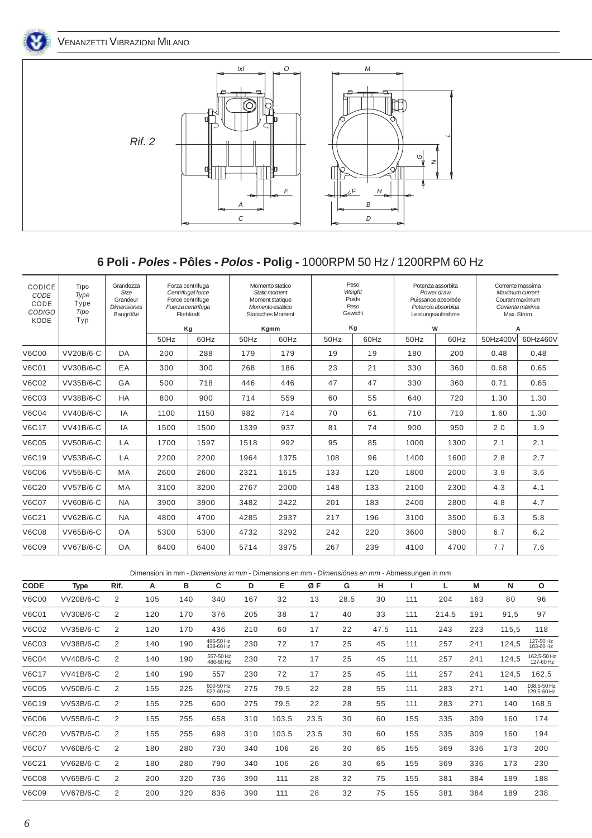



## **6 Poli - Poles - Pôles - Polos - Polig -** 1000RPM 50 Hz / 1200RPM 60 Hz

| CODICE<br>CODE<br>CODE<br><b>CODIGO</b><br>KODE | Tipo<br>Type<br>Type<br>Tipo<br>Typ | Grandezza<br>Size<br>Grandeur<br><b>Dimensiones</b><br>Baugröße |      | Forza centrifuga<br>Centrifugal force<br>Force centrifuge<br>Fuerza centrífuga<br>Fliehkraft |      | Momento statico<br>Static moment<br>Moment statique<br>Momento estático<br><b>Statisches Moment</b> |      | Peso<br>Weight<br>Poids<br>Peso<br>Gewicht |      | Potenza assorbita<br>Power draw<br>Puissance absorbée<br>Potencia absorbida<br>Leistungsaufnahme | Corrente massima<br>Max. Strom | Maximum current<br>Courant maximum<br>Corriente máxima |
|-------------------------------------------------|-------------------------------------|-----------------------------------------------------------------|------|----------------------------------------------------------------------------------------------|------|-----------------------------------------------------------------------------------------------------|------|--------------------------------------------|------|--------------------------------------------------------------------------------------------------|--------------------------------|--------------------------------------------------------|
|                                                 |                                     |                                                                 |      | Kg                                                                                           |      | Kgmm                                                                                                |      | Kg                                         | W    |                                                                                                  |                                | A                                                      |
|                                                 |                                     |                                                                 | 50Hz | 60Hz                                                                                         | 50Hz | 60Hz                                                                                                | 50Hz | 60Hz                                       | 50Hz | 60Hz                                                                                             | 50Hz400V                       | 60Hz460V                                               |
| <b>V6C00</b>                                    | <b>VV20B/6-C</b>                    | DA                                                              | 200  | 288                                                                                          | 179  | 179                                                                                                 | 19   | 19                                         | 180  | 200                                                                                              | 0.48                           | 0.48                                                   |
| <b>V6C01</b>                                    | <b>VV30B/6-C</b>                    | EA                                                              | 300  | 300                                                                                          | 268  | 186                                                                                                 | 23   | 21                                         | 330  | 360                                                                                              | 0.68                           | 0.65                                                   |
| <b>V6C02</b>                                    | VV35B/6-C                           | GA                                                              | 500  | 718                                                                                          | 446  | 446                                                                                                 | 47   | 47                                         | 330  | 360                                                                                              | 0.71                           | 0.65                                                   |
| V6C03                                           | <b>VV38B/6-C</b>                    | <b>HA</b>                                                       | 800  | 900                                                                                          | 714  | 559                                                                                                 | 60   | 55                                         | 640  | 720                                                                                              | 1.30                           | 1.30                                                   |
| <b>V6C04</b>                                    | <b>VV40B/6-C</b>                    | IA                                                              | 1100 | 1150                                                                                         | 982  | 714                                                                                                 | 70   | 61                                         | 710  | 710                                                                                              | 1.60                           | 1.30                                                   |
| <b>V6C17</b>                                    | <b>VV41B/6-C</b>                    | IA                                                              | 1500 | 1500                                                                                         | 1339 | 937                                                                                                 | 81   | 74                                         | 900  | 950                                                                                              | 2.0                            | 1.9                                                    |
| <b>V6C05</b>                                    | <b>VV50B/6-C</b>                    | LA                                                              | 1700 | 1597                                                                                         | 1518 | 992                                                                                                 | 95   | 85                                         | 1000 | 1300                                                                                             | 2.1                            | 2.1                                                    |
| V6C19                                           | <b>VV53B/6-C</b>                    | LA                                                              | 2200 | 2200                                                                                         | 1964 | 1375                                                                                                | 108  | 96                                         | 1400 | 1600                                                                                             | 2.8                            | 2.7                                                    |
| <b>V6C06</b>                                    | <b>VV55B/6-C</b>                    | MA                                                              | 2600 | 2600                                                                                         | 2321 | 1615                                                                                                | 133  | 120                                        | 1800 | 2000                                                                                             | 3.9                            | 3.6                                                    |
| <b>V6C20</b>                                    | <b>VV57B/6-C</b>                    | MA                                                              | 3100 | 3200                                                                                         | 2767 | 2000                                                                                                | 148  | 133                                        | 2100 | 2300                                                                                             | 4.3                            | 4.1                                                    |
| <b>V6C07</b>                                    | VV60B/6-C                           | <b>NA</b>                                                       | 3900 | 3900                                                                                         | 3482 | 2422                                                                                                | 201  | 183                                        | 2400 | 2800                                                                                             | 4.8                            | 4.7                                                    |
| <b>V6C21</b>                                    | <b>VV62B/6-C</b>                    | <b>NA</b>                                                       | 4800 | 4700                                                                                         | 4285 | 2937                                                                                                | 217  | 196                                        | 3100 | 3500                                                                                             | 6.3                            | 5.8                                                    |
| <b>V6C08</b>                                    | <b>VV65B/6-C</b>                    | OA                                                              | 5300 | 5300                                                                                         | 4732 | 3292                                                                                                | 242  | 220                                        | 3600 | 3800                                                                                             | 6.7                            | 6.2                                                    |
| V6C09                                           | <b>VV67B/6-C</b>                    | OA                                                              | 6400 | 6400                                                                                         | 5714 | 3975                                                                                                | 267  | 239                                        | 4100 | 4700                                                                                             | 7.7                            | 7.6                                                    |

Dimensioni in mm - Dimensions in mm - Dimensions en mm - Dimensiónes en mm - Abmessungen in mm

| <b>CODE</b>  | <b>Type</b>      | Rif. | A   | в   | C                      | D   | Е     | ØF   | G    | н    |     |       | M   | N     | $\Omega$                   |
|--------------|------------------|------|-----|-----|------------------------|-----|-------|------|------|------|-----|-------|-----|-------|----------------------------|
| <b>V6C00</b> | VV20B/6-C        | 2    | 105 | 140 | 340                    | 167 | 32    | 13   | 28.5 | 30   | 111 | 204   | 163 | 80    | 96                         |
| <b>V6C01</b> | VV30B/6-C        | 2    | 120 | 170 | 376                    | 205 | 38    | 17   | 40   | 33   | 111 | 214.5 | 191 | 91,5  | 97                         |
| <b>V6C02</b> | VV35B/6-C        | 2    | 120 | 170 | 436                    | 210 | 60    | 17   | 22   | 47.5 | 111 | 243   | 223 | 115,5 | 118                        |
| <b>V6C03</b> | VV38B/6-C        | 2    | 140 | 190 | 486-50 Hz<br>438-60 Hz | 230 | 72    | 17   | 25   | 45   | 111 | 257   | 241 | 124,5 | 127-50 Hz<br>103-60 Hz     |
| <b>V6C04</b> | VV40B/6-C        | 2    | 140 | 190 | 557-50 Hz<br>486-60 Hz | 230 | 72    | 17   | 25   | 45   | 111 | 257   | 241 | 124,5 | 162,5-50 Hz<br>127-60 Hz   |
| <b>V6C17</b> | <b>VV41B/6-C</b> | 2    | 140 | 190 | 557                    | 230 | 72    | 17   | 25   | 45   | 111 | 257   | 241 | 124,5 | 162,5                      |
| <b>V6C05</b> | <b>VV50B/6-C</b> | 2    | 155 | 225 | 600-50 Hz<br>522-60 Hz | 275 | 79.5  | 22   | 28   | 55   | 111 | 283   | 271 | 140   | 168,5-50 Hz<br>129,5-60 Hz |
| <b>V6C19</b> | VV53B/6-C        | 2    | 155 | 225 | 600                    | 275 | 79.5  | 22   | 28   | 55   | 111 | 283   | 271 | 140   | 168,5                      |
| <b>V6C06</b> | VV55B/6-C        | 2    | 155 | 255 | 658                    | 310 | 103.5 | 23.5 | 30   | 60   | 155 | 335   | 309 | 160   | 174                        |
| <b>V6C20</b> | <b>VV57B/6-C</b> | 2    | 155 | 255 | 698                    | 310 | 103.5 | 23.5 | 30   | 60   | 155 | 335   | 309 | 160   | 194                        |
| <b>V6C07</b> | <b>VV60B/6-C</b> | 2    | 180 | 280 | 730                    | 340 | 106   | 26   | 30   | 65   | 155 | 369   | 336 | 173   | 200                        |
| <b>V6C21</b> | VV62B/6-C        | 2    | 180 | 280 | 790                    | 340 | 106   | 26   | 30   | 65   | 155 | 369   | 336 | 173   | 230                        |
| <b>V6C08</b> | VV65B/6-C        | 2    | 200 | 320 | 736                    | 390 | 111   | 28   | 32   | 75   | 155 | 381   | 384 | 189   | 188                        |
| <b>V6C09</b> | <b>VV67B/6-C</b> | 2    | 200 | 320 | 836                    | 390 | 111   | 28   | 32   | 75   | 155 | 381   | 384 | 189   | 238                        |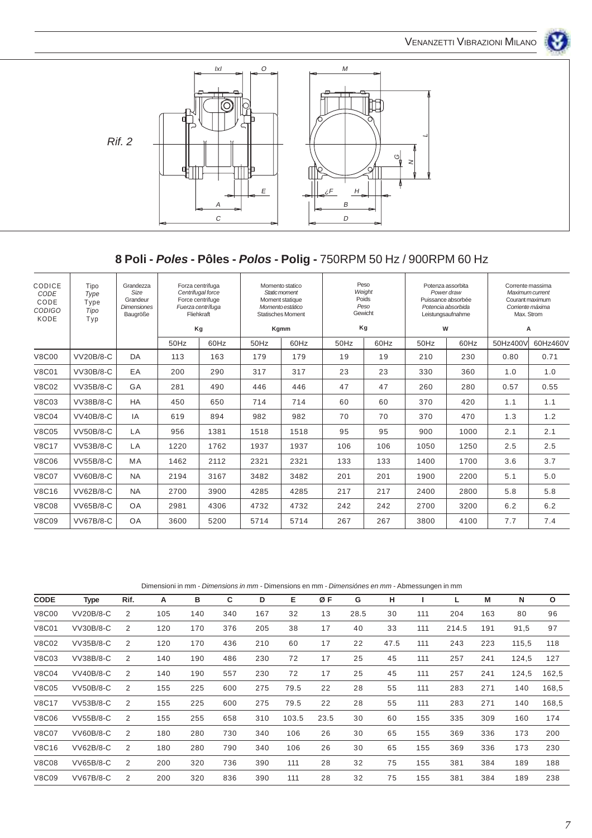



## **8 Poli - Poles - Pôles - Polos - Polig -** 750RPM 50 Hz / 900RPM 60 Hz

| CODICE<br>CODE<br>CODE<br><b>CODIGO</b><br>KODE | Tipo<br>Type<br>Type<br>Tipo<br>Typ | Grandezza<br>Size<br>Grandeur<br><b>Dimensiones</b><br>Baugröße |      | Forza centrifuga<br>Centrifugal force<br>Force centrifuge<br>Fuerza centrífuga<br>Fliehkraft<br>Kg |      | Momento statico<br>Static moment<br>Moment statique<br>Momento estático<br><b>Statisches Moment</b><br>Kgmm | Peso<br>Poids<br>Gewicht<br>Kg | Weight<br>Peso | Potenza assorbita<br>Puissance absorbée<br>Potencia absorbida<br>Leistungsaufnahme<br>W | Power draw | Corrente massima<br>Maximum current<br>Courant maximum<br>Corriente máxima<br>Max. Strom<br>A |          |
|-------------------------------------------------|-------------------------------------|-----------------------------------------------------------------|------|----------------------------------------------------------------------------------------------------|------|-------------------------------------------------------------------------------------------------------------|--------------------------------|----------------|-----------------------------------------------------------------------------------------|------------|-----------------------------------------------------------------------------------------------|----------|
|                                                 |                                     |                                                                 | 50Hz | 60Hz                                                                                               | 50Hz | 60Hz                                                                                                        | 50Hz                           | 60Hz           | 50Hz                                                                                    | 60Hz       | 50Hz400V                                                                                      | 60Hz460V |
| <b>V8C00</b>                                    | <b>VV20B/8-C</b>                    | DA                                                              | 113  | 163                                                                                                | 179  | 179                                                                                                         | 19                             | 19             | 210                                                                                     | 230        | 0.80                                                                                          | 0.71     |
| <b>V8C01</b>                                    | VV30B/8-C                           | EA                                                              | 200  | 290                                                                                                | 317  | 317                                                                                                         | 23                             | 23             | 330                                                                                     | 360        | 1.0                                                                                           | 1.0      |
| <b>V8C02</b>                                    | <b>VV35B/8-C</b>                    | GA                                                              | 281  | 490                                                                                                | 446  | 446                                                                                                         | 47                             | 47             | 260                                                                                     | 280        | 0.57                                                                                          | 0.55     |
| <b>V8C03</b>                                    | <b>VV38B/8-C</b>                    | <b>HA</b>                                                       | 450  | 650                                                                                                | 714  | 714                                                                                                         | 60                             | 60             | 370                                                                                     | 420        | 1.1                                                                                           | 1.1      |
| <b>V8C04</b>                                    | <b>VV40B/8-C</b>                    | IA                                                              | 619  | 894                                                                                                | 982  | 982                                                                                                         | 70                             | 70             | 370                                                                                     | 470        | 1.3                                                                                           | 1.2      |
| <b>V8C05</b>                                    | <b>VV50B/8-C</b>                    | LA                                                              | 956  | 1381                                                                                               | 1518 | 1518                                                                                                        | 95                             | 95             | 900                                                                                     | 1000       | 2.1                                                                                           | 2.1      |
| <b>V8C17</b>                                    | <b>VV53B/8-C</b>                    | LA                                                              | 1220 | 1762                                                                                               | 1937 | 1937                                                                                                        | 106                            | 106            | 1050                                                                                    | 1250       | 2.5                                                                                           | 2.5      |
| <b>V8C06</b>                                    | VV55B/8-C                           | MA                                                              | 1462 | 2112                                                                                               | 2321 | 2321                                                                                                        | 133                            | 133            | 1400                                                                                    | 1700       | 3.6                                                                                           | 3.7      |
| <b>V8C07</b>                                    | <b>VV60B/8-C</b>                    | <b>NA</b>                                                       | 2194 | 3167                                                                                               | 3482 | 3482                                                                                                        | 201                            | 201            | 1900                                                                                    | 2200       | 5.1                                                                                           | 5.0      |
| <b>V8C16</b>                                    | VV62B/8-C                           | <b>NA</b>                                                       | 2700 | 3900                                                                                               | 4285 | 4285                                                                                                        | 217                            | 217            | 2400                                                                                    | 2800       | 5.8                                                                                           | 5.8      |
| <b>V8C08</b>                                    | VV65B/8-C                           | OA                                                              | 2981 | 4306                                                                                               | 4732 | 4732                                                                                                        | 242                            | 242            | 2700                                                                                    | 3200       | 6.2                                                                                           | 6.2      |
| <b>V8C09</b>                                    | <b>VV67B/8-C</b>                    | <b>OA</b>                                                       | 3600 | 5200                                                                                               | 5714 | 5714                                                                                                        | 267                            | 267            | 3800                                                                                    | 4100       | 7.7                                                                                           | 7.4      |

Dimensioni in mm - Dimensions in mm - Dimensions en mm - Dimensiónes en mm - Abmessungen in mm

| <b>CODE</b>  | <b>Type</b>      | Rif. | А   | в   | С   | D   | Е     | ØF   | G    | н    |     |       | M   | N     | O     |
|--------------|------------------|------|-----|-----|-----|-----|-------|------|------|------|-----|-------|-----|-------|-------|
| <b>V8C00</b> | <b>VV20B/8-C</b> | 2    | 105 | 140 | 340 | 167 | 32    | 13   | 28.5 | 30   | 111 | 204   | 163 | 80    | 96    |
| <b>V8C01</b> | VV30B/8-C        | 2    | 120 | 170 | 376 | 205 | 38    | 17   | 40   | 33   | 111 | 214.5 | 191 | 91,5  | 97    |
| <b>V8C02</b> | VV35B/8-C        | 2    | 120 | 170 | 436 | 210 | 60    | 17   | 22   | 47.5 | 111 | 243   | 223 | 115,5 | 118   |
| <b>V8C03</b> | VV38B/8-C        | 2    | 140 | 190 | 486 | 230 | 72    | 17   | 25   | 45   | 111 | 257   | 241 | 124,5 | 127   |
| <b>V8C04</b> | <b>VV40B/8-C</b> | 2    | 140 | 190 | 557 | 230 | 72    | 17   | 25   | 45   | 111 | 257   | 241 | 124,5 | 162,5 |
| <b>V8C05</b> | <b>VV50B/8-C</b> | 2    | 155 | 225 | 600 | 275 | 79.5  | 22   | 28   | 55   | 111 | 283   | 271 | 140   | 168,5 |
| <b>V8C17</b> | VV53B/8-C        | 2    | 155 | 225 | 600 | 275 | 79.5  | 22   | 28   | 55   | 111 | 283   | 271 | 140   | 168,5 |
| <b>V8C06</b> | <b>VV55B/8-C</b> | 2    | 155 | 255 | 658 | 310 | 103.5 | 23.5 | 30   | 60   | 155 | 335   | 309 | 160   | 174   |
| <b>V8C07</b> | <b>VV60B/8-C</b> | 2    | 180 | 280 | 730 | 340 | 106   | 26   | 30   | 65   | 155 | 369   | 336 | 173   | 200   |
| <b>V8C16</b> | VV62B/8-C        | 2    | 180 | 280 | 790 | 340 | 106   | 26   | 30   | 65   | 155 | 369   | 336 | 173   | 230   |
| <b>V8C08</b> | VV65B/8-C        | 2    | 200 | 320 | 736 | 390 | 111   | 28   | 32   | 75   | 155 | 381   | 384 | 189   | 188   |
| <b>V8C09</b> | <b>VV67B/8-C</b> | 2    | 200 | 320 | 836 | 390 | 111   | 28   | 32   | 75   | 155 | 381   | 384 | 189   | 238   |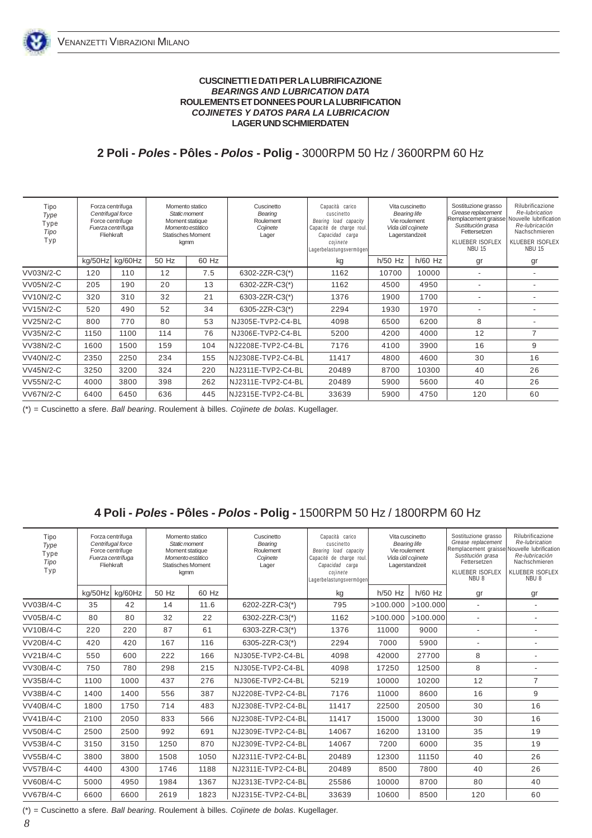### **CUSCINETTI E DATI PER LA LUBRIFICAZIONE BEARINGS AND LUBRICATION DATA ROULEMENTS ET DONNEES POUR LA LUBRIFICATION COJINETES Y DATOS PARA LA LUBRICACION LAGER UND SCHMIERDATEN**

**2 Poli - Poles - Pôles - Polos - Polig -** 3000RPM 50 Hz / 3600RPM 60 Hz

| Tipo<br>Type<br>Type<br>Tipo<br>Typ |         | Forza centrifuga<br>Centrifugal force<br>Force centrifuge<br>Fuerza centrífuga<br>Fliehkraft |       | Momento statico<br>Static moment<br>Moment statique<br>Momento estático<br><b>Statisches Moment</b><br>kgmm | Cuscinetto<br>Bearing<br>Roulement<br>Cojinete<br>Lager | Capacità carico<br>cuscinetto<br>Bearing load capacity<br>Capacité de charge roul.<br>Capacidad carga<br>cojinete<br>Lagerbelastungsvermögen | Vita cuscinetto<br><b>Bearing life</b><br>Vie roulement<br>Vida útil cojinete<br>Lagerstandzeit |           | Sostituzione grasso<br>Grease replacement<br>Remplacement graisse<br>Sustitución grasa<br>Fettersetzen<br><b>KLUEBER ISOFLEX</b><br><b>NBU 15</b> | Rilubrificazione<br>Re-lubrication<br>Nouvelle lubrification<br>Re-Iubricación<br>Nachschmieren<br>KLUEBER ISOFLEX<br><b>NBU 15</b> |
|-------------------------------------|---------|----------------------------------------------------------------------------------------------|-------|-------------------------------------------------------------------------------------------------------------|---------------------------------------------------------|----------------------------------------------------------------------------------------------------------------------------------------------|-------------------------------------------------------------------------------------------------|-----------|---------------------------------------------------------------------------------------------------------------------------------------------------|-------------------------------------------------------------------------------------------------------------------------------------|
|                                     | ka/50Hz | kg/60Hz                                                                                      | 50 Hz | 60 Hz                                                                                                       |                                                         | kg                                                                                                                                           | $h/50$ Hz                                                                                       | $h/60$ Hz | gr                                                                                                                                                | gr                                                                                                                                  |
| VV03N/2-C                           | 120     | 110                                                                                          | 12    | 7.5                                                                                                         | 6302-2ZR-C3(*)                                          | 1162                                                                                                                                         | 10700                                                                                           | 10000     | $\overline{\phantom{a}}$                                                                                                                          | ٠                                                                                                                                   |
| VV05N/2-C                           | 205     | 190                                                                                          | 20    | 13                                                                                                          | 6302-2ZR-C3(*)                                          | 1162                                                                                                                                         | 4500                                                                                            | 4950      |                                                                                                                                                   |                                                                                                                                     |
| <b>VV10N/2-C</b>                    | 320     | 310                                                                                          | 32    | 21                                                                                                          | 6303-2ZR-C3(*)                                          | 1376                                                                                                                                         | 1900                                                                                            | 1700      |                                                                                                                                                   |                                                                                                                                     |
| <b>VV15N/2-C</b>                    | 520     | 490                                                                                          | 52    | 34                                                                                                          | 6305-2ZR-C3(*)                                          | 2294                                                                                                                                         | 1930                                                                                            | 1970      |                                                                                                                                                   |                                                                                                                                     |
| <b>VV25N/2-C</b>                    | 800     | 770                                                                                          | 80    | 53                                                                                                          | NJ305E-TVP2-C4-BL                                       | 4098                                                                                                                                         | 6500                                                                                            | 6200      | 8                                                                                                                                                 |                                                                                                                                     |
| VV35N/2-C                           | 1150    | 1100                                                                                         | 114   | 76                                                                                                          | NJ306E-TVP2-C4-BL                                       | 5200                                                                                                                                         | 4200                                                                                            | 4000      | 12                                                                                                                                                | $\overline{7}$                                                                                                                      |
| <b>VV38N/2-C</b>                    | 1600    | 1500                                                                                         | 159   | 104                                                                                                         | NJ2208E-TVP2-C4-BL                                      | 7176                                                                                                                                         | 4100                                                                                            | 3900      | 16                                                                                                                                                | 9                                                                                                                                   |
| <b>VV40N/2-C</b>                    | 2350    | 2250                                                                                         | 234   | 155                                                                                                         | NJ2308E-TVP2-C4-BL                                      | 11417                                                                                                                                        | 4800                                                                                            | 4600      | 30                                                                                                                                                | 16                                                                                                                                  |
| <b>VV45N/2-C</b>                    | 3250    | 3200                                                                                         | 324   | 220                                                                                                         | NJ2311E-TVP2-C4-BL                                      | 20489                                                                                                                                        | 8700                                                                                            | 10300     | 40                                                                                                                                                | 26                                                                                                                                  |
| <b>VV55N/2-C</b>                    | 4000    | 3800                                                                                         | 398   | 262                                                                                                         | NJ2311E-TVP2-C4-BL                                      | 20489                                                                                                                                        | 5900                                                                                            | 5600      | 40                                                                                                                                                | 26                                                                                                                                  |
| <b>VV67N/2-C</b>                    | 6400    | 6450                                                                                         | 636   | 445                                                                                                         | NJ2315E-TVP2-C4-BL                                      | 33639                                                                                                                                        | 5900                                                                                            | 4750      | 120                                                                                                                                               | 60                                                                                                                                  |

(\*) = Cuscinetto a sfere. Ball bearing. Roulement à billes. Cojinete de bolas. Kugellager.

## **4 Poli - Poles - Pôles - Polos - Polig -** 1500RPM 50 Hz / 1800RPM 60 Hz

| Tipo<br>Type<br>Type<br>Tipo<br>Typ |         | Forza centrifuga<br>Centrifugal force<br>Force centrifuge<br>Fuerza centrífuga<br>Fliehkraft | Momento statico<br>Static moment<br>Moment statique<br>Momento estático<br><b>Statisches Moment</b><br>kgmm |       | Cuscinetto<br>Bearing<br>Roulement<br>Cojinete<br>Lager | Capacità carico<br>cuscinetto<br>Bearing load capacity<br>Capacité de charge roul.<br>Capacidad carga<br>cojinete<br>Lagerbelastungsvermögen | Vita cuscinetto<br><b>Bearing life</b><br>Vie roulement<br>Vida útil cojinete<br>Lagerstandzeit |           | Sostituzione grasso<br>Grease replacement<br>Remplacement graisse Nouvelle lubrification<br>Sustitución grasa<br>Fettersetzen<br>KLUEBER ISOFLEX<br>NBU <sub>8</sub> | Rilubrificazione<br>Re-lubrication<br>Re-lubricación<br>Nachschmieren<br>KLUEBER ISOFLEX<br>NBU <sub>8</sub> |
|-------------------------------------|---------|----------------------------------------------------------------------------------------------|-------------------------------------------------------------------------------------------------------------|-------|---------------------------------------------------------|----------------------------------------------------------------------------------------------------------------------------------------------|-------------------------------------------------------------------------------------------------|-----------|----------------------------------------------------------------------------------------------------------------------------------------------------------------------|--------------------------------------------------------------------------------------------------------------|
|                                     | ka/50Hz | kg/60Hz                                                                                      | 50 Hz                                                                                                       | 60 Hz |                                                         | kg                                                                                                                                           | $h/50$ Hz                                                                                       | $h/60$ Hz | gr                                                                                                                                                                   | gr                                                                                                           |
| VV03B/4-C                           | 35      | 42                                                                                           | 14                                                                                                          | 11.6  | 6202-2ZR-C3(*)                                          | 795                                                                                                                                          | >100.000                                                                                        | >100.000  | $\overline{a}$                                                                                                                                                       |                                                                                                              |
| <b>VV05B/4-C</b>                    | 80      | 80                                                                                           | 32                                                                                                          | 22    | 6302-2ZR-C3(*)                                          | 1162                                                                                                                                         | >100.000                                                                                        | >100.000  | $\overline{\phantom{a}}$                                                                                                                                             |                                                                                                              |
| <b>VV10B/4-C</b>                    | 220     | 220                                                                                          | 87                                                                                                          | 61    | 6303-2ZR-C3(*)                                          | 1376                                                                                                                                         | 11000                                                                                           | 9000      | $\overline{\phantom{0}}$                                                                                                                                             | ÷,                                                                                                           |
| <b>VV20B/4-C</b>                    | 420     | 420                                                                                          | 167                                                                                                         | 116   | 6305-2ZR-C3(*)                                          | 2294                                                                                                                                         | 7000                                                                                            | 5900      | $\overline{a}$                                                                                                                                                       | $\overline{a}$                                                                                               |
| <b>VV21B/4-C</b>                    | 550     | 600                                                                                          | 222                                                                                                         | 166   | NJ305E-TVP2-C4-BL                                       | 4098                                                                                                                                         | 42000                                                                                           | 27700     | 8                                                                                                                                                                    | $\overline{a}$                                                                                               |
| <b>VV30B/4-C</b>                    | 750     | 780                                                                                          | 298                                                                                                         | 215   | NJ305E-TVP2-C4-BL                                       | 4098                                                                                                                                         | 17250                                                                                           | 12500     | 8                                                                                                                                                                    |                                                                                                              |
| VV35B/4-C                           | 1100    | 1000                                                                                         | 437                                                                                                         | 276   | NJ306E-TVP2-C4-BL                                       | 5219                                                                                                                                         | 10000                                                                                           | 10200     | 12                                                                                                                                                                   | $\overline{7}$                                                                                               |
| <b>VV38B/4-C</b>                    | 1400    | 1400                                                                                         | 556                                                                                                         | 387   | NJ2208E-TVP2-C4-BL                                      | 7176                                                                                                                                         | 11000                                                                                           | 8600      | 16                                                                                                                                                                   | 9                                                                                                            |
| <b>VV40B/4-C</b>                    | 1800    | 1750                                                                                         | 714                                                                                                         | 483   | NJ2308E-TVP2-C4-BL                                      | 11417                                                                                                                                        | 22500                                                                                           | 20500     | 30                                                                                                                                                                   | 16                                                                                                           |
| <b>VV41B/4-C</b>                    | 2100    | 2050                                                                                         | 833                                                                                                         | 566   | NJ2308E-TVP2-C4-BL                                      | 11417                                                                                                                                        | 15000                                                                                           | 13000     | 30                                                                                                                                                                   | 16                                                                                                           |
| <b>VV50B/4-C</b>                    | 2500    | 2500                                                                                         | 992                                                                                                         | 691   | NJ2309E-TVP2-C4-BL                                      | 14067                                                                                                                                        | 16200                                                                                           | 13100     | 35                                                                                                                                                                   | 19                                                                                                           |
| <b>VV53B/4-C</b>                    | 3150    | 3150                                                                                         | 1250                                                                                                        | 870   | NJ2309E-TVP2-C4-BL                                      | 14067                                                                                                                                        | 7200                                                                                            | 6000      | 35                                                                                                                                                                   | 19                                                                                                           |
| <b>VV55B/4-C</b>                    | 3800    | 3800                                                                                         | 1508                                                                                                        | 1050  | NJ2311E-TVP2-C4-BL                                      | 20489                                                                                                                                        | 12300                                                                                           | 11150     | 40                                                                                                                                                                   | 26                                                                                                           |
| <b>VV57B/4-C</b>                    | 4400    | 4300                                                                                         | 1746                                                                                                        | 1188  | NJ2311E-TVP2-C4-BL                                      | 20489                                                                                                                                        | 8500                                                                                            | 7800      | 40                                                                                                                                                                   | 26                                                                                                           |
| <b>VV60B/4-C</b>                    | 5000    | 4950                                                                                         | 1984                                                                                                        | 1367  | NJ2313E-TVP2-C4-BL                                      | 25586                                                                                                                                        | 10000                                                                                           | 8700      | 80                                                                                                                                                                   | 40                                                                                                           |
| <b>VV67B/4-C</b>                    | 6600    | 6600                                                                                         | 2619                                                                                                        | 1823  | NJ2315E-TVP2-C4-BL                                      | 33639                                                                                                                                        | 10600                                                                                           | 8500      | 120                                                                                                                                                                  | 60                                                                                                           |

(\*) = Cuscinetto a sfere. Ball bearing. Roulement à billes. Cojinete de bolas. Kugellager.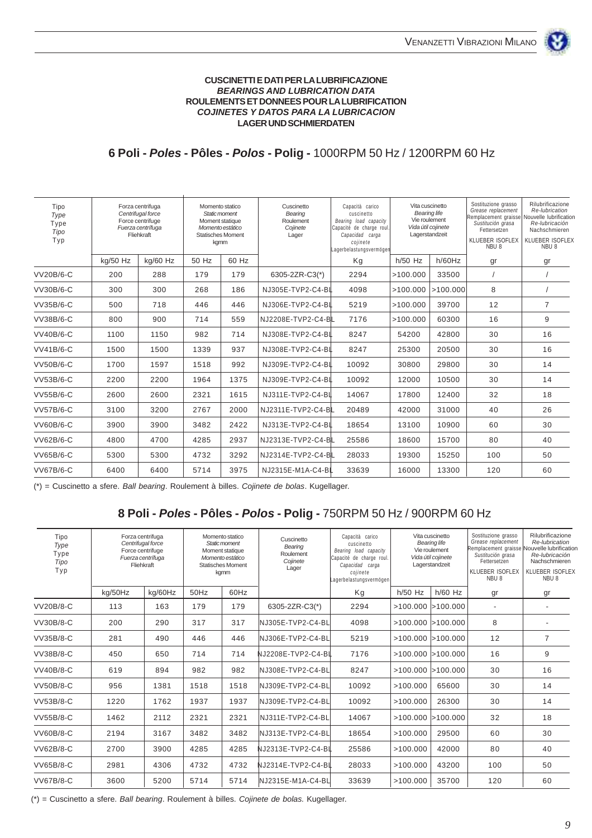### **CUSCINETTI E DATI PER LA LUBRIFICAZIONE BEARINGS AND LUBRICATION DATA ROULEMENTS ET DONNEES POUR LA LUBRIFICATION COJINETES Y DATOS PARA LA LUBRICACION LAGER UND SCHMIERDATEN**

## **6 Poli - Poles - Pôles - Polos - Polig -** 1000RPM 50 Hz / 1200RPM 60 Hz

| Tipo<br>Type<br>Type<br>Tipo<br>Typ | Forza centrifuga<br>Centrifugal force<br>Force centrifuge<br>Fuerza centrífuga<br>Fliehkraft |          | Cuscinetto<br>Momento statico<br>Static moment<br>Bearing<br>Roulement<br>Moment statique<br>Momento estático<br>Cojinete<br><b>Statisches Moment</b><br>Lager<br>kgmm | Capacità carico<br>cuscinetto<br>Bearing load capacity<br>Capacité de charge roul.<br>Capacidad carga<br>cojinete<br>Lagerbelastungsvermöger | Vita cuscinetto    | <b>Bearing life</b><br>Vie roulement<br>Vida útil cojinete<br>Lagerstandzeit | Sostituzione grasso<br>Grease replacement<br>Remplacement graisse Nouvelle lubrification<br>Sustitución grasa<br>Fettersetzen<br>KLUEBER ISOFLEX<br>NBU <sub>8</sub> | Rilubrificazione<br>Re-lubrication<br>Re-lubricación<br>Nachschmieren<br>KLUEBER ISOFLEX<br>NBU <sub>8</sub> |     |                |
|-------------------------------------|----------------------------------------------------------------------------------------------|----------|------------------------------------------------------------------------------------------------------------------------------------------------------------------------|----------------------------------------------------------------------------------------------------------------------------------------------|--------------------|------------------------------------------------------------------------------|----------------------------------------------------------------------------------------------------------------------------------------------------------------------|--------------------------------------------------------------------------------------------------------------|-----|----------------|
|                                     | kg/50 Hz                                                                                     | kg/60 Hz | 50 Hz                                                                                                                                                                  | 60 Hz                                                                                                                                        |                    | Kg                                                                           | $h/50$ Hz                                                                                                                                                            | h/60Hz                                                                                                       | gr  | gr             |
| VV20B/6-C                           | 200                                                                                          | 288      | 179                                                                                                                                                                    | 179                                                                                                                                          | 6305-2ZR-C3(*)     | 2294                                                                         | >100.000                                                                                                                                                             | 33500                                                                                                        |     |                |
| VV30B/6-C                           | 300                                                                                          | 300      | 268                                                                                                                                                                    | 186                                                                                                                                          | NJ305E-TVP2-C4-BL  | 4098                                                                         | >100.000                                                                                                                                                             | >100.000                                                                                                     | 8   |                |
| VV35B/6-C                           | 500                                                                                          | 718      | 446                                                                                                                                                                    | 446                                                                                                                                          | NJ306E-TVP2-C4-BL  | 5219                                                                         | >100.000                                                                                                                                                             | 39700                                                                                                        | 12  | $\overline{7}$ |
| VV38B/6-C                           | 800                                                                                          | 900      | 714                                                                                                                                                                    | 559                                                                                                                                          | NJ2208E-TVP2-C4-BL | 7176                                                                         | >100.000                                                                                                                                                             | 60300                                                                                                        | 16  | 9              |
| VV40B/6-C                           | 1100                                                                                         | 1150     | 982                                                                                                                                                                    | 714                                                                                                                                          | NJ308E-TVP2-C4-BL  | 8247                                                                         | 54200                                                                                                                                                                | 42800                                                                                                        | 30  | 16             |
| VV41B/6-C                           | 1500                                                                                         | 1500     | 1339                                                                                                                                                                   | 937                                                                                                                                          | NJ308E-TVP2-C4-BL  | 8247                                                                         | 25300                                                                                                                                                                | 20500                                                                                                        | 30  | 16             |
| VV50B/6-C                           | 1700                                                                                         | 1597     | 1518                                                                                                                                                                   | 992                                                                                                                                          | NJ309E-TVP2-C4-BL  | 10092                                                                        | 30800                                                                                                                                                                | 29800                                                                                                        | 30  | 14             |
| VV53B/6-C                           | 2200                                                                                         | 2200     | 1964                                                                                                                                                                   | 1375                                                                                                                                         | NJ309E-TVP2-C4-BL  | 10092                                                                        | 12000                                                                                                                                                                | 10500                                                                                                        | 30  | 14             |
| VV55B/6-C                           | 2600                                                                                         | 2600     | 2321                                                                                                                                                                   | 1615                                                                                                                                         | NJ311E-TVP2-C4-BL  | 14067                                                                        | 17800                                                                                                                                                                | 12400                                                                                                        | 32  | 18             |
| <b>VV57B/6-C</b>                    | 3100                                                                                         | 3200     | 2767                                                                                                                                                                   | 2000                                                                                                                                         | NJ2311E-TVP2-C4-BL | 20489                                                                        | 42000                                                                                                                                                                | 31000                                                                                                        | 40  | 26             |
| VV60B/6-C                           | 3900                                                                                         | 3900     | 3482                                                                                                                                                                   | 2422                                                                                                                                         | NJ313E-TVP2-C4-BL  | 18654                                                                        | 13100                                                                                                                                                                | 10900                                                                                                        | 60  | 30             |
| VV62B/6-C                           | 4800                                                                                         | 4700     | 4285                                                                                                                                                                   | 2937                                                                                                                                         | NJ2313E-TVP2-C4-BL | 25586                                                                        | 18600                                                                                                                                                                | 15700                                                                                                        | 80  | 40             |
| <b>VV65B/6-C</b>                    | 5300                                                                                         | 5300     | 4732                                                                                                                                                                   | 3292                                                                                                                                         | NJ2314E-TVP2-C4-BL | 28033                                                                        | 19300                                                                                                                                                                | 15250                                                                                                        | 100 | 50             |
| <b>VV67B/6-C</b>                    | 6400                                                                                         | 6400     | 5714                                                                                                                                                                   | 3975                                                                                                                                         | NJ2315E-M1A-C4-BL  | 33639                                                                        | 16000                                                                                                                                                                | 13300                                                                                                        | 120 | 60             |

 $(*)$  = Cuscinetto a sfere. Ball bearing. Roulement à billes. Cojinete de bolas. Kugellager.

## **8 Poli - Poles - Pôles - Polos - Polig -** 750RPM 50 Hz / 900RPM 60 Hz

| Tipo<br>Type<br>Type<br>Tipo<br>Typ |         | Forza centrifuga<br>Centrifugal force<br>Force centrifuge<br>Fuerza centrífuga<br>Fliehkraft |      | Momento statico<br>Static moment<br>Moment statique<br>Momento estático<br><b>Statisches Moment</b><br>kamm | Cuscinetto<br>Bearing<br>Roulement<br>Cojinete<br>Lager | Capacità carico<br>cuscinetto<br>Bearing load capacity<br>Capacité de charge roul.<br>Capacidad carga<br>cojinete<br>Lagerbelastungsvermögen |                       | Vita cuscinetto<br><b>Bearing life</b><br>Vie roulement<br>Vida útil cojinete<br>Lagerstandzeit | Sostituzione grasso<br>Grease replacement<br>Remplacement graisse<br>Sustitución grasa<br>Fettersetzen<br><b>KLUEBER ISOFLEX</b><br>NBU <sub>8</sub> | Rilubrificazione<br>Re-lubrication<br><b>Nouvelle lubrification</b><br>Re-lubricación<br>Nachschmieren<br>KLUEBER ISOFLEX<br>NBU <sub>8</sub> |
|-------------------------------------|---------|----------------------------------------------------------------------------------------------|------|-------------------------------------------------------------------------------------------------------------|---------------------------------------------------------|----------------------------------------------------------------------------------------------------------------------------------------------|-----------------------|-------------------------------------------------------------------------------------------------|------------------------------------------------------------------------------------------------------------------------------------------------------|-----------------------------------------------------------------------------------------------------------------------------------------------|
|                                     | kg/50Hz | kg/60Hz                                                                                      | 50Hz | 60Hz                                                                                                        |                                                         | Kg                                                                                                                                           | $h/50$ Hz             | $h/60$ Hz                                                                                       | gr                                                                                                                                                   | gr                                                                                                                                            |
| <b>VV20B/8-C</b>                    | 113     | 163                                                                                          | 179  | 179                                                                                                         | 6305-2ZR-C3(*)                                          | 2294                                                                                                                                         | $>100.000$ $>100.000$ |                                                                                                 | $\overline{\phantom{a}}$                                                                                                                             |                                                                                                                                               |
| VV30B/8-C                           | 200     | 290                                                                                          | 317  | 317                                                                                                         | $NJ305E-TVP2-C4-BL$                                     | 4098                                                                                                                                         | $>100.000$ $>100.000$ |                                                                                                 | 8                                                                                                                                                    |                                                                                                                                               |
| VV35B/8-C                           | 281     | 490                                                                                          | 446  | 446                                                                                                         | $NJ306E-TVP2-C4-BL$                                     | 5219                                                                                                                                         | $>100.000$ $>100.000$ |                                                                                                 | 12                                                                                                                                                   | $\overline{7}$                                                                                                                                |
| VV38B/8-C                           | 450     | 650                                                                                          | 714  | 714                                                                                                         | NJ2208E-TVP2-C4-BL                                      | 7176                                                                                                                                         | $>100.000$ $>100.000$ |                                                                                                 | 16                                                                                                                                                   | 9                                                                                                                                             |
| <b>VV40B/8-C</b>                    | 619     | 894                                                                                          | 982  | 982                                                                                                         | NJ308E-TVP2-C4-BL                                       | 8247                                                                                                                                         | $>100.000$ $>100.000$ |                                                                                                 | 30                                                                                                                                                   | 16                                                                                                                                            |
| <b>VV50B/8-C</b>                    | 956     | 1381                                                                                         | 1518 | 1518                                                                                                        | $NJ309E-TVP2-C4-BL$                                     | 10092                                                                                                                                        | >100.000              | 65600                                                                                           | 30                                                                                                                                                   | 14                                                                                                                                            |
| <b>VV53B/8-C</b>                    | 1220    | 1762                                                                                         | 1937 | 1937                                                                                                        | $NJ309E-TVP2-C4-BL$                                     | 10092                                                                                                                                        | >100.000              | 26300                                                                                           | 30                                                                                                                                                   | 14                                                                                                                                            |
| <b>VV55B/8-C</b>                    | 1462    | 2112                                                                                         | 2321 | 2321                                                                                                        | NJ311E-TVP2-C4-BL                                       | 14067                                                                                                                                        | $>100.000$ $>100.000$ |                                                                                                 | 32                                                                                                                                                   | 18                                                                                                                                            |
| <b>VV60B/8-C</b>                    | 2194    | 3167                                                                                         | 3482 | 3482                                                                                                        | $NJ313E-TVP2-C4-BL$                                     | 18654                                                                                                                                        | >100.000              | 29500                                                                                           | 60                                                                                                                                                   | 30                                                                                                                                            |
| VV62B/8-C                           | 2700    | 3900                                                                                         | 4285 | 4285                                                                                                        | NJ2313E-TVP2-C4-BL                                      | 25586                                                                                                                                        | >100.000              | 42000                                                                                           | 80                                                                                                                                                   | 40                                                                                                                                            |
| <b>VV65B/8-C</b>                    | 2981    | 4306                                                                                         | 4732 | 4732                                                                                                        | NJ2314E-TVP2-C4-BL                                      | 28033                                                                                                                                        | >100.000              | 43200                                                                                           | 100                                                                                                                                                  | 50                                                                                                                                            |
| <b>VV67B/8-C</b>                    | 3600    | 5200                                                                                         | 5714 | 5714                                                                                                        | NJ2315E-M1A-C4-BL                                       | 33639                                                                                                                                        | >100.000              | 35700                                                                                           | 120                                                                                                                                                  | 60                                                                                                                                            |

 $(*)$  = Cuscinetto a sfere. Ball bearing. Roulement à billes. Cojinete de bolas. Kugellager.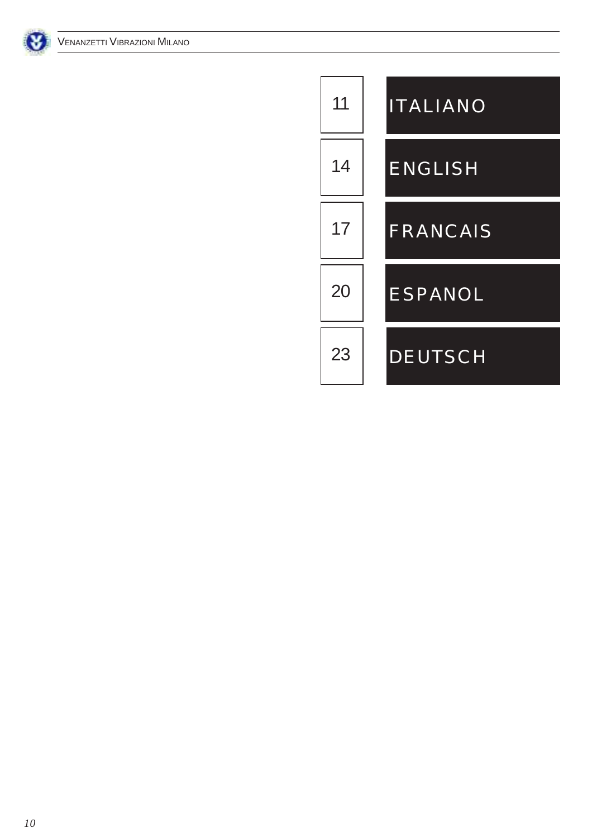

| 11 | <b>ITALIANO</b> |
|----|-----------------|
| 14 | <b>ENGLISH</b>  |
| 17 | FRANCAIS        |
| 20 | <b>ESPANOL</b>  |
| 23 | <b>DEUTSCH</b>  |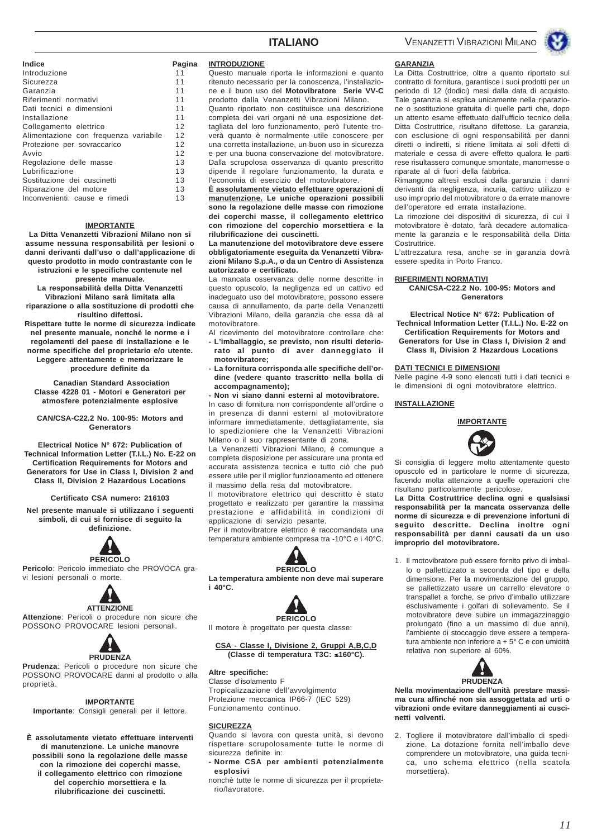

| <b>Indice</b>                         | Pac |
|---------------------------------------|-----|
| Introduzione                          | 11  |
| Sicurezza                             | 11  |
| Garanzia                              | 11  |
| Riferimenti normativi                 | 11  |
| Dati tecnici e dimensioni             | 11  |
| Installazione                         | 11  |
| Collegamento elettrico                | 12  |
| Alimentazione con frequenza variabile | 12  |
| Protezione per sovraccarico           | 12  |
| Avvio                                 | 12  |
| Regolazione delle masse               | 13  |
| Lubrificazione                        | 13  |
| Sostituzione dei cuscinetti           | 13  |

#### **IMPORTANTE**

Riparazione del motore 13 Inconvenienti: cause e rimedi 13

**La Ditta Venanzetti Vibrazioni Milano non si assume nessuna responsabilità per lesioni o danni derivanti dall'uso o dall'applicazione di questo prodotto in modo contrastante con le istruzioni e le specifiche contenute nel**

**presente manuale.**

**La responsabilità della Ditta Venanzetti Vibrazioni Milano sarà limitata alla riparazione o alla sostituzione di prodotti che risultino difettosi.**

**Rispettare tutte le norme di sicurezza indicate nel presente manuale, nonché le norme e i regolamenti del paese di installazione e le norme specifiche del proprietario e/o utente. Leggere attentamente e memorizzare le procedure definite da**

 **Canadian Standard Association Classe 4228 01 - Motori e Generatori per atmosfere potenzialmente esplosive**

#### **CAN/CSA-C22.2 No. 100-95: Motors and Generators**

**Electrical Notice N° 672: Publication of Technical Information Letter (T.I.L.) No. E-22 on Certification Requirements for Motors and Generators for Use in Class I, Division 2 and Class II, Division 2 Hazardous Locations**

#### **Certificato CSA numero: 216103**

**Nel presente manuale si utilizzano i seguenti simboli, di cui si fornisce di seguito la definizione.**



**Pericolo**: Pericolo immediato che PROVOCA gravi lesioni personali o morte.



**Attenzione**: Pericoli o procedure non sicure che POSSONO PROVOCARE lesioni personali.



**Prudenza**: Pericoli o procedure non sicure che POSSONO PROVOCARE danni al prodotto o alla proprietà.

#### **IMPORTANTE**

**Importante**: Consigli generali per il lettore.

**È assolutamente vietato effettuare interventi di manutenzione. Le uniche manovre possibili sono la regolazione delle masse con la rimozione dei coperchi masse, il collegamento elettrico con rimozione del coperchio morsettiera e la rilubrificazione dei cuscinetti.**

#### **INTRODUZIONE**

**Pagina** 

Questo manuale riporta le informazioni e quanto ritenuto necessario per la conoscenza, l'installazione e il buon uso del **Motovibratore Serie VV-C** prodotto dalla Venanzetti Vibrazioni Milano. Quanto riportato non costituisce una descrizione completa dei vari organi nè una esposizione dettagliata del loro funzionamento, però l'utente troverà quanto è normalmente utile conoscere per una corretta installazione, un buon uso in sicurezza e per una buona conservazione del motovibratore. Dalla scrupolosa osservanza di quanto prescritto dipende il regolare funzionamento, la durata e l'economia di esercizio del motovibratore.

**È assolutamente vietato effettuare operazioni di manutenzione. Le uniche operazioni possibili sono la regolazione delle masse con rimozione dei coperchi masse, il collegamento elettrico con rimozione del coperchio morsettiera e la rilubrificazione dei cuscinetti.**

**La manutenzione del motovibratore deve essere obbligatoriamente eseguita da Venanzetti Vibrazioni Milano S.p.A., o da un Centro di Assistenza autorizzato e certificato.**

La mancata osservanza delle norme descritte in questo opuscolo, la negligenza ed un cattivo ed inadeguato uso del motovibratore, possono essere causa di annullamento, da parte della Venanzetti Vibrazioni Milano, della garanzia che essa dà al motovibratore.

Al ricevimento del motovibratore controllare che: **- L'imballaggio, se previsto, non risulti deteriorato al punto di aver danneggiato il motovibratore;**

- **La fornitura corrisponda alle specifiche dell'ordine (vedere quanto trascritto nella bolla di accompagnamento);**
- **Non vi siano danni esterni al motovibratore.**

In caso di fornitura non corrispondente all'ordine o in presenza di danni esterni al motovibratore informare immediatamente, dettagliatamente, sia lo spedizioniere che la Venanzetti Vibrazioni Milano o il suo rappresentante di zona.

La Venanzetti Vibrazioni Milano, è comunque a completa disposizione per assicurare una pronta ed accurata assistenza tecnica e tutto ciò che può essere utile per il miglior funzionamento ed ottenere il massimo della resa dal motovibratore.

Il motovibratore elettrico qui descritto è stato progettato e realizzato per garantire la massima prestazione e affidabilità in condizioni di applicazione di servizio pesante.

Per il motovibratore elettrico è raccomandata una temperatura ambiente compresa tra -10°C e i 40°C.



**La temperatura ambiente non deve mai superare i 40°C.**



Il motore è progettato per questa classe:

#### **CSA - Classe I, Divisione 2, Gruppi A,B,C,D (Classe di temperatura T3C:** ≤**160°C).**

#### **Altre specifiche:**

Classe d'isolamento F Tropicalizzazione dell'avvolgimento Protezione meccanica IP66-7 (IEC 529) Funzionamento continuo.

#### **SICUREZZA**

Quando si lavora con questa unità, si devono rispettare scrupolosamente tutte le norme di sicurezza definite in:

**- Norme CSA per ambienti potenzialmente esplosivi**

nonchè tutte le norme di sicurezza per il proprietario/lavoratore.

#### **GARANZIA**

La Ditta Costruttrice, oltre a quanto riportato sul contratto di fornitura, garantisce i suoi prodotti per un periodo di 12 (dodici) mesi dalla data di acquisto. Tale garanzia si esplica unicamente nella riparazione o sostituzione gratuita di quelle parti che, dopo un attento esame effettuato dall'ufficio tecnico della Ditta Costruttrice, risultano difettose. La garanzia, con esclusione di ogni responsabilità per danni diretti o indiretti, si ritiene limitata ai soli difetti di materiale e cessa di avere effetto qualora le parti rese risultassero comunque smontate, manomesse o riparate al di fuori della fabbrica.

Rimangono altresì esclusi dalla garanzia i danni derivanti da negligenza, incuria, cattivo utilizzo e uso improprio del motovibratore o da errate manovre dell'operatore ed errata installazione.

La rimozione dei dispositivi di sicurezza, di cui il motovibratore è dotato, farà decadere automaticamente la garanzia e le responsabilità della Ditta Costruttrice.

L'attrezzatura resa, anche se in garanzia dovrà essere spedita in Porto Franco.

#### **RIFERIMENTI NORMATIVI**

**CAN/CSA-C22.2 No. 100-95: Motors and Generators**

**Electrical Notice N° 672: Publication of Technical Information Letter (T.I.L.) No. E-22 on Certification Requirements for Motors and Generators for Use in Class I, Division 2 and Class II, Division 2 Hazardous Locations**

#### **DATI TECNICI E DIMENSIONI**

Nelle pagine 4-9 sono elencati tutti i dati tecnici e le dimensioni di ogni motovibratore elettrico.

#### **INSTALLAZIONE**

**IMPORTANTE**



Si consiglia di leggere molto attentamente questo opuscolo ed in particolare le norme di sicurezza, facendo molta attenzione a quelle operazioni che risultano particolarmente pericolose.

**La Ditta Costruttrice declina ogni e qualsiasi responsabilità per la mancata osservanza delle norme di sicurezza e di prevenzione infortuni di seguito descritte. Declina inoltre ogni responsabilità per danni causati da un uso improprio del motovibratore.**

1. Il motovibratore può essere fornito privo di imballo o pallettizzato a seconda del tipo e della dimensione. Per la movimentazione del gruppo, se pallettizzato usare un carrello elevatore o transpallet a forche, se privo d'imballo utilizzare esclusivamente i golfari di sollevamento. Se il motovibratore deve subire un immagazzinaggio prolungato (fino a un massimo di due anni), l'ambiente di stoccaggio deve essere a temperatura ambiente non inferiore a + 5° C e con umidità relativa non superiore al 60%.



**Nella movimentazione dell'unità prestare massima cura affinché non sia assoggettata ad urti o vibrazioni onde evitare danneggiamenti ai cuscinetti volventi.**

2. Togliere il motovibratore dall'imballo di spedizione. La dotazione fornita nell'imballo deve comprendere un motovibratore, una guida tecnica, uno schema elettrico (nella scatola morsettiera).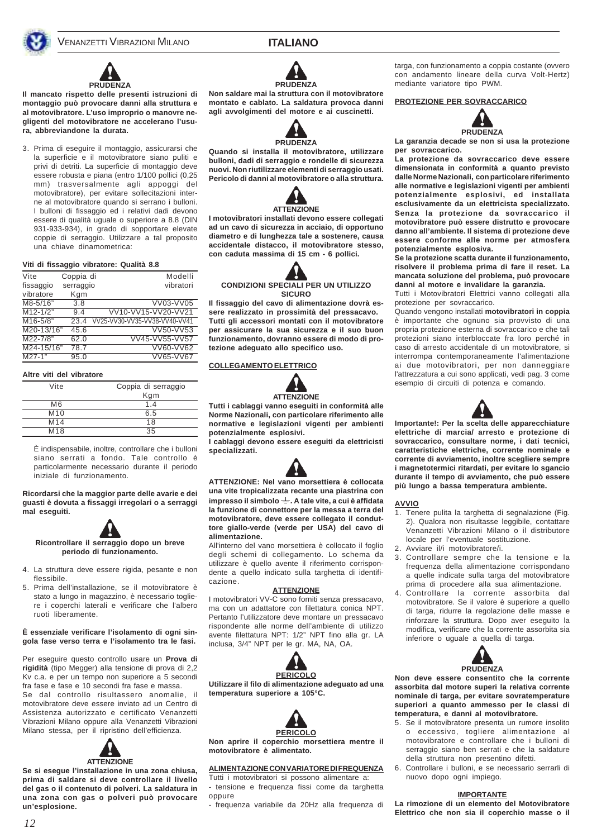### **ITALIANO**



# **PRUDENZA**

**Il mancato rispetto delle presenti istruzioni di montaggio può provocare danni alla struttura e al motovibratore. L'uso improprio o manovre negligenti del motovibratore ne accelerano l'usura, abbreviandone la durata.**

3. Prima di eseguire il montaggio, assicurarsi che la superficie e il motovibratore siano puliti e privi di detriti. La superficie di montaggio deve essere robusta e piana (entro 1/100 pollici (0,25 mm) trasversalmente agli appoggi del motovibratore), per evitare sollecitazioni interne al motovibratore quando si serrano i bulloni. I bulloni di fissaggio ed i relativi dadi devono essere di qualità uguale o superiore a 8.8 (DIN 931-933-934), in grado di sopportare elevate coppie di serraggio. Utilizzare a tal proposito una chiave dinamometrica:

#### **Viti di fissaggio vibratore: Qualità 8.8**

| Vite         | Coppia di        | Modelli                       |
|--------------|------------------|-------------------------------|
| fissaggio    | serraggio        | vibratori                     |
| vibratore    | Kgm              |                               |
| M8-5/16"     | $\overline{3.8}$ | VV03-VV05                     |
| $M12 - 1/2"$ | 9.4              | VV10-VV15-VV20-VV21           |
| M16-5/8"     | 23.4             | VV25-VV30-VV35-VV38-VV40-VV41 |
| M20-13/16"   | 45.6             | VV50-VV53                     |
| M22-7/8"     | 62.0             | VV45-VV55-VV57                |
| M24-15/16"   | 78.7             | VV60-VV62                     |
| $M27-1"$     | 95.0             | VV65-VV67                     |

#### **Altre viti del vibratore**

| Vite            | Coppia di serraggio |
|-----------------|---------------------|
|                 | Kgm                 |
| M6              | 1.4                 |
| M10             | 6.5                 |
| M <sub>14</sub> | 18                  |
| M <sub>18</sub> | 35                  |

È indispensabile, inoltre, controllare che i bulloni siano serrati a fondo. Tale controllo è particolarmente necessario durante il periodo iniziale di funzionamento.

**Ricordarsi che la maggior parte delle avarie e dei guasti è dovuta a fissaggi irregolari o a serraggi mal eseguiti.**



- 4. La struttura deve essere rigida, pesante e non flessibile.
- 5. Prima dell'installazione, se il motovibratore è stato a lungo in magazzino, è necessario togliere i coperchi laterali e verificare che l'albero ruoti liberamente.

#### **È essenziale verificare l'isolamento di ogni singola fase verso terra e l'isolamento tra le fasi.**

Per eseguire questo controllo usare un **Prova di rigidità** (tipo Megger) alla tensione di prova di 2,2 Kv c.a. e per un tempo non superiore a 5 secondi fra fase e fase e 10 secondi fra fase e massa.

Se dal controllo risultassero anomalie, il motovibratore deve essere inviato ad un Centro di Assistenza autorizzato e certificato Venanzetti Vibrazioni Milano oppure alla Venanzetti Vibrazioni Milano stessa, per il ripristino dell'efficienza.



**Se si esegue l'installazione in una zona chiusa, prima di saldare si deve controllare il livello del gas o il contenuto di polveri. La saldatura in una zona con gas o polveri può provocare un'esplosione.**



**Non saldare mai la struttura con il motovibratore montato e cablato. La saldatura provoca danni agli avvolgimenti del motore e ai cuscinetti.**



**Quando si installa il motovibratore, utilizzare bulloni, dadi di serraggio e rondelle di sicurezza nuovi. Non riutilizzare elementi di serraggio usati. Pericolo di danni al motovibratore o alla struttura.**



**I motovibratori installati devono essere collegati ad un cavo di sicurezza in acciaio, di opportuno diametro e di lunghezza tale a sostenere, causa accidentale distacco, il motovibratore stesso, con caduta massima di 15 cm - 6 pollici.**



**Il fissaggio del cavo di alimentazione dovrà essere realizzato in prossimità del pressacavo. Tutti gli accessori montati con il motovibratore per assicurare la sua sicurezza e il suo buon funzionamento, dovranno essere di modo di protezione adeguato allo specifico uso.**

#### **COLLEGAMENTO ELETTRICO**



**Tutti i cablaggi vanno eseguiti in conformità alle Norme Nazionali, con particolare riferimento alle normative e legislazioni vigenti per ambienti potenzialmente esplosivi.**

**I cablaggi devono essere eseguiti da elettricisti specializzati.**

**ATTENZIONE: Nel vano morsettiera è collocata una vite tropicalizzata recante una piastrina con impresso il simbolo . A tale vite, a cui è affidata la funzione di connettore per la messa a terra del motovibratore, deve essere collegato il conduttore giallo-verde (verde per USA) del cavo di alimentazione.**

All'interno del vano morsettiera è collocato il foglio degli schemi di collegamento. Lo schema da utilizzare è quello avente il riferimento corrispondente a quello indicato sulla targhetta di identificazione.

#### **ATTENZIONE**

I motovibratori VV-C sono forniti senza pressacavo, ma con un adattatore con filettatura conica NPT. Pertanto l'utilizzatore deve montare un pressacavo rispondente alle norme dell'ambiente di utilizzo avente filettatura NPT: 1/2" NPT fino alla gr. LA inclusa, 3/4" NPT per le gr. MA, NA, OA.



**Utilizzare il filo di alimentazione adeguato ad una temperatura superiore a 105°C.**



**Non aprire il coperchio morsettiera mentre il motovibratore è alimentato.**

#### **ALIMENTAZIONE CON VARIATORE DI FREQUENZA**

Tutti i motovibratori si possono alimentare a: - tensione e frequenza fissi come da targhetta oppure

- frequenza variabile da 20Hz alla frequenza di

targa, con funzionamento a coppia costante (ovvero con andamento lineare della curva Volt-Hertz) mediante variatore tipo PWM.

#### **PROTEZIONE PER SOVRACCARICO**



**La garanzia decade se non si usa la protezione per sovraccarico.**

**La protezione da sovraccarico deve essere dimensionata in conformità a quanto previsto dalle Norme Nazionali, con particolare riferimento alle normative e legislazioni vigenti per ambienti potenzialmente esplosivi, ed installata esclusivamente da un elettricista specializzato. Senza la protezione da sovraccarico il motovibratore può essere distrutto e provocare danno all'ambiente. Il sistema di protezione deve essere conforme alle norme per atmosfera potenzialmente esplosiva.**

**Se la protezione scatta durante il funzionamento, risolvere il problema prima di fare il reset. La mancata soluzione del problema, può provocare danni al motore e invalidare la garanzia.**

Tutti i Motovibratori Elettrici vanno collegati alla protezione per sovraccarico.

Quando vengono installati **motovibratori in coppia** è importante che ognuno sia provvisto di una propria protezione esterna di sovraccarico e che tali protezioni siano interbloccate fra loro perché in caso di arresto accidentale di un motovibratore, si interrompa contemporaneamente l'alimentazione ai due motovibratori, per non danneggiare l'attrezzatura a cui sono applicati, vedi pag. 3 come esempio di circuiti di potenza e comando.



**Importante!: Per la scelta delle apparecchiature elettriche di marcia/ arresto e protezione di sovraccarico, consultare norme, i dati tecnici, caratteristiche elettriche, corrente nominale e corrente di avviamento, inoltre scegliere sempre i magnetotermici ritardati, per evitare lo sgancio durante il tempo di avviamento, che può essere più lungo a bassa temperatura ambiente.**

#### **AVVIO**

- 1. Tenere pulita la targhetta di segnalazione (Fig. 2). Qualora non risultasse leggibile, contattare Venanzetti Vibrazioni Milano o il distributore locale per l'eventuale sostituzione.
- 2. Avviare il/i motovibratore/i.
- 3. Controllare sempre che la tensione e la frequenza della alimentazione corrispondano a quelle indicate sulla targa del motovibratore prima di procedere alla sua alimentazione.
- 4. Controllare la corrente assorbita dal motovibratore. Se il valore è superiore a quello di targa, ridurre la regolazione delle masse e rinforzare la struttura. Dopo aver eseguito la modifica, verificare che la corrente assorbita sia inferiore o uguale a quella di targa.



**Non deve essere consentito che la corrente assorbita dal motore superi la relativa corrente nominale di targa, per evitare sovratemperature superiori a quanto ammesso per le classi di temperatura, e danni al motovibratore.**

- 5. Se il motovibratore presenta un rumore insolito o eccessivo, togliere alimentazione al motovibratore e controllare che i bulloni di serraggio siano ben serrati e che la saldature della struttura non presentino difetti.
- 6. Controllare i bulloni, e se necessario serrarli di nuovo dopo ogni impiego.

#### **IMPORTANTE**

**La rimozione di un elemento del Motovibratore Elettrico che non sia il coperchio masse o il**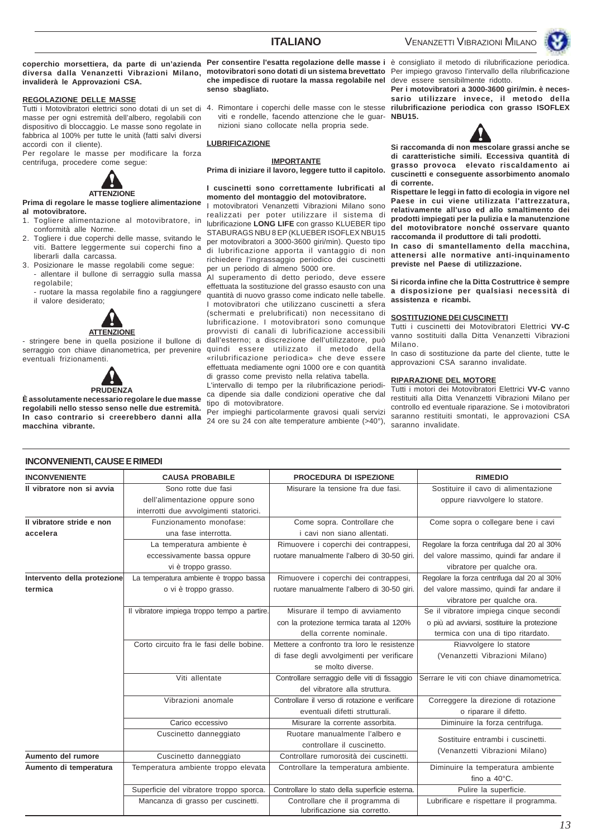coperchio morsettiera, da parte di un'azienda Per consentire l'esatta regolazione delle masse i è consigliato il metodo di rilubrificazione periodica. **diversa dalla Venanzetti Vibrazioni Milano, motovibratori sono dotati di un sistema brevettato** Per impiego gravoso l'intervallo della rilubrificazione **invaliderà le Approvazioni CSA.**

#### **REGOLAZIONE DELLE MASSE**

Tutti i Motovibratori elettrici sono dotati di un set di masse per ogni estremità dell'albero, regolabili con dispositivo di bloccaggio. Le masse sono regolate in fabbrica al 100% per tutte le unità (fatti salvi diversi accordi con il cliente).

Per regolare le masse per modificare la forza centrifuga, procedere come segue:



**Prima di regolare le masse togliere alimentazione al motovibratore.**

- 1. Togliere alimentazione al motovibratore, in conformità alle Norme.
- 2. Togliere i due coperchi delle masse, svitando le viti. Battere leggermente sui coperchi fino a liberarli dalla carcassa.
- 3. Posizionare le masse regolabili come segue: - allentare il bullone di serraggio sulla massa regolabile;
	- ruotare la massa regolabile fino a raggiungere il valore desiderato;



- stringere bene in quella posizione il bullone di eventuali frizionamenti.



**È assolutamente necessario regolare le due masse regolabili nello stesso senso nelle due estremità. In caso contrario si creerebbero danni alla macchina vibrante.**

**che impedisce di ruotare la massa regolabile nel** deve essere sensibilmente ridotto. **senso sbagliato.**

viti e rondelle, facendo attenzione che le guar-**NBU15.** nizioni siano collocate nella propria sede.

#### **LUBRIFICAZIONE**

#### **IMPORTANTE**

**Prima di iniziare il lavoro, leggere tutto il capitolo.**

#### **I cuscinetti sono correttamente lubrificati al momento del montaggio del motovibratore.**

motovibratori Venanzetti Vibrazioni Milano sono realizzati per poter utilizzare il sistema di lubrificazione **LONG LIFE** con grasso KLUEBER tipo STABURAGS NBU 8 EP (KLUEBER ISOFLEX NBU15 per motovibratori a 3000-3600 giri/min). Questo tipo di lubrificazione apporta il vantaggio di non richiedere l'ingrassaggio periodico dei cuscinetti per un periodo di almeno 5000 ore.

serraggio con chiave dinanometrica, per prevenire quindi essere utilizzato il metodo della Al superamento di detto periodo, deve essere effettuata la sostituzione del grasso esausto con una quantità di nuovo grasso come indicato nelle tabelle. I motovibratori che utilizzano cuscinetti a sfera (schermati e prelubrificati) non necessitano di lubrificazione. I motovibratori sono comunque provvisti di canali di lubrificazione accessibili dall'esterno; a discrezione dell'utilizzatore, può «rilubrificazione periodica» che deve essere effettuata mediamente ogni 1000 ore e con quantità di grasso come previsto nella relativa tabella.

L'intervallo di tempo per la rilubrificazione periodica dipende sia dalle condizioni operative che dal tipo di motovibratore.

Per impieghi particolarmente gravosi quali servizi 24 ore su 24 con alte temperature ambiente (>40°),

4. Rimontare i coperchi delle masse con le stesse **rilubrificazione periodica con grasso ISOFLEX Per i motovibratori a 3000-3600 giri/min. è necessario utilizzare invece, il metodo della**



**Si raccomanda di non mescolare grassi anche se di caratteristiche simili. Eccessiva quantità di grasso provoca elevato riscaldamento ai cuscinetti e conseguente assorbimento anomalo di corrente.**

**Rispettare le leggi in fatto di ecologia in vigore nel Paese in cui viene utilizzata l'attrezzatura, relativamente all'uso ed allo smaltimento dei prodotti impiegati per la pulizia e la manutenzione del motovibratore nonché osservare quanto raccomanda il produttore di tali prodotti.**

**In caso di smantellamento della macchina, attenersi alle normative anti-inquinamento previste nel Paese di utilizzazione.**

**Si ricorda infine che la Ditta Costruttrice è sempre a disposizione per qualsiasi necessità di assistenza e ricambi.**

#### **SOSTITUZIONE DEI CUSCINETTI**

Tutti i cuscinetti dei Motovibratori Elettrici **VV-C** vanno sostituiti dalla Ditta Venanzetti Vibrazioni Milano.

In caso di sostituzione da parte del cliente, tutte le approvazioni CSA saranno invalidate.

#### **RIPARAZIONE DEL MOTORE**

Tutti i motori dei Motovibratori Elettrici **VV-C** vanno restituiti alla Ditta Venanzetti Vibrazioni Milano per controllo ed eventuale riparazione. Se i motovibratori saranno restituiti smontati, le approvazioni CSA saranno invalidate.

| <b>INCONVENIENTE</b>        | <b>CAUSA PROBABILE</b>                       | <b>PROCEDURA DI ISPEZIONE</b>                  | <b>RIMEDIO</b>                              |
|-----------------------------|----------------------------------------------|------------------------------------------------|---------------------------------------------|
| Il vibratore non si avvia   | Sono rotte due fasi                          | Misurare la tensione fra due fasi.             | Sostituire il cavo di alimentazione         |
|                             | dell'alimentazione oppure sono               |                                                | oppure riavvolgere lo statore.              |
|                             | interrotti due avvolgimenti statorici.       |                                                |                                             |
| Il vibratore stride e non   | Funzionamento monofase:                      | Come sopra. Controllare che                    | Come sopra o collegare bene i cavi          |
| accelera                    | una fase interrotta.                         | i cavi non siano allentati.                    |                                             |
|                             | La temperatura ambiente è                    | Rimuovere i coperchi dei contrappesi,          | Regolare la forza centrifuga dal 20 al 30%  |
|                             | eccessivamente bassa oppure                  | ruotare manualmente l'albero di 30-50 giri.    | del valore massimo, quindi far andare il    |
|                             | vi è troppo grasso.                          |                                                | vibratore per qualche ora.                  |
| Intervento della protezione | La temperatura ambiente è troppo bassa       | Rimuovere i coperchi dei contrappesi,          | Regolare la forza centrifuga dal 20 al 30%  |
| termica                     | o vi è troppo grasso.                        | ruotare manualmente l'albero di 30-50 giri.    | del valore massimo, quindi far andare il    |
|                             |                                              |                                                | vibratore per qualche ora.                  |
|                             | Il vibratore impiega troppo tempo a partire. | Misurare il tempo di avviamento                | Se il vibratore impiega cinque secondi      |
|                             |                                              | con la protezione termica tarata al 120%       | o più ad avviarsi, sostituire la protezione |
|                             |                                              | della corrente nominale.                       | termica con una di tipo ritardato.          |
|                             | Corto circuito fra le fasi delle bobine.     | Mettere a confronto tra loro le resistenze     | Riavvolgere lo statore                      |
|                             |                                              | di fase degli avvolgimenti per verificare      | (Venanzetti Vibrazioni Milano)              |
|                             |                                              | se molto diverse.                              |                                             |
|                             | Viti allentate                               | Controllare serraggio delle viti di fissaggio  | Serrare le viti con chiave dinamometrica.   |
|                             |                                              | del vibratore alla struttura.                  |                                             |
|                             | Vibrazioni anomale                           | Controllare il verso di rotazione e verificare | Correggere la direzione di rotazione        |
|                             |                                              | eventuali difetti strutturali.                 | o riparare il difetto.                      |
|                             | Carico eccessivo                             | Misurare la corrente assorbita.                | Diminuire la forza centrifuga.              |
|                             | Cuscinetto danneggiato                       | Ruotare manualmente l'albero e                 | Sostituire entrambi i cuscinetti.           |
|                             |                                              | controllare il cuscinetto.                     | (Venanzetti Vibrazioni Milano)              |
| Aumento del rumore          | Cuscinetto danneggiato                       | Controllare rumorosità dei cuscinetti.         |                                             |
| Aumento di temperatura      | Temperatura ambiente troppo elevata          | Controllare la temperatura ambiente.           | Diminuire la temperatura ambiente           |
|                             |                                              |                                                | fino a $40^{\circ}$ C.                      |
|                             | Superficie del vibratore troppo sporca.      | Controllare lo stato della superficie esterna. | Pulire la superficie.                       |
|                             | Mancanza di grasso per cuscinetti.           | Controllare che il programma di                | Lubrificare e rispettare il programma.      |

lubrificazione sia corretto.

#### **INCONVENIENTI, CAUSE E RIMEDI**

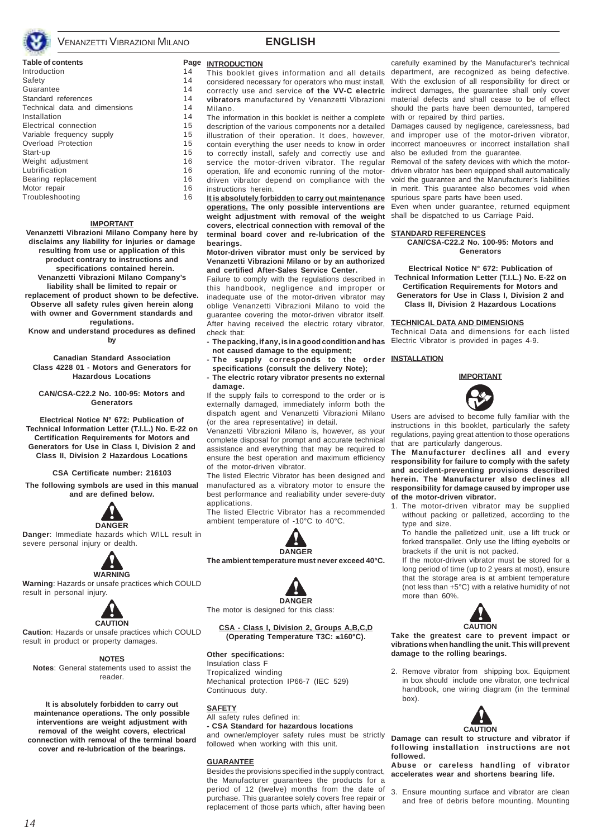

#### **Table of contents** Introduction 14 Safety 14 Guarantee 14 Standard references 14 Technical data and dimensions 14 Installation 14 Electrical connection 15 Variable frequency supply 15 Overload Protection 15 Start-up 15 Weight adjustment 16 Lubrification 16 Bearing replacement 16 Motor repair 16 Troubleshooting 16

#### **IMPORTANT**

**Venanzetti Vibrazioni Milano Company here by disclaims any liability for injuries or damage resulting from use or application of this product contrary to instructions and specifications contained herein. Venanzetti Vibrazioni Milano Company's liability shall be limited to repair or replacement of product shown to be defective.**

**Observe all safety rules given herein along with owner and Government standards and regulations.**

**Know and understand procedures as defined by**

**Canadian Standard Association Class 4228 01 - Motors and Generators for Hazardous Locations**

**CAN/CSA-C22.2 No. 100-95: Motors and Generators**

**Electrical Notice N° 672: Publication of Technical Information Letter (T.I.L.) No. E-22 on Certification Requirements for Motors and Generators for Use in Class I, Division 2 and Class II, Division 2 Hazardous Locations**

**CSA Certificate number: 216103**

**The following symbols are used in this manual and are defined below.**



**Danger**: Immediate hazards which WILL result in severe personal injury or dealth.



**Warning**: Hazards or unsafe practices which COULD result in personal injury.



**Caution**: Hazards or unsafe practices which COULD result in product or property damages.

#### **NOTES**

**Notes**: General statements used to assist the reader.

**It is absolutely forbidden to carry out maintenance operations. The only possible interventions are weight adjustment with removal of the weight covers, electrical connection with removal of the terminal board cover and re-lubrication of the bearings.**

## **ENGLISH**

#### **Page INTRODUCTION**

This booklet gives information and all details considered necessary for operators who must install, correctly use and service **of the VV-C electric vibrators** manufactured by Venanzetti Vibrazioni Milano.

The information in this booklet is neither a complete description of the various components nor a detailed illustration of their operation. It does, however, contain everything the user needs to know in order to correctly install, safely and correctly use and service the motor-driven vibrator. The regular operation, life and economic running of the motordriven vibrator depend on compliance with the instructions herein.

**It is absolutely forbidden to carry out maintenance** spurious spare parts have been used. **operations. The only possible interventions are weight adjustment with removal of the weight** shall be dispatched to us Carriage Paid. **covers, electrical connection with removal of the terminal board cover and re-lubrication of the bearings.**

#### **Motor-driven vibrator must only be serviced by Venanzetti Vibrazioni Milano or by an authorized and certified After-Sales Service Center.**

Failure to comply with the regulations described in this handbook, negligence and improper or inadequate use of the motor-driven vibrator may oblige Venanzetti Vibrazioni Milano to void the guarantee covering the motor-driven vibrator itself. After having received the electric rotary vibrator, check that:

- **The packing, if any, is in a good condition and has not caused damage to the equipment;**
- **The supply corresponds to the order INSTALLATION specifications (consult the delivery Note);**
- **The electric rotary vibrator presents no external damage.**

If the supply fails to correspond to the order or is externally damaged, immediately inform both the dispatch agent and Venanzetti Vibrazioni Milano (or the area representative) in detail.

Venanzetti Vibrazioni Milano is, however, as your complete disposal for prompt and accurate technical assistance and everything that may be required to ensure the best operation and maximum efficiency of the motor-driven vibrator.

The listed Electric Vibrator has been designed and manufactured as a vibratory motor to ensure the best performance and realiability under severe-duty applications.

The listed Electric Vibrator has a recommended ambient temperature of -10°C to 40°C.



**The ambient temperature must never exceed 40°C.**



The motor is designed for this class:

#### **CSA - Class I, Division 2, Groups A,B,C,D (Operating Temperature T3C:** ≤**160°C).**

#### **Other specifications:**

Insulation class F Tropicalized winding Mechanical protection IP66-7 (IEC 529) Continuous duty.

#### **SAFETY**

All safety rules defined in: **- CSA Standard for hazardous locations** and owner/employer safety rules must be strictly followed when working with this unit.

#### **GUARANTEE**

Besides the provisions specified in the supply contract, the Manufacturer guarantees the products for a period of 12 (twelve) months from the date of purchase. This guarantee solely covers free repair or replacement of those parts which, after having been

carefully examined by the Manufacturer's technical department, are recognized as being defective. With the exclusion of all responsibility for direct or indirect damages, the guarantee shall only cover material defects and shall cease to be of effect should the parts have been demounted, tampered with or repaired by third parties.

Damages caused by negligence, carelessness, bad and improper use of the motor-driven vibrator, incorrect manoeuvres or incorrect installation shall also be exluded from the guarantee.

Removal of the safety devices with which the motordriven vibrator has been equipped shall automatically void the guarantee and the Manufacturer's liabilities in merit. This guarantee also becomes void when

Even when under guarantee, returned equipment

#### **STANDARD REFERENCES**

**CAN/CSA-C22.2 No. 100-95: Motors and Generators**

**Electrical Notice N° 672: Publication of Technical Information Letter (T.I.L.) No. E-22 on Certification Requirements for Motors and Generators for Use in Class I, Division 2 and**

**Class II, Division 2 Hazardous Locations**

### **TECHNICAL DATA AND DIMENSIONS**

Technical Data and dimensions for each listed Electric Vibrator is provided in pages 4-9.





Users are advised to become fully familiar with the instructions in this booklet, particularly the safety regulations, paying great attention to those operations that are particularly dangerous.

**The Manufacturer declines all and every responsibility for failure to comply with the safety and accident-preventing provisions described herein. The Manufacturer also declines all responsibility for damage caused by improper use of the motor-driven vibrator.**

1. The motor-driven vibrator may be supplied without packing or palletized, according to the type and size.

To handle the palletized unit, use a lift truck or forked transpallet. Only use the lifting eyebolts or brackets if the unit is not packed.

If the motor-driven vibrator must be stored for a long period of time (up to 2 years at most), ensure that the storage area is at ambient temperature (not less than +5°C) with a relative humidity of not more than 60%.



**Take the greatest care to prevent impact or vibrations when handling the unit. This will prevent damage to the rolling bearings.**

2. Remove vibrator from shipping box. Equipment in box should include one vibrator, one technical handbook, one wiring diagram (in the terminal box).



**Damage can result to structure and vibrator if following installation instructions are not followed.**

**Abuse or careless handling of vibrator accelerates wear and shortens bearing life.**

3. Ensure mounting surface and vibrator are clean and free of debris before mounting. Mounting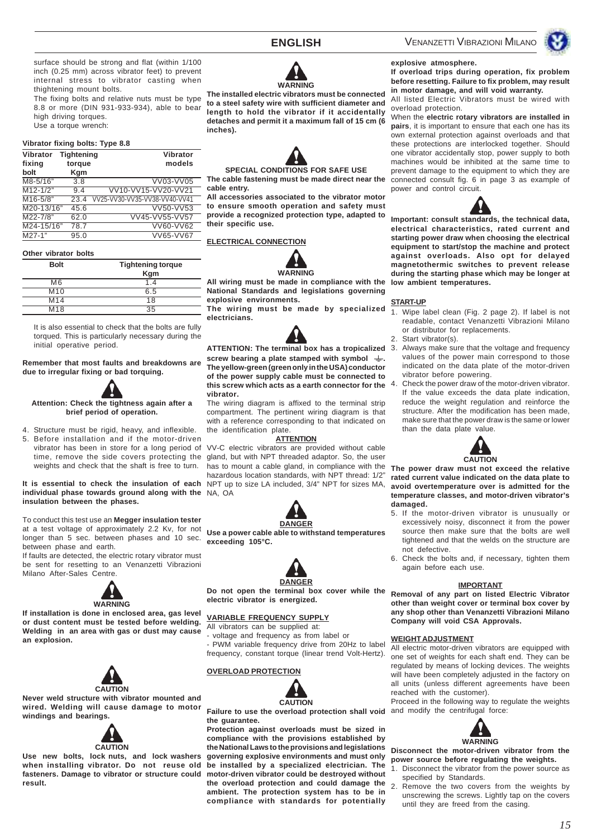surface should be strong and flat (within 1/100 inch (0.25 mm) across vibrator feet) to prevent internal stress to vibrator casting when thightening mount bolts.

The fixing bolts and relative nuts must be type 8.8 or more (DIN 931-933-934), able to bear high driving torques. Use a torque wrench:

#### **Vibrator fixing bolts: Type 8.8**

| Vibrator<br>fixing<br>bolt | <b>Tightening</b><br>torque<br>Kgm | Vibrator<br>models            |
|----------------------------|------------------------------------|-------------------------------|
| M8-5/16"                   | 3.8                                | VV03-VV05                     |
| $M12 - 1/2"$               | 9.4                                | VV10-VV15-VV20-VV21           |
| M16-5/8"                   | 23.4                               | VV25-VV30-VV35-VV38-VV40-VV41 |
| M20-13/16"                 | 45.6                               | VV50-VV53                     |
| M22-7/8"                   | 62.0                               | VV45-VV55-VV57                |
| M24-15/16"                 | 78.7                               | VV60-VV62                     |
| $\overline{M27-1}$ "       | 95.0                               | VV65-VV67                     |

#### **Other vibrator bolts**

| <b>Bolt</b>     | <b>Tightening torque</b><br>Kgm |
|-----------------|---------------------------------|
| M <sub>6</sub>  | 1.4                             |
| M <sub>10</sub> | 6.5                             |
| M <sub>14</sub> | 18                              |
| M <sub>18</sub> | 35                              |

It is also essential to check that the bolts are fully torqued. This is particularly necessary during the initial operative period.

**Remember that most faults and breakdowns are due to irregular fixing or bad torquing.**



**brief period of operation.**

4. Structure must be rigid, heavy, and inflexible. 5. Before installation and if the motor-driven time, remove the side covers protecting the

**It is essential to check the insulation of each** NPT up to size LA included, 3/4" NPT for sizes MA, **individual phase towards ground along with the** NA, OA **insulation between the phases.**

weights and check that the shaft is free to turn.

To conduct this test use an **Megger insulation tester** at a test voltage of approximately 2.2 Kv, for not longer than 5 sec. between phases and 10 sec. between phase and earth.

If faults are detected, the electric rotary vibrator must be sent for resetting to an Venanzetti Vibrazioni Milano After-Sales Centre.



**If installation is done in enclosed area, gas level or dust content must be tested before welding. Welding in an area with gas or dust may cause an explosion.**



**Never weld structure with vibrator mounted and wired. Welding will cause damage to motor windings and bearings.**



**Use new bolts, lock nuts, and lock washers when installing vibrator. Do not reuse old fasteners. Damage to vibrator or structure could motor-driven vibrator could be destroyed without result.**



**The installed electric vibrators must be connected to a steel safety wire with sufficient diameter and length to hold the vibrator if it accidentally detaches and permit it a maximum fall of 15 cm (6 inches).**



**SPECIAL CONDITIONS FOR SAFE USE The cable fastening must be made direct near the cable entry.**

**All accessories associated to the vibrator motor to ensure smooth operation and safety must provide a recognized protection type, adapted to their specific use.**

#### **ELECTRICAL CONNECTION**



**All wiring must be made in compliance with the National Standards and legislations governing explosive environments.**

**The wiring must be made by specialized electricians.**



**ATTENTION: The terminal box has a tropicalized** screw bearing a plate stamped with symbol  $\equiv$ . **The yellow-green (green only in the USA) conductor of the power supply cable must be connected to this screw which acts as a earth connector for the vibrator.**

The wiring diagram is affixed to the terminal strip compartment. The pertinent wiring diagram is that with a reference corresponding to that indicated on the identification plate.

#### **ATTENTION**

vibrator has been in store for a long period of VV-C electric vibrators are provided without cable gland, but with NPT threaded adaptor. So, the user has to mount a cable gland, in compliance with the hazardous location standards, with NPT thread: 1/2"



**DANGER**

**Use a power cable able to withstand temperatures exceeding 105°C.**



**Do not open the terminal box cover while the electric vibrator is energized.**

#### **VARIABLE FREQUENCY SUPPLY**

All vibrators can be supplied at: - voltage and frequency as from label or PWM variable frequency drive from 20Hz to label frequency, constant torque (linear trend Volt-Hertz).

#### **OVERLOAD PROTECTION**



**Failure to use the overload protection shall void** and modify the centrifugal force: **the guarantee.**

**Protection against overloads must be sized in compliance with the provisions established by the National Laws to the provisions and legislations governing explosive environments and must only be installed by a specialized electrician. The the overload protection and could damage the ambient. The protection system has to be in compliance with standards for potentially**

### VENANZETTI VIBRAZIONI MILANO



## **explosive atmosphere.**

**If overload trips during operation, fix problem before resetting. Failure to fix problem, may result in motor damage, and will void warranty.**

All listed Electric Vibrators must be wired with overload protection.

When the **electric rotary vibrators are installed in pairs**, it is important to ensure that each one has its own external protection against overloads and that these protections are interlocked together. Should one vibrator accidentally stop, power supply to both machines would be inhibited at the same time to prevent damage to the equipment to which they are connected consult fig. 6 in page 3 as example of power and control circuit.



**Important: consult standards, the technical data, electrical characteristics, rated current and starting power draw when choosing the electrical equipment to start/stop the machine and protect against overloads. Also opt for delayed magnetothermic switches to prevent release during the starting phase which may be longer at low ambient temperatures.**

#### **START-UP**

- 1. Wipe label clean (Fig. 2 page 2). If label is not readable, contact Venanzetti Vibrazioni Milano or distributor for replacements.
- 2. Start vibrator(s).
- Always make sure that the voltage and frequency values of the power main correspond to those indicated on the data plate of the motor-driven vibrator before powering.
- Check the power draw of the motor-driven vibrator. If the value exceeds the data plate indication, reduce the weight regulation and reinforce the structure. After the modification has been made, make sure that the power draw is the same or lower than the data plate value.



**The power draw must not exceed the relative rated current value indicated on the data plate to avoid overtemperature over is admitted for the temperature classes, and motor-driven vibrator's damaged.**

- 5. If the motor-driven vibrator is unusually or excessively noisy, disconnect it from the power source then make sure that the bolts are well tightened and that the welds on the structure are not defective.
- 6. Check the bolts and, if necessary, tighten them again before each use.

#### **IMPORTANT**

**Removal of any part on listed Electric Vibrator other than weight cover or terminal box cover by any shop other than Venanzetti Vibrazioni Milano Company will void CSA Approvals.**

#### **WEIGHT ADJUSTMENT**

All electric motor-driven vibrators are equipped with one set of weights for each shaft end. They can be regulated by means of locking devices. The weights will have been completely adjusted in the factory on all units (unless different agreements have been reached with the customer).

Proceed in the following way to regulate the weights



**Disconnect the motor-driven vibrator from the power source before regulating the weights.**

- 1. Disconnect the vibrator from the power source as specified by Standards.
- 2. Remove the two covers from the weights by unscrewing the screws. Lightly tap on the covers until they are freed from the casing.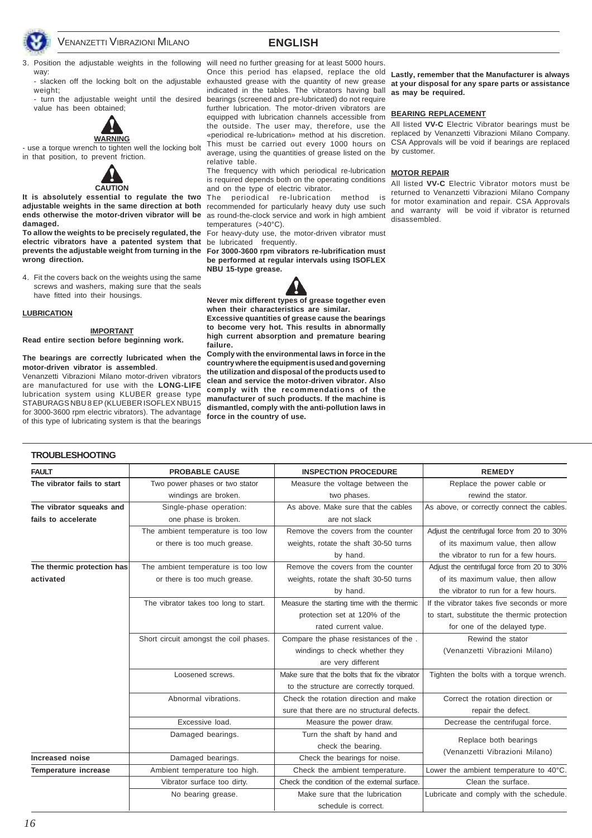



way:

weight:

value has been obtained;



- use a torque wrench to tighten well the locking bolt in that position, to prevent friction.



adjustable weights in the same direction at both recommended for particularly heavy duty use such **ends otherwise the motor-driven vibrator will be** as round-the-clock service and work in high ambient **damaged.**

**electric vibrators have a patented system that** be lubricated frequently. **prevents the adjustable weight from turning in the wrong direction.**

4. Fit the covers back on the weights using the same screws and washers, making sure that the seals have fitted into their housings.

#### **LUBRICATION**

**IMPORTANT Read entire section before beginning work.**

#### **The bearings are correctly lubricated when the motor-driven vibrator is assembled**.

Venanzetti Vibrazioni Milano motor-driven vibrators are manufactured for use with the **LONG-LIFE** lubrication system using KLUBER grease type STABURAGS NBU 8 EP (KLUEBER ISOFLEX NBU15 for 3000-3600 rpm electric vibrators). The advantage of this type of lubricating system is that the bearings

3. Position the adjustable weights in the following will need no further greasing for at least 5000 hours. - slacken off the locking bolt on the adjustable exhausted grease with the quantity of new grease - turn the adjustable weight until the desired bearings (screened and pre-lubricated) do not require Once this period has elapsed, replace the old indicated in the tables. The vibrators having ball further lubrication. The motor-driven vibrators are equipped with lubrication channels accessible from the outside. The user may, therefore, use the All listed **VV-C** Electric Vibrator bearings must be «periodical re-lubrication» method at his discretion. replaced by Venanzetti Vibrazioni Milano Company. This must be carried out every 1000 hours on CSA Approvals will be void if bearings are replaced average, using the quantities of grease listed on the by customer. relative table.

> The frequency with which periodical re-lubrication **MOTOR REPAIR** is required depends both on the operating conditions and on the type of electric vibrator.

**It is absolutely essential to regulate the two** The periodical re-lubrication method is temperatures (>40°C).

**To allow the weights to be precisely regulated, the** For heavy-duty use, the motor-driven vibrator must

**For 3000-3600 rpm vibrators re-lubrification must be performed at regular intervals using ISOFLEX NBU 15-type grease.**



**Never mix different types of grease together even when their characteristics are similar.**

**Excessive quantities of grease cause the bearings to become very hot. This results in abnormally high current absorption and premature bearing failure.**

**Comply with the environmental laws in force in the country where the equipment is used and governing the utilization and disposal of the products used to clean and service the motor-driven vibrator. Also comply with the recommendations of the manufacturer of such products. If the machine is dismantled, comply with the anti-pollution laws in force in the country of use.**

**Lastly, remember that the Manufacturer is always at your disposal for any spare parts or assistance as may be required.**

#### **BEARING REPLACEMENT**

All listed **VV-C** Electric Vibrator motors must be returned to Venanzetti Vibrazioni Milano Company for motor examination and repair. CSA Approvals and warranty will be void if vibrator is returned disassembled.

| <b>FAULT</b>                | <b>PROBABLE CAUSE</b>                  | <b>INSPECTION PROCEDURE</b>                    | <b>REMEDY</b>                               |
|-----------------------------|----------------------------------------|------------------------------------------------|---------------------------------------------|
| The vibrator fails to start | Two power phases or two stator         | Measure the voltage between the                | Replace the power cable or                  |
|                             | windings are broken.                   | two phases.                                    | rewind the stator.                          |
| The vibrator squeaks and    | Single-phase operation:                | As above. Make sure that the cables            | As above, or correctly connect the cables.  |
| fails to accelerate         | one phase is broken.                   | are not slack                                  |                                             |
|                             | The ambient temperature is too low     | Remove the covers from the counter             | Adjust the centrifugal force from 20 to 30% |
|                             | or there is too much grease.           | weights, rotate the shaft 30-50 turns          | of its maximum value, then allow            |
|                             |                                        | by hand.                                       | the vibrator to run for a few hours.        |
| The thermic protection has  | The ambient temperature is too low     | Remove the covers from the counter             | Adjust the centrifugal force from 20 to 30% |
| activated                   | or there is too much grease.           | weights, rotate the shaft 30-50 turns          | of its maximum value, then allow            |
|                             |                                        | by hand.                                       | the vibrator to run for a few hours.        |
|                             | The vibrator takes too long to start.  | Measure the starting time with the thermic     | If the vibrator takes five seconds or more  |
|                             |                                        | protection set at 120% of the                  | to start, substitute the thermic protection |
|                             |                                        | rated current value.                           | for one of the delayed type.                |
|                             | Short circuit amongst the coil phases. | Compare the phase resistances of the.          | Rewind the stator                           |
|                             |                                        | windings to check whether they                 | (Venanzetti Vibrazioni Milano)              |
|                             |                                        | are very different                             |                                             |
|                             | Loosened screws.                       | Make sure that the bolts that fix the vibrator | Tighten the bolts with a torque wrench.     |
|                             |                                        | to the structure are correctly torqued.        |                                             |
|                             | Abnormal vibrations.                   | Check the rotation direction and make          | Correct the rotation direction or           |
|                             |                                        | sure that there are no structural defects.     | repair the defect.                          |
|                             | Excessive load.                        | Measure the power draw.                        | Decrease the centrifugal force.             |
|                             | Damaged bearings.                      | Turn the shaft by hand and                     | Replace both bearings                       |
|                             |                                        | check the bearing.                             | (Venanzetti Vibrazioni Milano)              |
| Increased noise             | Damaged bearings.                      | Check the bearings for noise.                  |                                             |
| Temperature increase        | Ambient temperature too high.          | Check the ambient temperature.                 | Lower the ambient temperature to 40°C.      |
|                             | Vibrator surface too dirty.            | Check the condition of the external surface.   | Clean the surface.                          |
|                             | No bearing grease.                     | Make sure that the lubrication                 | Lubricate and comply with the schedule.     |
|                             |                                        | schedule is correct.                           |                                             |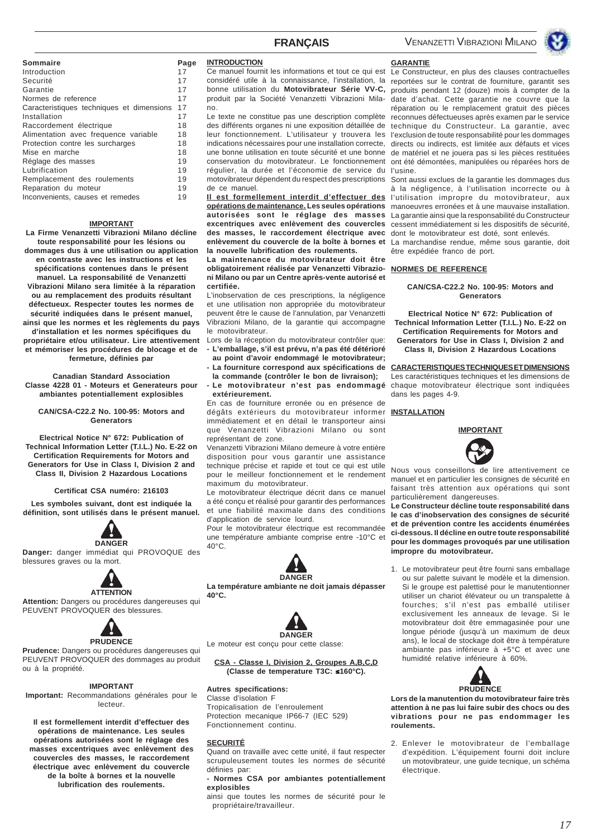VENANZETTI VIBRAZIONI MILANO



#### **Sommaire Page**

| Introduction                              | 17 |
|-------------------------------------------|----|
| Securité                                  | 17 |
| Garantie                                  | 17 |
| Normes de reference                       | 17 |
| Caracteristiques techniques et dimensions | 17 |
| Installation                              | 17 |
| Raccordement électrique                   | 18 |
| Alimentation avec frequence variable      | 18 |
| Protection contre les surcharges          | 18 |
| Mise en marche                            | 18 |
| Réglage des masses                        | 19 |
| Lubrification                             | 19 |
| Remplacement des roulements               | 19 |
| Reparation du moteur                      | 19 |
| Inconvenients, causes et remedes          | 19 |

#### **IMPORTANT**

**La Firme Venanzetti Vibrazioni Milano décline toute responsabilité pour les lésions ou dommages dus à une utilisation ou application en contraste avec les instructions et les spécifications contenues dans le présent manuel. La responsabilité de Venanzetti Vibrazioni Milano sera limitée à la réparation ou au remplacement des produits résultant défectueux. Respecter toutes les normes de sécurité indiquées dans le présent manuel, ainsi que les normes et les règlements du pays d'installation et les normes spécifiques du propriétaire et/ou utilisateur. Lire attentivement et mémoriser les procédures de blocage et de fermeture, définies par**

**Canadian Standard Association Classe 4228 01 - Moteurs et Generateurs pour ambiantes potentiallement explosibles**

**CAN/CSA-C22.2 No. 100-95: Motors and Generators**

**Electrical Notice N° 672: Publication of Technical Information Letter (T.I.L.) No. E-22 on Certification Requirements for Motors and Generators for Use in Class I, Division 2 and Class II, Division 2 Hazardous Locations**

#### **Certificat CSA numéro: 216103**

**Les symboles suivant, dont est indiquée la définition, sont utilisés dans le présent manuel.**



**Danger:** danger immédiat qui PROVOQUE des blessures graves ou la mort.



**Attention:** Dangers ou procédures dangereuses qui PEUVENT PROVOQUER des blessures.



**Prudence:** Dangers ou procédures dangereuses qui PEUVENT PROVOQUER des dommages au produit ou à la propriété.

#### **IMPORTANT**

**Important:** Recommandations générales pour le lecteur.

**Il est formellement interdit d'effectuer des opérations de maintenance. Les seules opérations autorisées sont le réglage des masses excentriques avec enlèvement des couvercles des masses, le raccordement électrique avec enlèvement du couvercle de la boîte à bornes et la nouvelle lubrification des roulements.**

#### **INTRODUCTION**

Ce manuel fournit les informations et tout ce qui est bonne utilisation du **Motovibrateur Série VV-C,** produit par la Société Venanzetti Vibrazioni Milano.

Le texte ne constitue pas une description complète des différents organes ni une exposition détaillée de leur fonctionnement. L'utilisateur y trouvera les indications nécessaires pour une installation correcte, une bonne utilisation en toute sécurité et une bonne conservation du motovibrateur. Le fonctionnement régulier, la durée et l'économie de service du l'usine. motovibrateur dépendent du respect des prescriptions de ce manuel.

**Il est formellement interdit d'effectuer des opérations de maintenance. Les seules opérations autorisées sont le réglage des masses excentriques avec enlèvement des couvercles des masses, le raccordement électrique avec** dont le motovibrateur est doté, sont enlevés. **enlèvement du couvercle de la boîte à bornes et la nouvelle lubrification des roulements.**

**La maintenance du motovibrateur doit être obligatoirement réalisée par Venanzetti Vibrazioni Milano ou par un Centre après-vente autorisé et certifiée.**

L'inobservation de ces prescriptions, la négligence et une utilisation non appropriée du motovibrateur peuvent être le cause de l'annulation, par Venanzetti Vibrazioni Milano, de la garantie qui accompagne le motovibrateur.

Lors de la réception du motovibrateur contrôler que: **- L'emballage, s'il est prévu, n'a pas été détérioré**

- **au point d'avoir endommagé le motovibrateur; - La fourniture correspond aux spécifications de la commande (contrôler le bon de livraison);**
- **Le motovibrateur n'est pas endommagé extérieurement.**

En cas de fourniture erronée ou en présence de dégâts extérieurs du motovibrateur informer **INSTALLATION** immédiatement et en détail le transporteur ainsi que Venanzetti Vibrazioni Milano ou sont représentant de zone.

Venanzetti Vibrazioni Milano demeure à votre entière disposition pour vous garantir une assistance technique précise et rapide et tout ce qui est utile pour le meilleur fonctionnement et le rendement maximum du motovibrateur.

Le motovibrateur électrique décrit dans ce manuel a été conçu et réalisé pour garantir des performances et une fiabilité maximale dans des conditions d'application de service lourd.

Pour le motovibrateur électrique est recommandée une température ambiante comprise entre -10°C et 40°C.



**La température ambiante ne doit jamais dépasser 40°C.**



Le moteur est conçu pour cette classe:

#### **CSA - Classe I, Division 2, Groupes A,B,C,D (Classe de temperature T3C:** ≤**160°C).**

#### **Autres specifications:**

Classe d'isolation F Tropicalisation de l'enroulement Protection mecanique IP66-7 (IEC 529) Fonctionnement continu.

#### **SECURITÉ**

Quand on travaille avec cette unité, il faut respecter scrupuleusement toutes les normes de sécurité définies par:

**- Normes CSA por ambiantes potentiallement explosibles**

ainsi que toutes les normes de sécurité pour le propriétaire/travailleur.

### **GARANTIE**

considéré utile à la connaissance, l'installation, la reportées sur le contrat de fourniture, garantit ses Le Constructeur, en plus des clauses contractuelles produits pendant 12 (douze) mois à compter de la date d'achat. Cette garantie ne couvre que la réparation ou le remplacement gratuit des pièces reconnues défectueuses après examen par le service technique du Constructeur. La garantie, avec l'exclusion de toute responsabilité pour les dommages directs ou indirects, est limitée aux défauts et vices de matériel et ne jouera pas si les pièces restituées ont été démontées, manipulées ou réparées hors de

> Sont aussi exclues de la garantie les dommages dus à la négligence, à l'utilisation incorrecte ou à l'utilisation impropre du motovibrateur, aux manoeuvres erronées et à une mauvaise installation. La garantie ainsi que la responsabilité du Constructeur cessent immédiatement si les dispositifs de sécurité,

> La marchandise rendue, même sous garantie, doit être expédiée franco de port.

#### **NORMES DE REFERENCE**

#### **CAN/CSA-C22.2 No. 100-95: Motors and Generators**

**Electrical Notice N° 672: Publication of Technical Information Letter (T.I.L.) No. E-22 on Certification Requirements for Motors and Generators for Use in Class I, Division 2 and Class II, Division 2 Hazardous Locations**

**CARACTERISTIQUES TECHNIQUES ET DIMENSIONS** Les caractéristiques techniques et les dimensions de chaque motovibrateur électrique sont indiquées dans les pages 4-9.



Nous vous conseillons de lire attentivement ce manuel et en particulier les consignes de sécurité en faisant très attention aux opérations qui sont particulièrement dangereuses.

**Le Constructeur décline toute responsabilité dans le cas d'inobservation des consignes de sécurité et de prévention contre les accidents énumérées ci-dessous. Il décline en outre toute responsabilité pour les dommages provoqués par une utilisation impropre du motovibrateur.**

1. Le motovibrateur peut être fourni sans emballage ou sur palette suivant le modèle et la dimension. Si le groupe est palettisé pour le manutentionner utiliser un chariot élévateur ou un transpalette à fourches; s'il n'est pas emballé utiliser exclusivement les anneaux de levage. Si le motovibrateur doit être emmagasinée pour une longue période (jusqu'à un maximum de deux ans), le local de stockage doit être à température ambiante pas inférieure à +5°C et avec une humidité relative inférieure à 60%.



**Lors de la manutention du motovibrateur faire très attention à ne pas lui faire subir des chocs ou des vibrations pour ne pas endommager les roulements.**

2. Enlever le motovibrateur de l'emballage d'expédition. L'équipement fourni doit inclure un motovibrateur, une guide tecnique, un schéma électrique.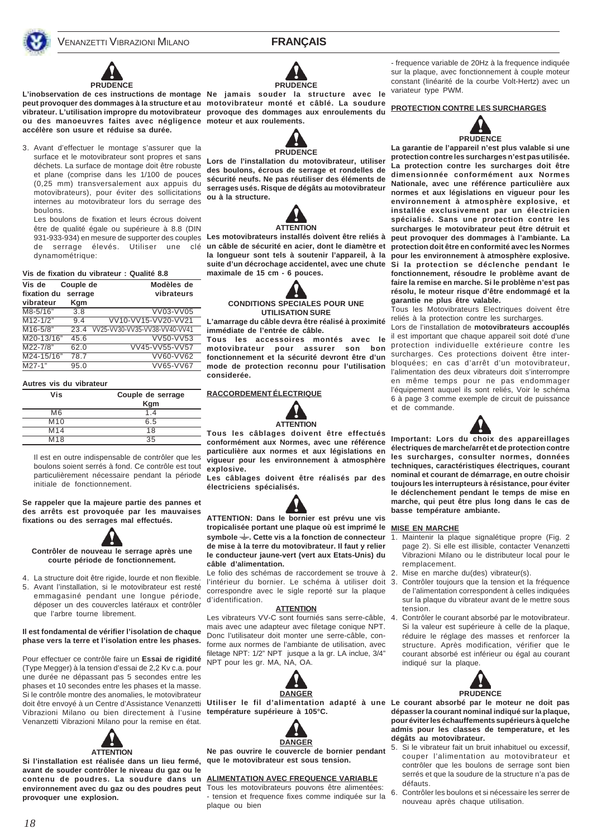



**L'inobservation de ces instructions de montage Ne jamais souder la structure avec le peut provoquer des dommages à la structure et au motovibrateur monté et câblé. La soudure vibrateur. L'utilisation impropre du motovibrateur provoque des dommages aux enroulements du ou des manoeuvres faites avec négligence moteur et aux roulements. accélère son usure et réduise sa durée.**

3. Avant d'effectuer le montage s'assurer que la surface et le motovibrateur sont propres et sans déchets. La surface de montage doit être robuste et plane (comprise dans les 1/100 de pouces (0,25 mm) transversalement aux appuis du motovibrateurs), pour éviter des sollicitations internes au motovibrateur lors du serrage des boulons.

Les boulons de fixation et leurs écrous doivent être de qualité égale ou supérieure à 8.8 (DIN de serrage élevés. Utiliser une dynamométrique:

#### **Vis de fixation du vibrateur : Qualité 8.8**

| Vis de<br>fixation du | Couple de<br>serrage | Modèles de<br>vibrateurs      |
|-----------------------|----------------------|-------------------------------|
| vibrateur             | Kgm                  |                               |
| M8-5/16"              | 3.8                  | VV03-VV05                     |
| $M12 - 1/2"$          | 9.4                  | VV10-VV15-VV20-VV21           |
| $M16 - 5/8"$          | 23.4                 | VV25-VV30-VV35-VV38-VV40-VV41 |
| M20-13/16"            | 45.6                 | VV50-VV53                     |
| M22-7/8"              | 62.0                 | VV45-VV55-VV57                |
| M24-15/16"            | 78.7                 | VV60-VV62                     |
| $\overline{M27-1}$ "  | 95.0                 | VV65-VV67                     |

#### **Autres vis du vibrateur**

| Vis             | Couple de serrage |  |
|-----------------|-------------------|--|
|                 | <b>Kgm</b>        |  |
| M <sub>6</sub>  | 1.4               |  |
| M <sub>10</sub> | 6.5               |  |
| M <sub>14</sub> | 18                |  |
| M <sub>18</sub> | 35                |  |

Il est en outre indispensable de contrôler que les boulons soient serrés à fond. Ce contrôle est tout particulièrement nécessaire pendant la période initiale de fonctionnement.

**Se rappeler que la majeure partie des pannes et des arrêts est provoquée par les mauvaises fixations ou des serrages mal effectués.**



4. La structure doit être rigide, lourde et non flexible. 5. Avant l'installation, si le motovibrateur est resté emmagasiné pendant une longue période, déposer un des couvercles latéraux et contrôler que l'arbre tourne librement.

#### **Il est fondamental de vérifier l'isolation de chaque phase vers la terre et l'isolation entre les phases.**

Pour effectuer ce contrôle faire un **Essai de rigidité** (Type Megger) à la tension d'essai de 2,2 Kv c.a. pour une durée ne dépassant pas 5 secondes entre les phases et 10 secondes entre les phases et la masse. Si le contrôle montre des anomalies, le motovibrateur Vibrazioni Milano ou bien directement à l'usine **température supérieure à 105°C.** Venanzetti Vibrazioni Milano pour la remise en état.



**Si l'installation est réalisée dans un lieu fermé, avant de souder contrôler le niveau du gaz ou le contenu de poudres. La soudure dans un ALIMENTATION AVEC FREQUENCE VARIABLE** environnement avec du gaz ou des poudres peut Tous les motovibrateurs pouvons être alimentées: **provoquer une explosion.**





**Lors de l'installation du motovibrateur, utiliser des boulons, écrous de serrage et rondelles de sécurité neufs. Ne pas réutiliser des éléments de serrages usés. Risque de dégâts au motovibrateur ou à la structure.**



931-933-934) en mesure de supporter des couples **Les motovibrateurs installés doìvent être reliés à un câble de sécurité en acier, dont le diamètre et la longueur sont tels à soutenir l'appareil, à la suite d'un décrochage accidentel, avec une chute Si la protection se déclenche pendant le maximale de 15 cm - 6 pouces.**



**CONDITIONS SPECIALES POUR UNE UTILISATION SURE**

**L'amarrage du câble devra être réalisé à proximité immédiate de l'entrée de câble.**

**Tous les accessoires montés avec le motovibrateur pour assurer son bon fonctionnement et la sécurité devront être d'un mode de protection reconnu pour l'utilisation considerée.**

#### **RACCORDEMENT ÉLECTRIQUE**



**Tous les câblages doivent être effectués conformément aux Normes, avec une référence particulière aux normes et aux législations en vigueur pour les environnement à atmosphère explosive.**

**Les câblages doivent être réalisés par des électriciens spécialisés.**



**ATTENTION: Dans le bornier est prévu une vis tropicalisée portant une plaque où est imprimé le symbole . Cette vis a la fonction de connecteur de mise à la terre du motovibrateur. Il faut y relier le conducteur jaune-vert (vert aux Etats-Unis) du câble d'alimentation.**

Le folio des schémas de raccordement se trouve à 2. Mise en marche du(des) vibrateur(s). l'intérieur du bornier. Le schéma à utiliser doit 3. correspondre avec le sigle reporté sur la plaque d'identification.

#### **ATTENTION**

Les vibrateurs VV-C sont fourniés sans serre-câble, 4. Contrôler le courant absorbé par le motovibrateur. mais avec une adapteur avec filetage conique NPT. Donc l'utilisateur doit monter une serre-câble, conforme aux normes de l'ambiante de utilisation, avec filetage NPT: 1/2" NPT jusque a la gr. LA inclue, 3/4" NPT pour les gr. MA, NA, OA.





**Ne pas ouvrire le couvercle de bornier pendant que le motovibrateur est sous tension.**

- tension et frequence fixes comme indiquée sur la plaque ou bien

- frequence variable de 20Hz à la frequence indiquée sur la plaque, avec fonctionnement à couple moteur constant (linéarité de la courbe Volt-Hertz) avec un variateur type PWM.

#### **PROTECTION CONTRE LES SURCHARGES**



**La garantie de l'appareil n'est plus valable si une protection contre les surcharges n'est pas utilisée. La protection contre les surcharges doit être dimensionnée conformément aux Normes Nationale, avec une référence particulière aux normes et aux législations en vigueur pour les environnement à atmosphère explosive, et installée exclusivement par un électricien spécialisé. Sans une protection contre les surcharges le motovibrateur peut être détruit et peut provoquer des dommages à l'ambiante. La protection doit être en conformité avec les Normes pour les environnement à atmosphère explosive. fonctionnement, résoudre le problème avant de faire la remise en marche. Si le problème n'est pas résolu, le moteur risque d'être endommagé et la garantie ne plus être valable.**

Tous les Motovibrateurs Electriques doivent être reliés à la protection contre les surcharges.

Lors de l'installation de **motovibrateurs accouplés** il est important que chaque appareil soit doté d'une protection individuelle extérieure contre les surcharges. Ces protections doivent être interbloquées; en cas d'arrêt d'un motovibrateur, l'alimentation des deux vibrateurs doit s'interrompre en même temps pour ne pas endommager l'équipement auquel ils sont reliés, Voir le schéma 6 à page 3 comme exemple de circuit de puissance et de commande.



**Important: Lors du choix des appareillages électriques de marche/arrêt et de protection contre les surcharges, consulter normes, données techniques, caractéristiques électriques, courant nominal et courant de démarrage, en outre choisir toujours les interrupteurs à résistance, pour éviter le déclenchement pendant le temps de mise en marche, qui peut être plus long dans le cas de basse température ambiante.**

#### **MISE EN MARCHE**

- Maintenir la plaque signalétique propre (Fig. 2 page 2). Si elle est illisible, contacter Venanzetti Vibrazioni Milano ou le distributeur local pour le remplacement.
- 
- Contrôler toujours que la tension et la fréquence de l'alimentation correspondent à celles indiquées sur la plaque du vibrateur avant de le mettre sous tension.
- Si la valeur est supérieure à celle de la plaque, réduire le réglage des masses et renforcer la structure. Après modification, vérifier que le courant absorbé est inférieur ou égal au courant indiqué sur la plaque.



doit être envoyé à un Centre d'Assistance Venanzetti Utiliser le fil d'alimentation adapté à une Le courant absorbé par le moteur ne doit pas **dépasser la courant nominal indiqué sur la plaque, pour éviter les échauffements supérieurs à quelche admis pour les classes de temperature, et les dégâts au motovibrateur.**

- 5. Si le vibrateur fait un bruit inhabituel ou excessif, couper l'alimentation au motovibrateur et contrôler que les boulons de serrage sont bien serrés et que la soudure de la structure n'a pas de défauts.
- 6. Contrôler les boulons et si nécessaire les serrer de nouveau après chaque utilisation.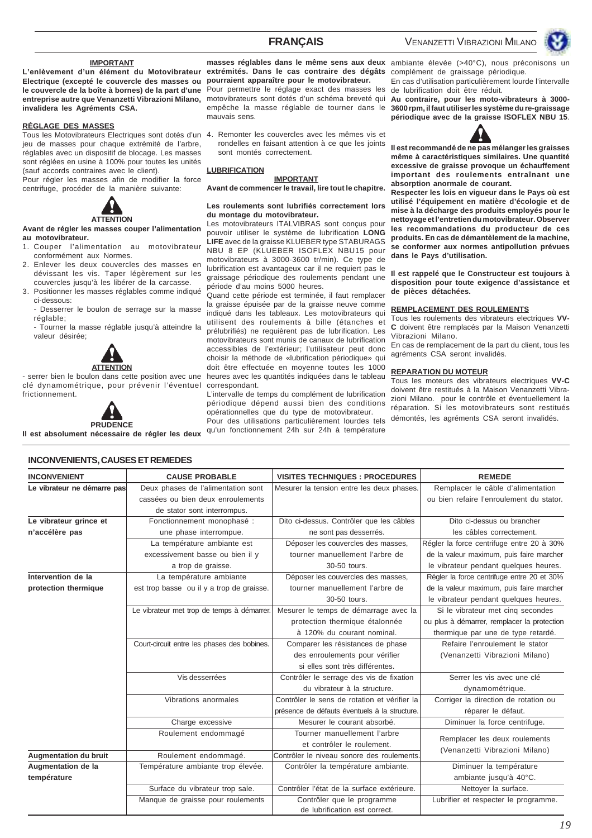#### **IMPORTANT**

**L'enlèvement d'un élément du Motovibrateur Electrique (excepté le couvercle des masses ou le couvercle de la boîte à bornes) de la part d'une entreprise autre que Venanzetti Vibrazioni Milano, invalidera les Agréments CSA.**

#### **RÉGLAGE DES MASSES**

Tous les Motovibrateurs Electriques sont dotés d'un 4. jeu de masses pour chaque extrémité de l'arbre, réglables avec un dispositif de blocage. Les masses sont réglées en usine à 100% pour toutes les unités (sauf accords contraires avec le client). Pour régler les masses afin de modifier la force

centrifuge, procéder de la manière suivante:



#### **Avant de régler les masses couper l'alimentation au motovibrateur.**

- 1. Couper l'alimentation au motovibrateur conformément aux Normes.
- 2. Enlever les deux couvercles des masses en dévissant les vis. Taper légèrement sur les couvercles jusqu'à les libérer de la carcasse.
- 3. Positionner les masses réglables comme indiqué ci-dessous:
	- Desserrer le boulon de serrage sur la masse réglable;

- Tourner la masse réglable jusqu'à atteindre la valeur désirée;



#### - serrer bien le boulon dans cette position avec une clé dynamométrique, pour prévenir l'éventuel frictionnement.



**Il est absolument nécessaire de régler les deux**

**extrémités. Dans le cas contraire des dégâts pourraient apparaître pour le motovibrateur.** Pour permettre le réglage exact des masses les motovibrateurs sont dotés d'un schéma breveté qui **Au contraire, pour les moto-vibrateurs à 3000** empêche la masse réglable de tourner dans le mauvais sens.

Remonter les couvercles avec les mêmes vis et rondelles en faisant attention à ce que les joints sont montés correctement.

#### **LUBRIFICATION**

#### **IMPORTANT**

**Avant de commencer le travail, lire tout le chapitre.**

#### **Les roulements sont lubrifiés correctement lors du montage du motovibrateur.**

Les motovibrateurs ITALVIBRAS sont conçus pour pouvoir utiliser le système de lubrification **LONG LIFE** avec de la graisse KLUEBER type STABURAGS NBU 8 EP (KLUEBER ISOFLEX NBU15 pour motovibrateurs à 3000-3600 tr/min). Ce type de lubrification est avantageux car il ne requiert pas le graissage périodique des roulements pendant une période d'au moins 5000 heures.

Quand cette période est terminée, il faut remplacer la graisse épuisée par de la graisse neuve comme indiqué dans les tableaux. Les motovibrateurs qui utilisent des roulements à bille (étanches et prélubrifiés) ne requièrent pas de lubrification. Les motovibrateurs sont munis de canaux de lubrification accessibles de l'extérieur; l'utilisateur peut donc choisir la méthode de «lubrification périodique» qui doit être effectuée en moyenne toutes les 1000 heures avec les quantités indiquées dans le tableau correspondant.

L'intervalle de temps du complément de lubrification périodique dépend aussi bien des conditions opérationnelles que du type de motovibrateur.

Pour des utilisations particulièrement lourdes tels qu'un fonctionnement 24h sur 24h à température

**masses réglables dans le même sens aux deux** ambiante élevée (>40°C), nous préconisons un complément de graissage périodique. En cas d'utilisation particulièrement lourde l'intervalle

de lubrification doit être réduit.

**3600 rpm, il faut utiliser les système du re-graissage périodique avec de la graisse ISOFLEX NBU 15**.



**Il est recommandé de ne pas mélanger les graisses même à caractéristiques similaires. Une quantité excessive de graisse provoque un échauffement important des roulements entraînant une absorption anormale de courant.**

**Respecter les lois en vigueur dans le Pays où est utilisé l'équipement en matière d'écologie et de mise à la décharge des produits employés pour le nettoyage et l'entretien du motovibrateur. Observer les recommandations du producteur de ces produits. En cas de démantèlement de la machine, se conformer aux normes antipollution prévues dans le Pays d'utilisation.**

**Il est rappelé que le Constructeur est toujours à disposition pour toute exigence d'assistance et de pièces détachées.**

#### **REMPLACEMENT DES ROULEMENTS**

Tous les roulements des vibrateurs electriques **VV-C** doivent être remplacés par la Maison Venanzetti Vibrazioni Milano.

En cas de remplacement de la part du client, tous les agréments CSA seront invalidés.

#### **REPARATION DU MOTEUR**

Tous les moteurs des vibrateurs electriques **VV-C** doivent être restitués à la Maison Venanzetti Vibrazioni Milano. pour le contrôle et éventuellement la réparation. Si les motovibrateurs sont restitués démontés, les agréments CSA seront invalidés.

### **INCONVENIENT CAUSE PROBABLE VISITES TECHNIQUES : PROCEDURES REMEDE Le vibrateur ne démarre pas** Deux phases de l'alimentation sont Mesurer la tension entre les deux phases. Remplacer le câble d'alimentation cassées ou bien deux enroulements **ou bien deux entre leurs de la provincient** du stator. de stator sont interrompus. Le vibrateur grince et | Fonctionnement monophasé : | Dito ci-dessus. Contrôler que les câbles | Dito ci-dessus ou brancher **n'accélère pas une phase interrompue.** | ne sont pas desserrés. | les câbles correctement. La température ambiante est <br>Déposer les couvercles des masses, Régler la force centrifuge entre 20 à 30% excessivement basse ou bien il y | tourner manuellement l'arbre de | de la valeur maximum, puis faire marcher a trop de graisse.  $\begin{array}{ccc} 30-50 & \text{tours.} \\ 30-50 & \text{tours.} \end{array}$  le vibrateur pendant quelques heures. Intervention de la **La température ambiante** | Déposer les couvercles des masses, | Régler la force centrifuge entre 20 et 30% **protection thermique** est trop basse ou il y a trop de graisse. tourner manuellement l'arbre de de la valeur maximum, puis faire marcher 30-50 tours. **le** vibrateur pendant quelques heures. Le vibrateur met trop de temps à démarrer. Mesurer le temps de démarrage avec la | Si le vibrateur met cinq secondes protection thermique étalonnée  $\vert$  ou plus à démarrer, remplacer la protection à 120% du courant nominal. | thermique par une de type retardé. Court-circuit entre les phases des bobines. Comparer les résistances de phase Refaire l'enroulement le stator des enroulements pour vérifier (Venanzetti Vibrazioni Milano) si elles sont très différentes. Vis desserrées Contrôler le serrage des vis de fixation Serrer les vis avec une clé du vibrateur à la structure.  $\Box$  dynamométrique Vibrations anormales Contrôler le sens de rotation et vérifier la Corriger la direction de rotation ou présence de défauts éventuels à la structure. | véparer le défaut. Charge excessive Mesurer le courant absorbé. Diminuer la force centrifuge. Roulement endommagé Tourner manuellement l'arbre Remplacer les deux roulements<br>et contrôler le roulement.<br>(Venanzetti Vibrazioni Milano) Augmentation du bruit **Augmentation du bruit** Roulement endommagé. Contrôler le niveau sonore des roulements **Augmentation de la** Température ambiante trop élevée. Contrôler la température ambiante. Diminuer la température **température** ambiante jusqu'à 40°C. Surface du vibrateur trop sale. | Contrôler l'état de la surface extérieure. | Nettoyer la surface. Manque de graisse pour roulements | Contrôler que le programme | Lubrifier et respecter le programme. de lubrification est correct.

#### **INCONVENIENTS, CAUSES ET REMEDES**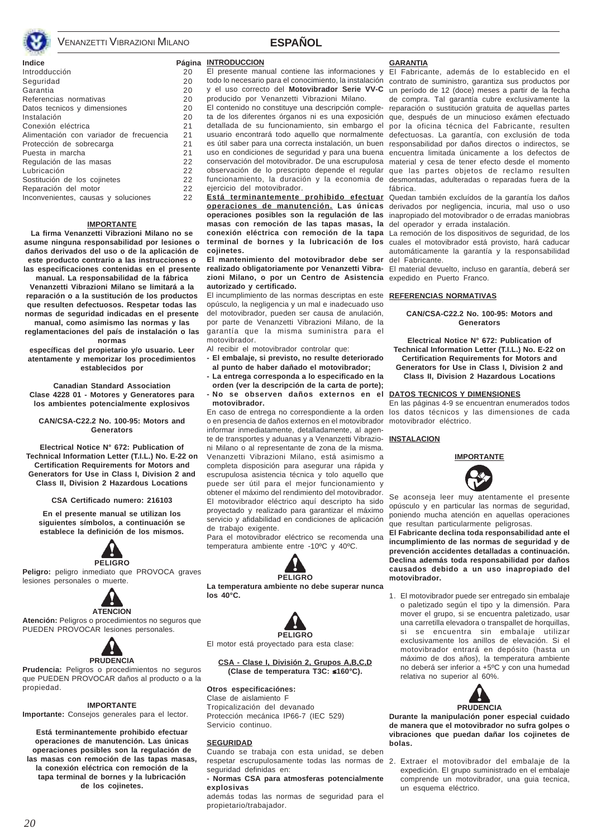

**Indice** Página INTRODUCCION Introdducción 20 Seguridad 20<br>Garantia 20 - 20 Garantia Referencias normativas 20 Datos tecnicos y dimensiones 20<br>Instalación 20 Instalación (1989)<br>Conexión eléctrica (1989) (1989) (219)<br>219 (219) (229) (229) (229) (229) (229) (229) (229) (229) (229) (229) (229) (229) (229) (229) (229) (229) (22 Conexión eléctrica 21<br>Alimentación con variador de frecuencia 21 Alimentación con variador de frecuencia Protección de sobrecarga 21 Puesta in marcha  $\begin{array}{ccc} 21 \\ 21 \end{array}$ Regulación de las masas  $22$ <br>Lubricación  $22$ Lubricación 22<br>Sostitución de los colinetes (22 Sostitución de los coiinetes Reparación del motor **22** Inconvenientes, causas y soluciones 22

#### **IMPORTANTE**

**La firma Venanzetti Vibrazioni Milano no se asume ninguna responsabilidad por lesiones o daños derivados del uso o de la aplicación de este producto contrario a las instrucciones o las especificaciones contenidas en el presente**

**manual. La responsabilidad de la fábrica Venanzetti Vibrazioni Milano se limitará a la reparación o a la sustitución de los productos que resulten defectuosos. Respetar todas las normas de seguridad indicadas en el presente manual, como asimismo las normas y las**

**reglamentaciones del país de instalación o las normas**

**específicas del propietario y/o usuario. Leer atentamente y memorizar los procedimientos establecidos por**

**Canadian Standard Association Clase 4228 01 - Motores y Generatores para los ambientes potencialmente explosivos**

#### **CAN/CSA-C22.2 No. 100-95: Motors and Generators**

**Electrical Notice N° 672: Publication of Technical Information Letter (T.I.L.) No. E-22 on Certification Requirements for Motors and Generators for Use in Class I, Division 2 and Class II, Division 2 Hazardous Locations**

#### **CSA Certificado numero: 216103**

**En el presente manual se utilizan los siguientes símbolos, a continuación se establece la definición de los mismos.**



**Peligro:** peligro inmediato que PROVOCA graves lesiones personales o muerte.



**Atención:** Peligros o procedimientos no seguros que PUEDEN PROVOCAR lesiones personales.



**Prudencia:** Peligros o procedimientos no seguros que PUEDEN PROVOCAR daños al producto o a la propiedad.

#### **IMPORTANTE**

**Importante:** Consejos generales para el lector.

**Está terminantemente prohibido efectuar operaciones de manutención. Las únicas operaciones posibles son la regulación de las masas con remoción de las tapas masas, la conexión eléctrica con remoción de la tapa terminal de bornes y la lubricación de los cojinetes.**

El presente manual contiene las informaciones y y el uso correcto del **Motovibrador Serie VV-C** producido por Venanzetti Vibrazioni Milano.

**ESPAÑOL**

El contenido no constituye una descripción completa de los diferentes órganos ni es una exposición usuario encontrará todo aquello que normalmente uso en condiciones de seguridad y para una buena conservación del motovibrador. De una escrupulosa funcionamiento, la duración y la economia de eiercicio del motovibrador.

**Está terminantemente prohibido efectuar operaciones de manutención. Las únicas operaciones posibles son la regulación de las masas con remoción de las tapas masas, la conexión eléctrica con remoción de la tapa** La remoción de los dispositivos de seguridad, de los **cojinetes.**

**El mantenimiento del motovibrador debe ser** del Fabricante. **zioni Milano, o por un Centro de Asistencia** expedido en Puerto Franco. **autorizado y certificado.**

El incumplimiento de las normas descriptas en este **REFERENCIAS NORMATIVAS** opúsculo, la negligencia y un mal e inadecuado uso del motovibrador, pueden ser causa de anulación, por parte de Venanzetti Vibrazioni Milano, de la garantía que la misma suministra para el motovibrador.

Al recibir el motovibrador controlar que:

- **El embalaje, si previsto, no resulte deteriorado al punto de haber dañado el motovibrador;**
- **La entrega corresponda a lo especificado en la**

**orden (ver la descripción de la carta de porte); - No se observen daños externos en el motovibrador.**

En caso de entrega no correspondiente a la orden o en presencia de daños externos en el motovibrador motovibrador eléctrico. informar inmediatamente, detalladamente, al agente de transportes y aduanas y a Venanzetti Vibrazioni Milano o al representante de zona de la misma. Venanzetti Vibrazioni Milano, está asimismo a completa disposición para asegurar una rápida y escrupulosa asistencia técnica y tolo aquello que puede ser útil para el mejor funcionamiento y obtener el máximo del rendimiento del motovibrador. El motovibrador eléctrico aquí descripto ha sido proyectado y realizado para garantizar el máximo servicio y afidabilidad en condiciones de aplicación de trabajo exigente.

Para el motovibrador eléctrico se recomenda una temperatura ambiente entre -10ºC y 40ºC.



**La temperatura ambiente no debe superar nunca los 40°C.**



El motor está proyectado para esta clase:

#### **CSA - Clase I, División 2, Grupos A,B,C,D (Clase de temperatura T3C:** ≤**160°C).**

**Otros especificaciónes:**

Clase de aislamiento F Tropicalización del devanado Protección mecánica IP66-7 (IEC 529) Servicio continuo.

#### **SEGURIDAD**

Cuando se trabaja con esta unidad, se deben respetar escrupulosamente todas las normas de 2. Extraer el motovibrador del embalaje de la seguridad definidas en:

**- Normas CSA para atmosferas potencialmente explosivas**

además todas las normas de seguridad para el propietario/trabajador.

#### **GARANTIA**

todo lo necesario para el conocimiento, la instalación contrato de suministro, garantiza sus productos por detallada de su funcionamiento, sin embargo el por la oficina técnica del Fabricante, resulten es útil saber para una correcta instalación, un buen responsabilidad por daños directos o indirectos, se observación de lo prescripto depende el regular que las partes objetos de reclamo resulten El Fabricante, además de lo establecido en el un período de 12 (doce) meses a partir de la fecha de compra. Tal garantía cubre exclusivamente la reparación o sustitución gratuita de aquellas partes que, después de un minucioso exámen efectuado defectuosas. La garantía, con exclusión de toda encuentra limitada únicamente a los defectos de material y cesa de tener efecto desde el momento desmontadas, adulteradas o reparadas fuera de la fábrica.

> Quedan también excluídos de la garantía los daños derivados por negligencia, incuria, mal uso o uso inapropiado del motovibrador o de erradas maniobras del operador y errada instalación.

**terminal de bornes y la lubricación de los** cuales el motovibrador está provisto, hará caducar automáticamente la garantía y la responsabilidad

**realizado obligatoriamente por Venanzetti Vibra-**El material devuelto, incluso en garantía, deberá ser

#### **CAN/CSA-C22.2 No. 100-95: Motors and Generators**

**Electrical Notice N° 672: Publication of Technical Information Letter (T.I.L.) No. E-22 on Certification Requirements for Motors and Generators for Use in Class I, Division 2 and Class II, Division 2 Hazardous Locations**

#### **DATOS TECNICOS Y DIMENSIONES**

En las páginas 4-9 se encuentran enumerados todos los datos técnicos y las dimensiones de cada

#### **INSTALACION**



Se aconseja leer muy atentamente el presente opúsculo y en particular las normas de seguridad, poniendo mucha atención en aquellas operaciones que resultan particularmente peligrosas.

**El Fabricante declina toda responsabilidad ante el incumplimiento de las normas de seguridad y de prevención accidentes detalladas a continuación. Declina además toda responsabilidad por daños causados debido a un uso inapropiado del motovibrador.**

1. El motovibrador puede ser entregado sin embalaje o paletizado según el tipo y la dimensión. Para mover el grupo, si se encuentra paletizado, usar una carretilla elevadora o transpallet de horquillas, si se encuentra sin embalaje utilizar exclusivamente los anillos de elevación. Si el motovibrador entrará en depósito (hasta un máximo de dos años), la temperatura ambiente no deberá ser inferior a +5ºC y con una humedad relativa no superior al 60%.



**Durante la manipulación poner especial cuidado de manera que el motovibrador no sufra golpes o vibraciones que puedan dañar los cojinetes de bolas.**

expedición. El grupo suministrado en el embalaje comprende un motovibrador, una guia tecnica, un esquema eléctrico.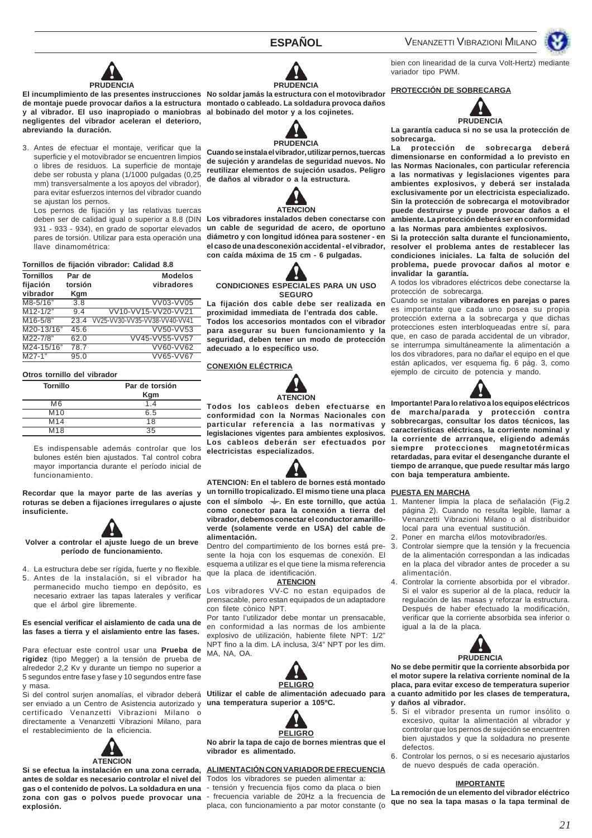



**El incumplimiento de las presentes instrucciones No soldar jamás la estructura con el motovibrador de montaje puede provocar daños a la estructura montado o cableado. La soldadura provoca daños y al vibrador. El uso inapropiado o maniobras al bobinado del motor y a los cojinetes. negligentes del vibrador aceleran el deterioro, abreviando la duración.**

3. Antes de efectuar el montaje, verificar que la superficie y el motovibrador se encuentren limpios o libres de residuos. La superficie de montaje debe ser robusta y plana (1/1000 pulgadas (0,25 mm) transversalmente a los apoyos del vibrador), para evitar esfuerzos internos del vibrador cuando se ajustan los pernos.

Los pernos de fijación y las relativas tuercas 931 - 933 - 934), en grado de soportar elevados llave dinamométrica:

#### **Tornillos de fijación vibrador: Calidad 8.8**

| <b>Tornillos</b><br>fijación<br>vibrador | Par de<br>torsión<br>Kgm | <b>Modelos</b><br>vibradores  |
|------------------------------------------|--------------------------|-------------------------------|
| M8-5/16"                                 | 3.8                      | VV03-VV05                     |
| $M12 - 1/2"$                             | 9.4                      | VV10-VV15-VV20-VV21           |
| $M16 - 5/8"$                             | 23.4                     | VV25-VV30-VV35-VV38-VV40-VV41 |
| M20-13/16"                               | 45.6                     | VV50-VV53                     |
| M22-7/8"                                 | 62.0                     | VV45-VV55-VV57                |
| M24-15/16"                               | 78.7                     | $VV60-VV62$                   |
| $M27-1"$                                 | 95.0                     | VV65-VV67                     |

#### **Otros tornillo del vibrador**

| <b>Tornillo</b> | Par de torsión |
|-----------------|----------------|
|                 | Kgm            |
| M <sub>6</sub>  | 1.4            |
| M <sub>10</sub> | 6.5            |
| M <sub>14</sub> | 18             |
| M <sub>18</sub> | 35             |

Es indispensable además controlar que los bulones estén bien ajustados. Tal control cobra mayor importancia durante el período inicial de funcionamiento.

**Recordar que la mayor parte de las averías y roturas se deben a fijaciones irregulares o ajuste insuficiente.**



**Volver a controlar el ajuste luego de un breve período de funcionamiento.**

4. La estructura debe ser rígida, fuerte y no flexible. 5. Antes de la instalación, si el vibrador ha permanecido mucho tiempo en depósito, es necesario extraer las tapas laterales y verificar que el árbol gire libremente.

#### **Es esencial verificar el aislamiento de cada una de las fases a tierra y el aislamiento entre las fases.**

Para efectuar este control usar una **Prueba de rigidez** (tipo Megger) a la tensión de prueba de alrededor 2,2 Kv y durante un tiempo no superior a 5 segundos entre fase y fase y 10 segundos entre fase y masa.

ser enviado a un Centro de Asistencia autorizado y **una temperatura superior a 105ºC.** certificado Venanzetti Vibrazioni Milano o directamente a Venanzetti Vibrazioni Milano, para el restablecimiento de la eficiencia.



**Si se efectua la instalación en una zona cerrada, antes de soldar es necesario controlar el nivel del** Todos los vibradores se pueden alimentar a: **gas o el contenido de polvos. La soldadura en una** - tensión y frecuencia fijos como da placa o bien **explosión.**





**Cuando se instala el vibrador, utilizar pernos, tuercas de sujeción y arandelas de seguridad nuevos. No reutilizar elementos de sujeción usados. Peligro de daños al vibrador o a la estructura.**



deben ser de calidad igual o superior a 8.8 (DIN **Los vibradores instalados deben conectarse con** pares de torsión. Utilizar para esta operación una **diámetro y con longitud idónea para sostener - en un cable de seguridad de acero, de oportuno el caso de una desconexión accidental - el vibrador, con caída máxima de 15 cm - 6 pulgadas.**

#### **CONDICIONES ESPECIALES PARA UN USO SEGURO**

**La fijación dos cable debe ser realizada en proximidad immediata de l'entrada dos cable. Todos los accesorios montados con el vibrador para asegurar su buen funcionamiento y la seguridad, deben tener un modo de protección adecuado a lo específico uso.**

## **CONEXIÓN ELÉCTRICA**



**Todos los cableos deben efectuarse en conformidad con la Normas Nacionales con particular referencia a las normativas y legislaciones vigentes para ambientes explosivos. Los cableos deberán ser efectuados por electricistas especializados.**

**ATENCION: En el tablero de bornes está montado un tornillo tropicalizado. El mismo tiene una placa con el símbolo . En este tornillo, que actúa como conector para la conexión a tierra del vibrador, debemos conectar el conductor amarilloverde (solamente verde en USA) del cable de alimentación.**

Dentro del compartimiento de los bornes está presente la hoja con los esquemas de conexión. El esquema a utilizar es el que tiene la misma referencia que la placa de identificación.

#### **ATENCION**

Los vibradores VV-C no estan equipados de prensacable, pero estan equipados de un adaptadore con filete cònico NPT.

Por tanto l'utilizador debe montar un prensacable, en conformidad a las normas de los ambiente explosivo de utilización, habiente filete NPT: 1/2" NPT fino a la dim. LA inclusa, 3/4" NPT por les dim. MA, NA, OA.





**No abrir la tapa de cajo de bornes mientras que el vibrador es alimentado.**

## **ALIMENTACIÓN CON VARIADOR DE FRECUENCIA**

**zona con gas o polvos puede provocar una** - frecuencia variable de 20Hz a la frecuencia de placa, con funcionamiento a par motor constante (o

bien con linearidad de la curva Volt-Hertz) mediante variador tipo PWM.

### **PROTECCIÓN DE SOBRECARGA**



**La garantía caduca si no se usa la protección de sobrecarga.**

**La protección de sobrecarga deberá dimensionarse en conformidad a lo previsto en las Normas Nacionales, con particular referencia a las normativas y legislaciones vigentes para ambientes explosivos, y deberá ser instalada exclusivamente por un electricista especializado. Sin la protección de sobrecarga el motovibrador puede destruirse y puede provocar daños a el ambiente. La protección deberá ser en conformidad a las Normas para ambientes explosivos.**

**Si la protección salta durante el funcionamiento, resolver el problema antes de restablecer las condiciones iniciales. La falta de solución del problema, puede provocar daños al motor e invalidar la garantía.**

A todos los vibradores eléctricos debe conectarse la protección de sobrecarga.

Cuando se instalan **vibradores en parejas o pares** es importante que cada uno posea su propia protección externa a la sobrecarga y que dichas protecciones esten interbloqueadas entre sí, para que, en caso de parada accidental de un vibrador, se interrumpa simultáneamente la alimentación a los dos vibradores, para no dañar el equipo en el que están aplicados, ver esquema fig. 6 pág. 3, como ejemplo de circuito de potencia y mando.



**Importante! Para lo relativo a los equipos eléctricos de marcha/parada y protección contra sobbrecargas, consultar los datos técnicos, las características eléctricas, la corriente nominal y la corriente de arrranque, eligiendo además siempre protecciones magnetotérmicas retardadas, para evitar el desenganche durante el tiempo de arranque, que puede resultar más largo con baja temperatura ambiente.**

#### **PUESTA EN MARCHA**

- 1. Mantener limpia la placa de señalación (Fig.2 página 2). Cuando no resulta legible, llamar a Venanzetti Vibrazioni Milano o al distribuidor local para una eventual sustitución.
- 2. Poner en marcha el/los motovibrador/es.
- 3. Controlar siempre que la tensión y la frecuencia de la alimentación correspondan a las indicadas en la placa del vibrador antes de proceder a su alimentación.
- 4. Controlar la corriente absorbida por el vibrador. Si el valor es superior al de la placa, reducir la regulación de las masas y reforzar la estructura. Después de haber efectuado la modificación, verificar que la corriente absorbida sea inferior o igual a la de la placa.



Si del control surjen anomalías, el vibrador deberá Utilizar el cable de alimentación adecuado para a cuanto admitido por les clases de temperatura, **No se debe permitir que la corriente absorbida por el motor supere la relativa corriente nominal de la placa, para evitar exceso de temperatura superior y daños al vibrador.**

- 5. Si el vibrador presenta un rumor insólito o excesivo, quitar la alimentación al vibrador y controlar que los pernos de sujeción se encuentren bien ajustados y que la soldadura no presente defectos.
- 6. Controlar los pernos, o si es necesario ajustarlos de nuevo después de cada operación.

#### **IMPORTANTE**

**La remoción de un elemento del vibrador eléctrico que no sea la tapa masas o la tapa terminal de**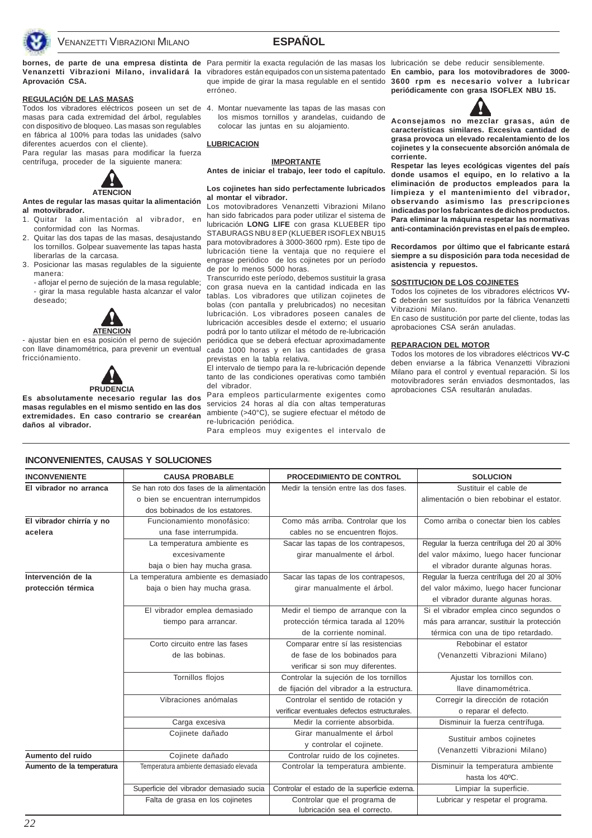

## **ESPAÑOL**

**Aprovación CSA.**

#### **REGULACIÓN DE LAS MASAS**

masas para cada extremidad del árbol, regulables con dispositivo de bloqueo. Las masas son regulables en fábrica al 100% para todas las unidades (salvo diferentes acuerdos con el cliente).

Para regular las masas para modificar la fuerza centrífuga, proceder de la siguiente manera:



**Antes de regular las masas quitar la alimentación al motovibrador.**

- 1. Quitar la alimentación al vibrador, en conformidad con las Normas.
- 2. Quitar las dos tapas de las masas, desajustando los tornillos. Golpear suavemente las tapas hasta liberarlas de la carcasa.
- 3. Posicionar las masas regulables de la siguiente manera:
	- aflojar el perno de sujeción de la masa regulable; - girar la masa regulable hasta alcanzar el valor deseado;



- ajustar bien en esa posición el perno de sujeción con llave dinamométrica, para prevenir un eventual fricciónamiento.



**Es absolutamente necesario regular las dos masas regulables en el mismo sentido en las dos extremidades. En caso contrario se crearéan daños al vibrador.**

**bornes, de parte de una empresa distinta de** Para permitir la exacta regulación de las masas los lubricación se debe reducir sensiblemente. erróneo.

Todos los vibradores eléctricos poseen un set de 4. Montar nuevamente las tapas de las masas con los mismos tornillos y arandelas, cuidando de colocar las juntas en su alojamiento.

### **LUBRICACION**

#### **IMPORTANTE**

**Antes de iniciar el trabajo, leer todo el capítulo.**

#### **Los cojinetes han sido perfectamente lubricados al montar el vibrador.**

Los motovibradores Venanzetti Vibrazioni Milano han sido fabricados para poder utilizar el sistema de lubricación **LONG LIFE** con grasa KLUEBER tipo STABURAGS NBU 8 FP (KLUEBER ISOFLEX NBU15 para motovibradores à 3000-3600 rpm). Este tipo de lubricación tiene la ventaja que no requiere el engrase periódico de los cojinetes por un período de por lo menos 5000 horas.

Transcurrido este período, debemos sustituir la grasa con grasa nueva en la cantidad indicada en las tablas. Los vibradores que utilizan cojinetes de bolas (con pantalla y prelubricados) no necesitan lubricación. Los vibradores poseen canales de lubricación accesibles desde el externo; el usuario podrá por lo tanto utilizar el método de re-lubricación periódica que se deberá efectuar aproximadamente cada 1000 horas y en las cantidades de grasa previstas en la tabla relativa.

El intervalo de tiempo para la re-lubricación depende tanto de las condiciones operativas como también del vibrador.

Para empleos particularmente exigentes como servicios 24 horas al día con altas temperaturas ambiente (>40°C), se sugiere efectuar el método de re-lubricación periódica.

Para empleos muy exigentes el intervalo de

**Venanzetti Vibrazioni Milano, invalidará la** vibradores están equipados con un sistema patentado **En cambio, para los motovibradores de 3000** que impide de girar la masa regulable en el sentido **3600 rpm es necesario volver a lubricar periódicamente con grasa ISOFLEX NBU 15.**



**Aconsejamos no mezclar grasas, aún de características similares. Excesiva cantidad de grasa provoca un elevado recalentamiento de los cojinetes y la consecuente absorción anómala de corriente.**

**Respetar las leyes ecológicas vigentes del país donde usamos el equipo, en lo relativo a la eliminación de productos empleados para la limpieza y el mantenimiento del vibrador, observando asimismo las prescripciones indicadas por los fabricantes de dichos productos. Para eliminar la máquina respetar las normativas anti-contaminación previstas en el país de empleo.**

**Recordamos por último que el fabricante estará siempre a su disposición para toda necesidad de asistencia y repuestos.**

#### **SOSTITUCION DE LOS COJINETES**

Todos los cojinetes de los vibradores eléctricos **VV-C** deberán ser sustituídos por la fábrica Venanzetti Vibrazioni Milano.

En caso de sustitución por parte del cliente, todas las aprobaciones CSA serán anuladas.

#### **REPARACION DEL MOTOR**

Todos los motores de los vibradores eléctricos **VV-C** deben enviarse a la fábrica Venanzetti Vibrazioni Milano para el control y eventual reparación. Si los motovibradores serán enviados desmontados, las aprobaciones CSA resultarán anuladas.

| "NU THE THEIR LEU, UNUUNU I UULUUIUNLU |                                          |                                               |                                                             |  |
|----------------------------------------|------------------------------------------|-----------------------------------------------|-------------------------------------------------------------|--|
| <b>INCONVENIENTE</b>                   | <b>CAUSA PROBABLE</b>                    | <b>PROCEDIMIENTO DE CONTROL</b>               | <b>SOLUCION</b>                                             |  |
| El vibrador no arranca                 | Se han roto dos fases de la alimentación | Medir la tensión entre las dos fases.         | Sustituir el cable de                                       |  |
|                                        | o bien se encuentran interrumpidos       |                                               | alimentación o bien rebobinar el estator.                   |  |
|                                        | dos bobinados de los estatores.          |                                               |                                                             |  |
| El vibrador chirría y no               | Funcionamiento monofásico:               | Como más arriba. Controlar que los            | Como arriba o conectar bien los cables                      |  |
| acelera                                | una fase interrumpida.                   | cables no se encuentren flojos.               |                                                             |  |
|                                        | La temperatura ambiente es               | Sacar las tapas de los contrapesos,           | Regular la fuerza centrífuga del 20 al 30%                  |  |
|                                        | excesivamente                            | girar manualmente el árbol.                   | del valor máximo, luego hacer funcionar                     |  |
|                                        | baja o bien hay mucha grasa.             |                                               | el vibrador durante algunas horas.                          |  |
| Intervención de la                     | La temperatura ambiente es demasiado     | Sacar las tapas de los contrapesos,           | Regular la fuerza centrífuga del 20 al 30%                  |  |
| protección térmica                     | baja o bien hay mucha grasa.             | girar manualmente el árbol.                   | del valor máximo, luego hacer funcionar                     |  |
|                                        |                                          |                                               | el vibrador durante algunas horas.                          |  |
|                                        | El vibrador emplea demasiado             | Medir el tiempo de arranque con la            | Si el vibrador emplea cinco segundos o                      |  |
|                                        | tiempo para arrancar.                    | protección térmica tarada al 120%             | más para arrancar, sustituir la protección                  |  |
|                                        |                                          | de la corriente nominal.                      | térmica con una de tipo retardado.                          |  |
|                                        | Corto circuito entre las fases           | Comparar entre sí las resistencias            | Rebobinar el estator                                        |  |
|                                        | de las bobinas.                          | de fase de los bobinados para                 | (Venanzetti Vibrazioni Milano)                              |  |
|                                        |                                          | verificar si son muy diferentes.              |                                                             |  |
|                                        | Tornillos flojos                         | Controlar la sujeción de los tornillos        | Ajustar los tornillos con.                                  |  |
|                                        |                                          | de fijación del vibrador a la estructura.     | llave dinamométrica.                                        |  |
|                                        | Vibraciones anómalas                     | Controlar el sentido de rotación y            | Corregir la dirección de rotación                           |  |
|                                        |                                          | verificar eventuales defectos estructurales.  | o reparar el defecto.                                       |  |
|                                        | Carga excesiva                           | Medir la corriente absorbida.                 | Disminuir la fuerza centrífuga.                             |  |
|                                        | Cojinete dañado                          | Girar manualmente el árbol                    | Sustituir ambos cojinetes<br>(Venanzetti Vibrazioni Milano) |  |
|                                        |                                          | y controlar el cojinete.                      |                                                             |  |
| Aumento del ruido                      | Cojinete dañado                          | Controlar ruido de los cojinetes.             |                                                             |  |
| Aumento de la temperatura              | Temperatura ambiente demasiado elevada   | Controlar la temperatura ambiente.            | Disminuir la temperatura ambiente                           |  |
|                                        |                                          |                                               | hasta los 40°C.                                             |  |
|                                        | Superficie del vibrador demasiado sucia  | Controlar el estado de la superficie externa. | Limpiar la superficie.                                      |  |
|                                        | Falta de grasa en los cojinetes          | Controlar que el programa de                  | Lubricar y respetar el programa.                            |  |
|                                        |                                          | lubricación sea el correcto.                  |                                                             |  |

### **INCONVENIENTES, CAUSAS Y SOLUCIONES**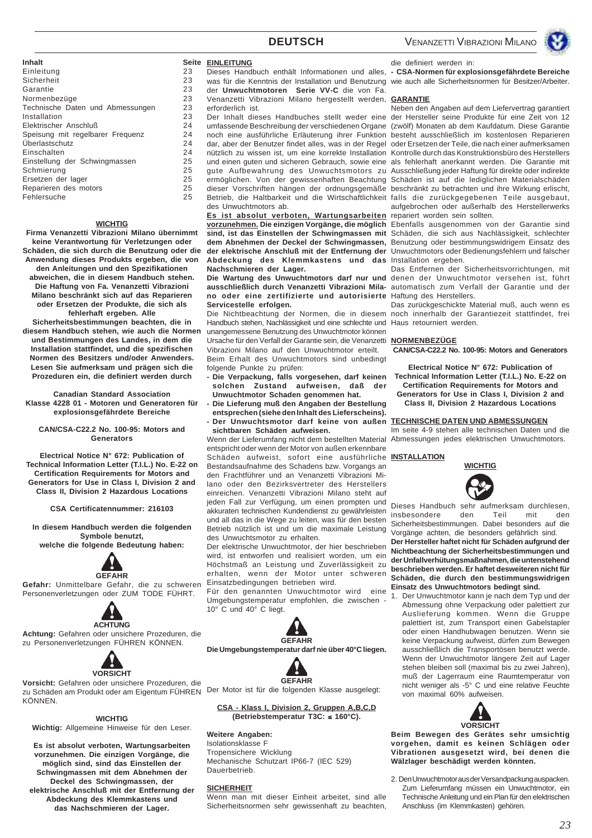

| Inhalt                           | Seite |
|----------------------------------|-------|
| Einleitung                       | 23    |
| Sicherheit                       | 23    |
| Garantie                         | 23    |
| Normenbezüge                     | 23    |
| Technische Daten und Abmessungen | 23    |
| Installation                     | 23    |
| Elektrischer Anschluß            | 24    |
| Speisung mit regelbarer Frequenz | 24    |
| Uberlastschutz                   | 24    |
| Einschalten                      | 24    |
| Einstellung der Schwingmassen    | 25    |
| Schmierung                       | 25    |
| Ersetzen der lager               | 25    |
| Reparieren des motors            | 25    |
| Fehlersuche                      | 25    |
|                                  |       |

#### **WICHTIG**

**Firma Venanzetti Vibrazioni Milano übernimmt keine Verantwortung für Verletzungen oder Schäden, die sich durch die Benutzung oder die Anwendung dieses Produkts ergeben, die von den Anleitungen und den Spezifikationen abweichen, die in diesem Handbuch stehen. Die Haftung von Fa. Venanzetti Vibrazioni Milano beschränkt sich auf das Reparieren oder Ersetzen der Produkte, die sich als fehlerhaft ergeben. Alle**

**Sicherheitsbestimmungen beachten, die in diesem Handbuch stehen, wie auch die Normen und Bestimmungen des Landes, in dem die Installation stattfindet, und die spezifischen Normen des Besitzers und/oder Anwenders. Lesen Sie aufmerksam und prägen sich die Prozeduren ein, die definiert werden durch**

**Canadian Standard Association Klasse 4228 01 - Motoren und Generatoren für explosionsgefährdete Bereiche**

#### **CAN/CSA-C22.2 No. 100-95: Motors and Generators**

**Electrical Notice N° 672: Publication of Technical Information Letter (T.I.L.) No. E-22 on Certification Requirements for Motors and Generators for Use in Class I, Division 2 and Class II, Division 2 Hazardous Locations**

**CSA Certificatennummer: 216103**

**In diesem Handbuch werden die folgenden Symbole benutzt, welche die folgende Bedeutung haben:**



**Gefahr:** Unmittelbare Gefahr, die zu schweren Personenverletzungen oder ZUM TODE FÜHRT.



**Achtung:** Gefahren oder unsichere Prozeduren, die zu Personenverletzungen FÜHREN KÖNNEN.



**Vorsicht:** Gefahren oder unsichere Prozeduren, die zu Schäden am Produkt oder am Eigentum FÜHREN KÖNNEN.

#### **WICHTIG**

**Wichtig:** Allgemeine Hinweise für den Leser.

**Es ist absolut verboten, Wartungsarbeiten vorzunehmen. Die einzigen Vorgänge, die möglich sind, sind das Einstellen der Schwingmassen mit dem Abnehmen der Deckel des Schwingmassen, der elektrische Anschluß mit der Entfernung der Abdeckung des Klemmkastens und das Nachschmieren der Lager.**

#### **Seite EINLEITUNG**

Dieses Handbuch enthält Informationen und alles, was für die Kenntnis der Installation und Benutzung wie auch alle Sicherheitsnormen für Besitzer/Arbeiter. der **Unwuchtmotoren Serie VV-C** die von Fa.

Venanzetti Vibrazioni Milano hergestellt werden, **GARANTIE** erforderlich ist.

Der Inhalt dieses Handbuches stellt weder eine umfassende Beschreibung der verschiedenen Organe (zwölf) Monaten ab dem Kaufdatum. Diese Garantie noch eine ausführliche Erläuterung ihrer Funktion besteht ausschließlich im kostenlosen Reparieren dar, aber der Benutzer findet alles, was in der Regel oder Ersetzen der Teile, die nach einer aufmerksamen nützlich zu wissen ist, um eine korrekte Installation Kontrolle durch das Konstruktionsbüro des Herstellers und einen guten und sicheren Gebrauch, sowie eine gute Aufbewahrung des Unwuchtsmotors zu Ausschließung jeder Haftung für direkte oder indirekte ermöglichen. Von der gewissenhaften Beachtung Schäden ist auf die lediglichen Materialschäden dieser Vorschriften hängen der ordnungsgemäße beschränkt zu betrachten und ihre Wirkung erlischt, Betrieb, die Haltbarkeit und die Wirtschaftlichkeit falls die zurückgegebenen Teile ausgebaut, des Unwuchtmotors ab.

Es ist absolut verboten, Wartungsarbeiten repariert worden sein sollten. **der elektrische Anschluß mit der Entfernung der Abdeckung des Klemmkastens und das** Installation ergeben. **Nachschmieren der Lager.**

**no oder eine zertifizierte und autorisierte Servicestelle erfolgen.**

Handbuch stehen, Nachlässigkeit und eine schlechte und Haus retourniert werden. unangemessene Benutzung des Unwuchtmotor können Ursache für den Verfall der Garantie sein, die Venanzetti Vibrazioni Milano auf den Unwuchtmotor erteilt. Beim Erhalt des Unwuchtmotors sind unbedingt folgende Punkte zu prüfen:

- **Die Verpackung, falls vorgesehen, darf keinen solchen Zustand aufweisen, daß der Unwuchtmotor Schaden genommen hat.**
- **Die Lieferung muß den Angaben der Bestellung entsprechen (siehe den Inhalt des Lieferscheins). - Der Unwuchtsmotor darf keine von außen**
- **sichtbaren Schäden aufweisen.**

entspricht oder wenn der Motor von außen erkennbare Schäden aufweist, sofort eine ausführliche Bestandsaufnahme des Schadens bzw. Vorgangs an den Frachtführer und an Venanzetti Vibrazioni Milano oder den Bezirksvertreter des Herstellers einreichen. Venanzetti Vibrazioni Milano steht auf jeden Fall zur Verfügung, um einen prompten und akkuraten technischen Kundendienst zu gewährleisten und all das in die Wege zu leiten, was für den besten Betrieb nützlich ist und um die maximale Leistung des Unwuchtsmotor zu erhalten.

Der elektrische Unwuchtmotor, der hier beschrieben wird, ist entworfen und realisiert worden, um ein Höchstmaß an Leistung und Zuverlässigkeit zu erhalten, wenn der Motor unter schweren Einsatzbedingungen betrieben wird.

Für den genannten Unwuchtmotor wird eine Umgebungstemperatur empfohlen, die zwischen - 10° C und 40° C liegt.





Der Motor ist für die folgenden Klasse ausgelegt:

**CSA - Klass I, Division 2, Gruppen A,B,C,D (Betriebstemperatur T3C:** ≤ **160°C).**

#### **Weitere Angaben:**

Isolationsklasse F Tropensichere Wicklung Mechanische Schutzart IP66-7 (IEC 529) Dauerbetrieb.

#### **SICHERHEIT**

Wenn man mit dieser Einheit arbeitet, sind alle Sicherheitsnormen sehr gewissenhaft zu beachten,

**- CSA-Normen für explosionsgefährdete Bereiche**

die definiert werden in:

Neben den Angaben auf dem Liefervertrag garantiert der Hersteller seine Produkte für eine Zeit von 12 als fehlerhaft anerkannt werden. Die Garantie mit aufgebrochen oder außerhalb des Herstellerwerks

**vorzunehmen. Die einzigen Vorgänge, die möglich** Ebenfalls ausgenommen von der Garantie sind **sind, ist das Einstellen der Schwingmassen mit** Schäden, die sich aus Nachlässigkeit, schlechter **dem Abnehmen der Deckel der Schwingmassen,** Benutzung oder bestimmungswidrigem Einsatz des Unwuchtmotors oder Bedienungsfehlern und falscher

Die Wartung des Unwuchtmotors darf nur und denen der Unwuchtmotor versehen ist, führt ausschließlich durch Venanzetti Vibrazioni Mila- automatisch zum Verfall der Garantie und der Das Entfernen der Sicherheitsvorrichtungen, mit Haftung des Herstellers.

Die Nichtbeachtung der Normen, die in diesem noch innerhalb der Garantiezeit stattfindet, frei Das zurückgeschickte Material muß, auch wenn es

#### **NORMENBEZÜGE**

**CAN/CSA-C22.2 No. 100-95: Motors and Generators**

**Electrical Notice N° 672: Publication of Technical Information Letter (T.I.L.) No. E-22 on Certification Requirements for Motors and Generators for Use in Class I, Division 2 and Class II, Division 2 Hazardous Locations**

#### **TECHNISCHE DATEN UND ABMESSUNGEN**

Wenn der Lieferumfang nicht dem bestellten Material Abmessungen jedes elektrischen Unwuchtmotors. Im seite 4-9 stehen alle technischen Daten und die

**INSTALLATION**



Dieses Handbuch sehr aufmerksam durchlesen, insbesondere den Teil mit den Sicherheitsbestimmungen. Dabei besonders auf die Vorgänge achten, die besonders gefährlich sind.

**Der Hersteller haftet nicht für Schäden aufgrund der Nichtbeachtung der Sicherheitsbestimmungen und der Unfallverhütungsmaßnahmen, die untenstehend beschrieben werden. Er haftet desweiteren nicht für Schäden, die durch den bestimmungswidrigen Einsatz des Unwuchtmotors bedingt sind.**

1. Der Unwuchtmotor kann je nach dem Typ und der Abmessung ohne Verpackung oder palettiert zur Auslieferung kommen. Wenn die Gruppe palettiert ist, zum Transport einen Gabelstapler oder einen Handhubwagen benutzen. Wenn sie keine Verpackung aufweist, dürfen zum Bewegen ausschließlich die Transportösen benutzt werde. Wenn der Unwuchtmotor längere Zeit auf Lager stehen bleiben soll (maximal bis zu zwei Jahren), muß der Lagerraum eine Raumtemperatur von nicht weniger als -5° C und eine relative Feuchte von maximal 60% aufweisen.



**Beim Bewegen des Gerätes sehr umsichtig vorgehen, damit es keinen Schlägen oder Vibrationen ausgesetzt wird, bei denen die Wälzlager beschädigt werden könnten.**

2. Den Unwuchtmotor aus der Versandpackung auspacken.

Zum Lieferumfang müssen ein Unwuchtmotor, ein Technische Anleitung und ein Plan für den elektrischen Anschluss (im Klemmkasten) gehören.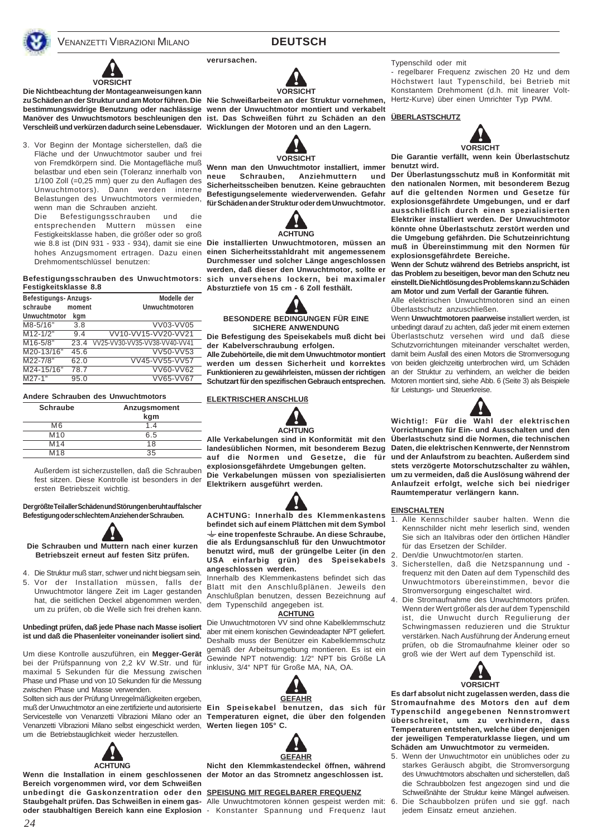## **DEUTSCH**

**verursachen.**



**Die Nichtbeachtung der Montageanweisungen kann** zu Schäden an der Struktur und am Motor führen. Die Nie Schweißarbeiten an der Struktur vornehmen, **bestimmungswidrige Benutzung oder nachlässige wenn der Unwuchtmotor montiert und verkabelt Manöver des Unwuchtsmotors beschleunigen den ist. Das Schweißen führt zu Schäden an den ÜBERLASTSCHUTZ**

3. Vor Beginn der Montage sicherstellen, daß die Fläche und der Unwuchtmotor sauber und frei von Fremdkörpern sind. Die Montagefläche muß belastbar und eben sein (Toleranz innerhalb von 1/100 Zoll (=0,25 mm) quer zu den Auflagen des Unwuchtmotors). Dann werden interne Belastungen des Unwuchtmotors vermieden, wenn man die Schrauben anzieht.

Die Befestigungsschrauben und die entsprechenden Muttern müssen eine Festigkeitsklasse haben, die größer oder so groß Drehmomentschlüssel benutzen:

#### **Befestigungsschrauben des Unwuchtmotors: Festigkeitsklasse 8.8**

| Befestigungs-Anzugs-<br>schraube<br><b>Unwuchtmotor</b> | moment | Modelle der<br>Unwuchtmotoren |
|---------------------------------------------------------|--------|-------------------------------|
|                                                         | kgm    |                               |
| M8-5/16"                                                | 3.8    | VV03-VV05                     |
| $M12 - 1/2"$                                            | 9.4    | VV10-VV15-VV20-VV21           |
| $M16 - 5/8"$                                            | 23.4   | VV25-VV30-VV35-VV38-VV40-VV41 |
| M20-13/16"                                              | 45.6   | VV50-VV53                     |
| M22-7/8"                                                | 62.0   | VV45-VV55-VV57                |
| M24-15/16"                                              | 78.7   | VV60-VV62                     |
| $M27-1"$                                                | 95.0   | VV65-VV67                     |

#### **Andere Schrauben des Unwuchtmotors**

| <b>Schraube</b> | Anzugsmoment<br>kgm |
|-----------------|---------------------|
| M6              |                     |
| M10             | 6.5                 |
| M14             | 18                  |
| M <sub>18</sub> | 35                  |

Außerdem ist sicherzustellen, daß die Schrauben fest sitzen. Diese Kontrolle ist besonders in der ersten Betriebszeit wichtig.

#### **Der größte Teil aller Schäden und Störungen beruht auf falscher Befestigung oder schlechtem Anziehen der Schrauben.**



**Die Schrauben und Muttern nach einer kurzen Betriebszeit erneut auf festen Sitz prüfen.**

4. Die Struktur muß starr, schwer und nicht biegsam sein. 5. Vor der Installation müssen, falls der Unwuchtmotor längere Zeit im Lager gestanden hat, die seitlichen Deckel abgenommen werden, um zu prüfen, ob die Welle sich frei drehen kann.

#### **Unbedingt prüfen, daß jede Phase nach Masse isoliert ist und daß die Phasenleiter voneinander isoliert sind.**

Um diese Kontrolle auszuführen, ein **Megger-Gerät** bei der Prüfspannung von 2,2 kV W.Str. und für maximal 5 Sekunden für die Messung zwischen Phase und Phase und von 10 Sekunden für die Messung zwischen Phase und Masse verwenden.

Sollten sich aus der Prüfung Unregelmäßigkeiten ergeben, muß der Unwuchtmotor an eine zertifizierte und autorisierte **Ein Speisekabel benutzen, das sich für** Servicestelle von Venanzetti Vibrazioni Milano oder an **Temperaturen eignet, die über den folgenden** Venanzetti Vibrazioni Milano selbst eingeschickt werden, **Werten liegen 105° C.** um die Betriebstauglichkeit wieder herzustellen.



Wenn die Installation in einem geschlossenen der Motor an das Stromnetz angeschlossen ist. **Bereich vorgenommen wird, vor dem Schweißen unbedingt die Gaskonzentration oder den SPEISUNG MIT REGELBARER FREQUENZ Staubgehalt prüfen. Das Schweißen in einem gas-**Alle Unwuchtmotoren können gespeist werden mit:

**VORSICHT**

**Verschleiß und verkürzen dadurch seine Lebensdauer. Wicklungen der Motoren und an den Lagern.**



**Wenn man den Unwuchtmotor installiert, immer neue Schrauben, Anziehmuttern und Sicherheitsscheiben benutzen. Keine gebrauchten**



wie 8.8 ist (DIN 931 - 933 - 934), damit sie eine **Die installierten Unwuchtmotoren, müssen an** hohes Anzugsmoment ertragen. Dazu einen **einen Sicherheitsstahldraht mit angemessenem Durchmesser und solcher Länge angeschlossen werden, daß dieser den Unwuchtmotor, sollte er sich unversehens lockern, bei maximaler Absturztiefe von 15 cm - 6 Zoll festhält.**

#### **BESONDERE BEDINGUNGEN FÜR EINE SICHERE ANWENDUNG**

**Die Befestigung des Speisekabels muß dicht bei der Kabelverschraubung erfolgen.**

**Alle Zubehörteile, die mit dem Unwuchtmotor montiert werden um dessen Sicherheit und korrektes Schutzart für den spezifischen Gebrauch entsprechen.**

#### **ELEKTRISCHER ANSCHLUß**



**landesüblichen Normen, mit besonderem Bezug** auf die Normen und Gesetze, die **explosionsgefährdete Umgebungen gelten. Die Verkabelungen müssen von spezialisierten Elektrikern ausgeführt werden.**



**ACHTUNG: Innerhalb des Klemmenkastens befindet sich auf einem Plättchen mit dem Symbol eine tropenfeste Schraube. An diese Schraube, die als Erdungsanschluß für den Unwuchtmotor benutzt wird, muß der grüngelbe Leiter (in den USA einfarbig grün) des Speisekabels angeschlossen werden.**

Innerhalb des Klemmenkastens befindet sich das Blatt mit den Anschlußplänen. Jeweils den Anschlußplan benutzen, dessen Bezeichnung auf dem Typenschild angegeben ist.

#### **ACHTUNG**

Die Unwuchtmotoren VV sind ohne Kabelklemmschutz aber mit einem konischen Gewindeadapter NPT geliefert. Deshalb muss der Benützer ein Kabelklemmschutz gemäß der Arbeitsumgebung montieren. Es ist ein Gewinde NPT notwendig: 1/2" NPT bis Größe LA inklusiv, 3/4" NPT für Große MA, NA, OA.





**Nicht den Klemmkastendeckel öffnen, während**

**oder staubhaltigen Bereich kann eine Explosion** - Konstanter Spannung und Frequenz laut

Typenschild oder mit

- regelbarer Frequenz zwischen 20 Hz und dem Höchstwert laut Typenschild, bei Betrieb mit Konstantem Drehmoment (d.h. mit linearer Volt-Hertz-Kurve) über einen Umrichter Typ PWM.



**Die Garantie verfällt, wenn kein Überlastschutz benutzt wird.**

**Befestigungselemente wiederverwenden. Gefahr auf die geltenden Normen und Gesetze für für Schäden an der Struktur oder dem Unwuchtmotor. explosionsgefährdete Umgebungen, und er darf Der Überlastungsschutz muß in Konformität mit den nationalen Normen, mit besonderem Bezug ausschließlich durch einen spezialisierten Elektriker installiert werden. Der Unwuchtmotor könnte ohne Überlastschutz zerstört werden und die Umgebung gefährden. Die Schutzeinrichtung muß in Übereinstimmung mit den Normen für explosionsgefährdete Bereiche.**

**Wenn der Schutz während des Betriebs anspricht, ist das Problem zu beseitigen, bevor man den Schutz neu einstellt. Die Nichtlösung des Problems kann zu Schäden am Motor und zum Verfall der Garantie führen.**

Alle elektrischen Unwuchtmotoren sind an einen Überlastschutz anzuschließen.

Funktionieren zu gewährleisten, müssen der richtigen an der Struktur zu verhindern, an welcher die beiden Wenn **Unwuchtmotoren paarweise** installiert werden, ist unbedingt darauf zu achten, daß jeder mit einem externen Überlastschutz versehen wird und daß diese Schutzvorrichtungen miteinander verschaltet werden, damit beim Ausfall des einen Motors die Stromversogung von beiden gleichzeitig unterbrochen wird, um Schäden Motoren montiert sind, siehe Abb. 6 (Seite 3) als Beispiele für Leistungs- und Steuerkreise.



**Alle Verkabelungen sind in Konformität mit den Überlastschutz sind die Normen, die technischen Wichtig!: Für die Wahl der elektrischen Vorrichtungen für Ein- und Ausschalten und den Daten, die elektrischen Kennwerte, der Nennstrom und der Anlaufstrom zu beachten. Außerdem sind stets verzögerte Motorschutzschalter zu wählen, um zu vermeiden, daß die Auslösung während der Anlaufzeit erfolgt, welche sich bei niedriger Raumtemperatur verlängern kann.**

#### **EINSCHALTEN**

- 1. Alle Kennschilder sauber halten. Wenn die Kennschilder nicht mehr leserlich sind, wenden Sie sich an Italvibras oder den örtlichen Händler für das Ersetzen der Schilder.
- 2. Den/die Unwuchtmotor/en starten.
- 3. Sicherstellen, daß die Netzspannung und frequenz mit den Daten auf dem Typenschild des Unwuchtmotors übereinstimmen, bevor die Stromversorgung eingeschaltet wird.
- 4. Die Stromaufnahme des Unwuchtmotors prüfen. Wenn der Wert größer als der auf dem Typenschild ist, die Unwucht durch Regulierung der Schwingmassen reduzieren und die Struktur verstärken. Nach Ausführung der Änderung erneut prüfen, ob die Stromaufnahme kleiner oder so groß wie der Wert auf dem Typenschild ist.



**Es darf absolut nicht zugelassen werden, dass die Stromaufnahme des Motors den auf dem Typenschild angegebenen Nennstromwert überschreitet, um zu verhindern, dass Temperaturen entstehen, welche über denjenigen der jeweiligen Temperaturklasse liegen, und um Schäden am Unwuchtmotor zu vermeiden.**

5. Wenn der Unwuchtmotor ein unübliches oder zu starkes Geräusch abgibt, die Stromversorgung des Unwuchtmotors abschalten und sicherstellen, daß die Schraubbolzen fest angezogen sind und die Schweißnähte der Struktur keine Mängel aufweisen. 6. Die Schaubbolzen prüfen und sie ggf. nach jedem Einsatz erneut anziehen.